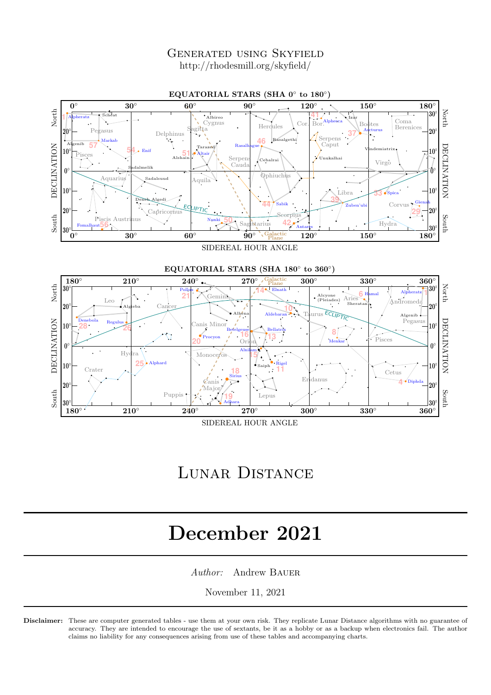Generated using Skyfield http://rhodesmill.org/skyfield/



SIDEREAL HOUR ANGLE

## Lunar Distance

# December 2021

Author: Andrew BAUER

November 11, 2021

Disclaimer: These are computer generated tables - use them at your own risk. They replicate Lunar Distance algorithms with no guarantee of accuracy. They are intended to encourage the use of sextants, be it as a hobby or as a backup when electronics fail. The author claims no liability for any consequences arising from use of these tables and accompanying charts.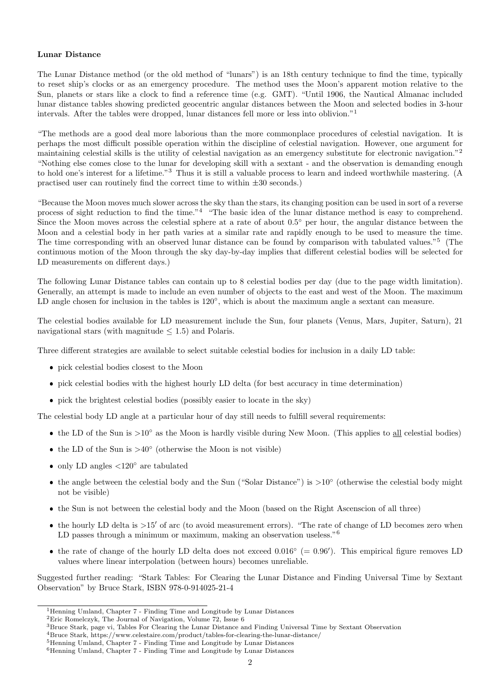### Lunar Distance

The Lunar Distance method (or the old method of "lunars") is an 18th century technique to find the time, typically to reset ship's clocks or as an emergency procedure. The method uses the Moon's apparent motion relative to the Sun, planets or stars like a clock to find a reference time (e.g. GMT). "Until 1906, the Nautical Almanac included lunar distance tables showing predicted geocentric angular distances between the Moon and selected bodies in 3-hour intervals. After the tables were dropped, lunar distances fell more or less into oblivion."<sup>1</sup>

"The methods are a good deal more laborious than the more commonplace procedures of celestial navigation. It is perhaps the most difficult possible operation within the discipline of celestial navigation. However, one argument for maintaining celestial skills is the utility of celestial navigation as an emergency substitute for electronic navigation."<sup>2</sup> "Nothing else comes close to the lunar for developing skill with a sextant - and the observation is demanding enough to hold one's interest for a lifetime."<sup>3</sup> Thus it is still a valuable process to learn and indeed worthwhile mastering. (A practised user can routinely find the correct time to within  $\pm 30$  seconds.)

"Because the Moon moves much slower across the sky than the stars, its changing position can be used in sort of a reverse process of sight reduction to find the time."<sup>4</sup> "The basic idea of the lunar distance method is easy to comprehend. Since the Moon moves across the celestial sphere at a rate of about  $0.5°$  per hour, the angular distance between the Moon and a celestial body in her path varies at a similar rate and rapidly enough to be used to measure the time. The time corresponding with an observed lunar distance can be found by comparison with tabulated values."<sup>5</sup> (The continuous motion of the Moon through the sky day-by-day implies that different celestial bodies will be selected for LD measurements on different days.)

The following Lunar Distance tables can contain up to 8 celestial bodies per day (due to the page width limitation). Generally, an attempt is made to include an even number of objects to the east and west of the Moon. The maximum LD angle chosen for inclusion in the tables is  $120^{\circ}$ , which is about the maximum angle a sextant can measure.

The celestial bodies available for LD measurement include the Sun, four planets (Venus, Mars, Jupiter, Saturn), 21 navigational stars (with magnitude  $\leq$  1.5) and Polaris.

Three different strategies are available to select suitable celestial bodies for inclusion in a daily LD table:

- pick celestial bodies closest to the Moon
- pick celestial bodies with the highest hourly LD delta (for best accuracy in time determination)
- pick the brightest celestial bodies (possibly easier to locate in the sky)

The celestial body LD angle at a particular hour of day still needs to fulfill several requirements:

- the LD of the Sun is >10° as the Moon is hardly visible during New Moon. (This applies to all celestial bodies)
- the LD of the Sun is  $>40^\circ$  (otherwise the Moon is not visible)
- only LD angles  $\langle 120^\circ$  are tabulated
- the angle between the celestial body and the Sun ("Solar Distance") is >10° (otherwise the celestial body might not be visible)
- the Sun is not between the celestial body and the Moon (based on the Right Ascenscion of all three)
- the hourly LD delta is >15' of arc (to avoid measurement errors). "The rate of change of LD becomes zero when LD passes through a minimum or maximum, making an observation useless.<sup>"6</sup>
- the rate of change of the hourly LD delta does not exceed  $0.016°$  (= 0.96'). This empirical figure removes LD values where linear interpolation (between hours) becomes unreliable.

Suggested further reading: "Stark Tables: For Clearing the Lunar Distance and Finding Universal Time by Sextant Observation" by Bruce Stark, ISBN 978-0-914025-21-4

<sup>1</sup>Henning Umland, Chapter 7 - Finding Time and Longitude by Lunar Distances

<sup>2</sup>Eric Romelczyk, The Journal of Navigation, Volume 72, Issue 6

<sup>3</sup>Bruce Stark, page vi, Tables For Clearing the Lunar Distance and Finding Universal Time by Sextant Observation

<sup>4</sup>Bruce Stark, https://www.celestaire.com/product/tables-for-clearing-the-lunar-distance/

<sup>5</sup>Henning Umland, Chapter 7 - Finding Time and Longitude by Lunar Distances

<sup>6</sup>Henning Umland, Chapter 7 - Finding Time and Longitude by Lunar Distances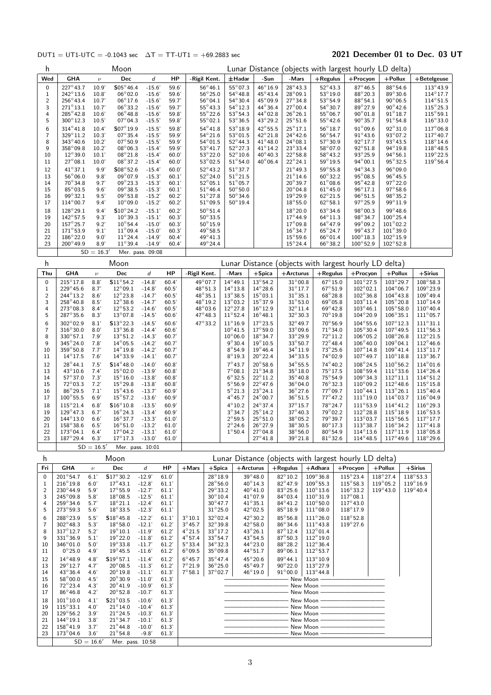### DUT1 = UT1-UTC = -0.1043 sec  $\Delta T = TT$ -UT1 = +69.2883 sec 2021 December 01 to Dec. 03 UT

| h                   |                                         |                      | Moon                                        |                      |                |                                    |                                      |                                              |                                              |                                      |                                      | Lunar Distance (objects with largest hourly LD delta) |                   |                                          |                                        |                                         |                                         |
|---------------------|-----------------------------------------|----------------------|---------------------------------------------|----------------------|----------------|------------------------------------|--------------------------------------|----------------------------------------------|----------------------------------------------|--------------------------------------|--------------------------------------|-------------------------------------------------------|-------------------|------------------------------------------|----------------------------------------|-----------------------------------------|-----------------------------------------|
| Wed                 | <b>GHA</b>                              | $\nu$                | Dec                                         | d                    | HP             |                                    | -Rigil Kent.                         | $±$ Hadar                                    |                                              | -Sun                                 | -Mars                                | $+$ Regulus                                           |                   | $+$ Procyon                              | +Pollux                                | $+$ Betelgeuse                          |                                         |
| 0                   | $227^\circ 43.7$                        | 10.9'                | $$05^{\circ}46.4$                           | $-15.6'$             | 59.6'          |                                    | $56^{\circ}46.1$                     | $55^{\circ}07.3$                             |                                              | 46°16.9                              | $28^\circ 43.3$                      | $52^{\circ}43.3$                                      |                   | $87^\circ 46.5$                          | $88^\circ 54.6$                        |                                         | $113^{\circ}43.9$                       |
| 1<br>$\overline{c}$ | 242°13.6<br>$256^{\circ}43.4$           | 10.8'<br>10.7'       | $06^{\circ}02.0$<br>$06^{\circ}17.6$        | $-15.6'$<br>$-15.6'$ | 59.6'<br>59.7  |                                    | $56^{\circ}25.0$<br>$56^{\circ}04.1$ | $54^{\circ}48.8$<br>$54^\circ 30.4$          |                                              | 45°43.4<br>$45^{\circ}09.9$          | 28°09.1<br>$27^\circ 34.8$           | $53^{\circ}19.0$<br>$53^{\circ}54.9$                  |                   | 88°20.3<br>$88^\circ 54.1$               | 89°30.6<br>$90^{\circ}06.5$            |                                         | $114^{\circ}17.7$<br>$114^{\circ}51.5$  |
| 3                   | $271^{\circ}13.1$                       | 10.7'                | $06^{\circ}33.2$                            | $-15.6'$             | 59.7           |                                    | $55^{\circ}43.3$                     | $54^{\circ}12.3$                             |                                              | $44^{\circ}36.4$                     | $27^{\circ}00.4$                     | $54^{\circ}30.7$                                      |                   | 89°27.9                                  | $90^{\circ}$ 42.6                      |                                         | $115^{\circ}25.3$                       |
| 4                   | $285^\circ 42.8$                        | 10.6'                | $06^{\circ}48.8$                            | $-15.6'$             | 59.8           |                                    | $55^{\circ}22.6$                     | $53^{\circ}54.3$                             |                                              | $44^{\circ}02.8$                     | $26^{\circ}26.1$                     | $55^{\circ}06.7$                                      |                   | $90^{\circ}01.8$                         | $91^{\circ}18.7$                       |                                         | $115^{\circ}59.1$                       |
| 5<br>6              | $300^{\circ}12.3$<br>$314^{\circ}41.8$  | 10.5'<br>10.4'       | $07^{\circ}04.3$<br>S07°19.9                | $-15.5'$<br>$-15.5'$ | 59.8<br>59.8'  |                                    | $55^{\circ}02.1$<br>$54^\circ 41.8$  | $53^{\circ}36.5$<br>53°18.9                  |                                              | 43°29.2<br>$42^{\circ}55.5$          | $25^{\circ}51.6$<br>$25^{\circ}17.1$ | $55^{\circ}42.6$<br>$56^{\circ}18.7$                  |                   | $90^{\circ}35.7$<br>$91^{\circ}09.6$     | $91^{\circ}54.8$<br>$92^{\circ}31.0$   |                                         | $116^{\circ}33.0$<br>$117^{\circ}$ 06.8 |
| $\overline{7}$      | 329°11.2                                | 10.3'                | $07^\circ 35.4$                             | $-15.5'$             | 59.9'          |                                    | $54^{\circ}21.6$                     | $53^{\circ}01.5$                             |                                              | 42°21.8                              | $24^\circ 42.6$                      | $56^{\circ}54.7$                                      |                   | $91^{\circ}$ 43.6                        | 93°07.2                                |                                         | $117^{\circ}$ 40.7                      |
| 8                   | $343^{\circ}40.6$                       | 10.2'                | $07^{\circ}50.9$                            | $-15.5'$             | 59.9'          |                                    | $54^{\circ}01.5$                     | $52^{\circ}$ 44.3                            |                                              | $41^{\circ}48.0$                     | $24^{\circ}08.1$                     | $57^\circ 30.9$                                       |                   | 92°17.7                                  | 93°43.5                                |                                         | $118^{\circ}14.6$                       |
| 9<br>10             | $358^{\circ}09.8$<br>$12^{\circ}39.0$   | 10.2'<br>10.1'       | $08^{\circ}06.3$<br>$08^{\circ}21.8$        | $-15.4'$<br>$-15.4'$ | 59.9'<br>60.0' |                                    | $53^{\circ}41.7$<br>$53^{\circ}22.0$ | $52^{\circ}27.3$<br>$52^{\circ}10.6$         |                                              | $41^{\circ}14.2$<br>$40^{\circ}40.3$ | $23^\circ 33.4$<br>$22^{\circ}58.8$  | $58^{\circ}07.0$<br>$58^{\circ}43.2$                  |                   | $92^{\circ}51.8$<br>93°25.9              | 94°19.8<br>$94^{\circ}56.1$            |                                         | $118^{\circ}48.5$<br>$119^\circ 22.5$   |
| 11                  | $27^{\circ}08.1$                        | 10.0'                | $08^{\circ}37.2$                            | $-15.4'$             | 60.0'          |                                    | $53^{\circ}02.5$                     | $51^{\circ}54.0$                             |                                              | $40^{\circ}06.4$                     | $22^{\circ}24.1$                     | $59^{\circ}19.5$                                      |                   | $94^{\circ}00.1$                         | $95^{\circ}32.5$                       |                                         | $119^{\circ}56.4$                       |
| 12                  | $41^\circ 37.1$                         | 9.9'                 | $$08^{\circ}52.6$                           | $-15.4'$             | 60.0'          |                                    | $52^{\circ}43.2$                     | $51^\circ 37.7$                              |                                              |                                      | $21^{\circ}$ 49.3                    | $59^\circ 55.8$                                       |                   | 94°34.3                                  | 96°09.0                                |                                         |                                         |
| 13<br>14            | $56^{\circ}06.0$<br>$70^\circ$ 34.8     | 9.8'<br>9.7'         | 09°07.9<br>09°23.3                          | $-15.3'$<br>$-15.3'$ | 60.1'<br>60.1' |                                    | $52^{\circ}24.0$<br>$52^{\circ}05.1$ | $51^{\circ}21.5$<br>$51^{\circ}05.7$         |                                              |                                      | $21^{\circ}$ 14.6<br>$20^\circ 39.7$ | $60^\circ 32.2$<br>$61^\circ$ 08.6                    |                   | 95°08.5<br>$95^{\circ}$ 42.8             | $96^{\circ}$ 45.5<br>$97^\circ 22.0$   |                                         |                                         |
| 15                  | $85^{\circ}03.5$                        | 9.6'                 | $09^{\circ}38.5$                            | $-15.3'$             | 60.1'          |                                    | $51^{\circ}46.4$                     | $50^{\circ}50.0$                             |                                              |                                      | $20^{\circ}$ 04.8                    | $61^\circ 45.0$                                       |                   | $96^\circ 17.1$                          | 97°58.6                                |                                         |                                         |
| 16                  | $99^{\circ}32.1$                        | 9.5'                 | $09^{\circ}53.8$                            | $-15.2'$             | 60.2'          |                                    | $51^{\circ}27.8$                     | $50^{\circ}34.6$                             |                                              |                                      | $19^{\circ}29.9$                     | $62^{\circ}21.5$                                      |                   | $96^\circ 51.5$                          | $98^{\circ}35.2$                       |                                         |                                         |
| 17                  | $114^{\circ}00.7$                       | 9.4'                 | $10^{\circ}09.0$                            | $-15.2'$             | 60.2'          |                                    | $51^{\circ}09.5$                     | $50^{\circ}19.4$                             |                                              |                                      | $18^{\circ}55.0$                     | $62^{\circ}58.1$<br>$63^{\circ}34.6$                  |                   | $97^{\circ}25.9$                         | $99^{\circ}11.9$<br>$99^{\circ}48.6$   |                                         |                                         |
| 18<br>19            | 128°29.1<br>$142^{\circ}57.5$           | 9.4'<br>9.3'         | $$10^{\circ}$ 24.2<br>$10^{\circ}39.3$      | $-15.1'$<br>$-15.1'$ | 60.2'<br>60.3' |                                    | $50^{\circ}51.4$<br>$50^\circ$ 33.5  |                                              |                                              |                                      | 18°20.0<br>$17^{\circ}$ 44.9         | $64^{\circ}11.3$                                      |                   | 98°00.3<br>$98^{\circ}34.7$              | $100^{\circ}25.4$                      |                                         |                                         |
| 20                  | $157^{\circ}25.7$                       | 9.2'                 | $10^{\circ}$ 54.4                           | $-15.0'$             | 60.3'          |                                    | $50^{\circ}15.9$                     |                                              |                                              |                                      | $17^{\circ}09.8$                     | $64^{\circ}47.9$                                      |                   | $99^\circ 09.2$                          | $101^{\circ}02.2$                      |                                         |                                         |
| 21<br>22            | $171^{\circ}53.9$<br>$186^{\circ}22.0$  | 9.1'<br>9.0'         | $11^{\circ}09.4$<br>$11^{\circ}24.4$        | $-15.0'$<br>$-14.9'$ | 60.3'<br>60.4' |                                    | 49°58.5<br>$49^{\circ}41.3$          |                                              |                                              |                                      | $16^\circ 34.7$<br>$15^{\circ}59.6$  | $65^{\circ}$ 24.7<br>$66^{\circ}01.4$                 |                   | 99°43.7<br>$100^{\circ}$ 18.3            | $101^{\circ}39.0$<br>$102^{\circ}15.9$ |                                         |                                         |
| 23                  | $200^{\circ}49.9$                       | 8.9'                 | $11^\circ 39.4$                             | $-14.9'$             | 60.4'          |                                    | $49^{\circ}$ 24.4                    |                                              |                                              |                                      | $15^{\circ}$ 24.4                    | $66^\circ$ 38.2                                       |                   | $100^\circ$ 52.9                         | $102^{\circ}52.8$                      |                                         |                                         |
|                     |                                         | $SD = 16.3'$         |                                             | Mer. pass. 09:08     |                |                                    |                                      |                                              |                                              |                                      |                                      |                                                       |                   |                                          |                                        |                                         |                                         |
| h                   |                                         |                      | Moon                                        |                      |                |                                    |                                      |                                              |                                              |                                      |                                      | Lunar Distance (objects with largest hourly LD delta) |                   |                                          |                                        |                                         |                                         |
| Thu                 | <b>GHA</b>                              | $\nu$                | Dec                                         | d                    | HP             | -Rigil Kent.                       |                                      | -Mars                                        | $+$ Spica                                    |                                      | $+$ Arcturus                         | $+$ Regulus                                           |                   | +Procyon                                 | $+$ Pollux                             | $+$ Sirius                              |                                         |
| 0<br>1              | $215^{\circ}17.8$<br>229°45.6           | 8.8'<br>8.7'         | $$11^{\circ}54.2$<br>$12^{\circ}09.1$       | $-14.8'$<br>$-14.8$  | 60.4'<br>60.5' |                                    | 49°07.7<br>48°51.3                   | $14^{\circ}49.1$<br>$14^{\circ}13.8$         | $13^{\circ}54.2$<br>$14^{\circ}28.6$         |                                      | $31^{\circ}00.8$<br>$31^{\circ}17.7$ | $67^\circ 15.0$<br>$67^\circ 51.9$                    |                   | $101^{\circ}$ 27.5<br>$102^{\circ}$ 02.1 | 103°29.7<br>$104^{\circ}06.7$          | $108^{\circ}58.3$<br>109°23.9           |                                         |
| $\overline{c}$      | $244^{\circ}13.2$                       | 8.6'                 | $12^{\circ}23.8$                            | $-14.7'$             | 60.5'          |                                    | 48°35.1                              | $13^{\circ}38.5$                             | $15^{\circ}03.1$                             |                                      | $31^\circ 35.1$                      | $68^{\circ}28.8$                                      |                   | $102^\circ36.8$                          | $104^{\circ}43.8$                      | 109°49.4                                |                                         |
| 3                   | 258°40.8                                | 8.5'                 | $12^{\circ}38.6$                            | $-14.7'$             | 60.5'          |                                    | 48°19.2                              | $13^{\circ}03.2$                             | $15^{\circ}37.9$                             |                                      | $31^\circ 53.0$                      |                                                       | $69^{\circ}$ 05.8 | $103^{\circ}11.4$                        | $105^{\circ}20.8$                      | $110^{\circ}14.9$                       |                                         |
| 4<br>5              | 273°08.3<br>$287^{\circ}35.6$           | 8.4'<br>8.3'         | $12^{\circ}53.2$<br>$13^{\circ}07.8$        | $-14.6'$<br>$-14.5'$ | 60.5'<br>60.6' |                                    | $48^{\circ}03.6$<br>$47^{\circ}48.3$ | $12^{\circ}27.8$<br>$11^{\circ}52.4$         | $16^{\circ}12.9$<br>$16^{\circ}48.1$         |                                      | $32^{\circ}11.4$<br>$32^{\circ}30.3$ | $69^{\circ}42.8$<br>$70^\circ 19.8$                   |                   | $103^{\circ}46.1$<br>$104^\circ 20.9$    | $105^{\circ}58.0$<br>$106^{\circ}35.1$ | $110^{\circ}$ 40.4<br>$111^{\circ}05.7$ |                                         |
| 6                   | 302°02.9                                | 8.1'                 | $$13^{\circ}22.3$                           | $-14.5'$             | 60.6'          |                                    | 47°33.2                              | $11^{\circ}16.9$                             | $17^{\circ}23.5$                             |                                      | 32°49.7                              | 70°56.9                                               |                   | $104^\circ 55.6$                         | $107^{\circ}12.3$                      | $111^{\circ}31.1$                       |                                         |
| 7                   | $316^{\circ}30.0$                       | 8.0'                 | $13^{\circ}36.8$                            | $-14.4'$             | 60.6'          |                                    |                                      | $10^{\circ}$ 41.5                            | $17^{\circ}59.0$                             |                                      | 33°09.6                              | $71^\circ 34.0$                                       |                   | $105^{\circ}30.4$                        | $107^{\circ}$ 49.5                     | $111^{\circ}56.3$                       |                                         |
| 8<br>9              | $330^{\circ}57.1$<br>$345^{\circ}24.0$  | 7.9'<br>7.8'         | $13^{\circ}51.2$<br>$14^{\circ}05.5$        | $-14.3'$<br>$-14.2'$ | 60.7'<br>60.7' |                                    |                                      | $10^{\circ}06.0$<br>$9^{\circ}30.4$          | $18^{\circ}34.7$<br>$19^{\circ}10.5$         |                                      | 33° 29.9<br>$33^\circ 50.7$          | $72^{\circ}11.2$<br>$72^{\circ}$ 48.4                 |                   | $106^{\circ}05.2$<br>$106^\circ 40.0$    | $108^\circ 26.8$<br>$109^{\circ}04.1$  | $112^{\circ}21.5$<br>$112^{\circ}46.6$  |                                         |
| 10                  | $359^\circ 50.8$                        | 7.7'                 | $14^{\circ} 19.8$                           | $-14.2'$             | 60.7'          |                                    |                                      | $8^\circ 54.9$                               | $19^{\circ}46.4$                             |                                      | 34°11.9                              |                                                       | $73^\circ 25.6$   | $107^\circ 14.8$                         | $109^{\circ}41.4$                      | $113^{\circ}11.7$                       |                                         |
| 11                  | $14^{\circ}17.5$                        | 7.6'                 | $14^{\circ}33.9$                            | $-14.1'$             | 60.7'          |                                    |                                      | $8^{\circ}19.3$                              | $20^{\circ}$ 22.4                            |                                      | 34°33.5                              | 74°02.9                                               |                   | 107°49.7                                 | $110^{\circ}18.8$                      | $113^{\circ}36.7$                       |                                         |
| 12<br>13            | $28^\circ 44.1$<br>43°10.6              | 7.5'<br>7.4'         | $$14^{\circ}48.0$<br>$15^{\circ}02.0$       | $-14.0'$<br>$-13.9'$ | 60.8'<br>60.8' |                                    |                                      | $7^\circ$ 43.7<br>$7^{\circ}08.1$            | $20^\circ 58.6$<br>$21^{\circ}34.8$          |                                      | $34^{\circ}55.5$<br>$35^{\circ}18.0$ | $75^{\circ}17.5$                                      | 74°40.2           | $108^\circ 24.5$<br>$108^{\circ}59.4$    | $110^{\circ}56.2$<br>$111^{\circ}33.6$ | $114^{\circ}01.6$<br>$114^{\circ}26.4$  |                                         |
| 14                  | $57^{\circ}37.0$                        | 7.3'                 | $15^{\circ}16.0$                            | $-13.8'$             | 60.8'          |                                    |                                      | $6^{\circ}32.5$                              | $22^{\circ}11.2$                             |                                      | $35^\circ 40.8$                      | 75°54.9                                               |                   | $109^{\circ}34.3$                        | $112^{\circ}11.1$                      | $114^{\circ}51.2$                       |                                         |
| 15<br>16            | 72°03.3<br>$86^\circ 29.5$              | 7.2'<br>7.1'         | $15^{\circ}$ 29.8<br>$15^{\circ}$ 43.6      | $-13.8'$<br>$-13.7'$ | 60.8'<br>60.9' |                                    |                                      | $5^{\circ}56.9$<br>$5^{\circ}21.3$           | $22^{\circ}47.6$<br>$23^{\circ}24.1$         |                                      | $36^{\circ}04.0$<br>$36^{\circ}27.6$ | $76^\circ$ 32.3                                       | $77^{\circ}09.7$  | $110^{\circ}09.2$<br>$110^{\circ}$ 44.1  | $112^\circ 48.6$<br>$113^{\circ}26.1$  | $115^{\circ}15.8$<br>$115^{\circ}40.4$  |                                         |
| 17                  | $100^{\circ}55.5$                       | 6.9'                 | $15^{\circ}57.2$                            | $-13.6'$             | 60.9'          |                                    |                                      | $4^{\circ}45.7$                              | $24^{\circ}00.7$                             |                                      | $36^{\circ}51.5$                     |                                                       | $77^\circ 47.2$   | $111^\circ19.0$                          | $114^{\circ}03.7$                      | $116^{\circ}04.9$                       |                                         |
| 18                  | $115^{\circ}21.4$                       | 6.8'                 | $$16^{\circ}10.8$                           | $-13.5'$             | 60.9'          |                                    |                                      | $4^{\circ}10.2$                              | $24^{\circ}37.4$                             |                                      | $37^\circ 15.7$                      |                                                       | 78°24.7           | $111^{\circ}53.9$                        | $114^{\circ}41.2$                      | $116^{\circ}29.3$                       |                                         |
| 19<br>20            | $129^{\circ}$ 47.3<br>$144^{\circ}13.0$ | 6.7'<br>6.6'         | $16^{\circ}$ 24.3<br>$16^\circ 37.7$        | $-13.4'$<br>$-13.3'$ | 60.9'<br>61.0' |                                    |                                      | $3^\circ$ 34.7<br>$2^{\circ}59.5$            | $25^{\circ}$ 14.2<br>$25^{\circ}51.0$        |                                      | $37^\circ 40.3$<br>$38^\circ$ 05.2   | 79°39.7                                               | 79°02.2           | $112^{\circ}28.8$<br>$113^{\circ}03.7$   | $115^{\circ}18.9$<br>$115^{\circ}56.5$ | $116^{\circ}53.5$<br>$117^{\circ}17.7$  |                                         |
| 21                  | $158^{\circ}38.6$                       | 6.5'                 | $16^{\circ}51.0$                            | $-13.2'$             | 61.0'          |                                    |                                      | $2^{\circ}$ 24.6                             | $26^{\circ}27.9$                             |                                      | $38^{\circ}30.5$                     |                                                       | $80^\circ$ 17.3   | $113^{\circ}38.7$                        | $116^{\circ}34.2$                      | $117^{\circ}41.8$                       |                                         |
| 22                  | $173^\circ$ 04.1                        | 6.4'                 | $17^{\circ}04.2$ -13.1'                     |                      | 61.0'          |                                    |                                      | $1^{\circ}50.4$                              | $27^{\circ}$ 04.8                            |                                      | $38^\circ 56.0$                      |                                                       | $80^\circ 54.9$   |                                          | $114^{\circ}13.6$   $117^{\circ}11.9$  | $118^{\circ}$ 05.8                      |                                         |
| 23                  | $187^\circ 29.4$                        | 6.3'<br>$SD = 16.5'$ | $17^{\circ}17.3$ -13.0'<br>Mer. pass. 10:01 |                      | 61.0'          |                                    |                                      |                                              | $27^{\circ}41.8$                             |                                      | $39^\circ 21.8$                      | $81^{\circ}32.6$                                      |                   | $114^\circ 48.5$                         | $117^{\circ}$ 49.6                     | $118^{\circ}29.6$                       |                                         |
| h                   |                                         |                      | Moon                                        |                      |                |                                    |                                      |                                              |                                              |                                      |                                      | Lunar Distance (objects with largest hourly LD delta) |                   |                                          |                                        |                                         |                                         |
| Fri                 | GHA                                     | $\nu$                | Dec                                         | d                    | HP             | $+$ Mars                           | $+$ Spica                            |                                              | +Arcturus                                    |                                      | $+$ Regulus                          | +Adhara                                               |                   | $+$ Procyon                              | $+$ Pollux                             | $+$ Sirius                              |                                         |
| 0                   | $201^\circ$ 54.7                        | 6.1'                 | $$17^{\circ}30.2$                           | $-12.9'$             | 61.0           |                                    | $28^{\circ}18.9$                     |                                              | 39°48.0                                      |                                      | $82^{\circ}$ 10.2                    | $109^\circ$ 36.8                                      |                   | $115^{\circ}23.4$                        | 118°27.4                               | $118^{\circ}$ 53.3                      |                                         |
| $1\,$               | $216^{\circ}$ 19.8                      | 6.0'                 | $17^{\circ}$ 43.1                           | $-12.8'$             | 61.1'          |                                    | $28^\circ 56.0$                      |                                              | $40^\circ$ 14.3                              |                                      | $82^\circ 47.9$                      | $109^\circ 55.3$                                      |                   | $115^{\circ}58.3$                        | $119^{\circ}05.2$                      | $119^{\circ}16.9$                       |                                         |
| $\overline{c}$<br>3 | $230^{\circ}$ 44.9<br>$245^{\circ}09.8$ | 5.9'<br>5.8'         | $17^{\circ}55.9$<br>$18^{\circ}$ 08.5       | $-12.7'$<br>$-12.5'$ | 61.1'<br>61.1' |                                    | 29°33.2<br>$30^{\circ}10.4$          |                                              | 40°41.0<br>$41^{\circ}07.9$                  |                                      | $83^\circ 25.6$<br>$84^{\circ}03.4$  | $110^{\circ}$ 13.6<br>$110^{\circ}31.9$               |                   | $116^{\circ}33.2$<br>$117^{\circ}08.1$   | $119^{\circ}43.0$                      | $119^{\circ}$ 40.4                      |                                         |
| 4                   | $259^{\circ}34.6$                       | 5.7'                 | $18^{\circ}21.1$                            | $-12.4'$             | 61.1'          |                                    | $30^\circ 47.7$                      |                                              | $41^{\circ}35.1$                             |                                      | $84^{\circ}41.2$                     | $110^{\circ}50.0$                                     |                   | $117^{\circ}43.0$                        |                                        |                                         |                                         |
| 5                   | 273°59.3                                | 5.6'                 | $18^{\circ}33.5$                            | $-12.3'$             | 61.1'          |                                    | $31^{\circ}25.0$                     |                                              | $42^{\circ}02.5$                             |                                      | $85^\circ 18.9$                      | $111^{\circ}08.0$                                     |                   | $118^{\circ}17.9$                        |                                        |                                         |                                         |
| 6<br>7              | 288°23.9<br>$302^{\circ}48.3$           | 5.5'<br>5.3'         | $$18^{\circ}45.8$<br>$18^{\circ} 58.0$      | $-12.2'$<br>$-12.1'$ | 61.1'<br>61.2' | $3^{\circ}10.1$<br>$3^{\circ}45.7$ | $32^{\circ}02.4$<br>32°39.8          |                                              | 42°30.2<br>$42^{\circ}58.0$                  |                                      | $85^{\circ}56.8$<br>$86^{\circ}34.6$ | $111^{\circ}26.0$<br>$111^{\circ}43.8$                |                   | $118^\circ 52.8$<br>$119^{\circ}27.6$    |                                        |                                         |                                         |
| 8                   | $317^{\circ}12.7$                       | 5.2'                 | $19^{\circ}10.1$                            | $-11.9'$             | 61.2'          | $4^{\circ}21.5$                    | $33^{\circ}17.2$                     |                                              | $43^{\circ}26.1$                             |                                      | $87^\circ 12.4$                      | $112^{\circ}01.4$                                     |                   |                                          |                                        |                                         |                                         |
| 9<br>10             | 331°36.9<br>$346^{\circ}01.0$           | 5.1'<br>5.0'         | $19^{\circ}22.0$<br>$19^{\circ}33.8$        | $-11.8'$<br>$-11.7'$ | 61.2'<br>61.2  | $4^{\circ}57.4$<br>$5^\circ$ 33.4  | $33^\circ 54.7$<br>$34^{\circ}32.3$  |                                              | $43^{\circ}54.5$<br>$44^{\circ}23.0$         |                                      | $87^\circ 50.3$<br>$88^\circ 28.2$   | $112^{\circ}19.0$<br>$112^{\circ}36.4$                |                   |                                          |                                        |                                         |                                         |
| 11                  | $0^{\circ}25.0$                         | 4.9'                 | $19^{\circ}$ 45.5                           | $-11.6'$             | 61.2'          | $6^{\circ}09.5$                    | $35^{\circ}09.8$                     |                                              | $44^{\circ}51.7$                             |                                      | $89^\circ 06.1$                      | $112^{\circ}53.7$                                     |                   |                                          |                                        |                                         |                                         |
| 12                  | $14^{\circ}48.9$                        | 4.8'                 | $$19^{\circ}57.1$                           | $-11.4'$             | 61.2'          | $6^{\circ}$ 45.7                   | $35^\circ 47.4$                      |                                              | 45°20.6                                      |                                      | $89^\circ 44.1$                      | $113^{\circ}10.9$                                     |                   |                                          |                                        |                                         |                                         |
| 13                  | $29^{\circ}$ 12.7                       | 4.7'                 | $20^{\circ}$ 08.5                           | $-11.3'$             | 61.2'          | $7^\circ 21.9$                     | $36^\circ 25.0$                      |                                              | $45^{\circ}49.7$                             |                                      | $90^\circ 22.0$                      | 113°27.9                                              |                   |                                          |                                        |                                         |                                         |
| 14<br>15            | $43^{\circ}36.4$<br>$58^\circ 00.0$     | 4.6'<br>4.5'         | $20^{\circ}$ 19.8<br>$20^{\circ}30.9$       | $-11.1'$<br>$-11.0'$ | 61.3'<br>61.3' | $7^\circ 58.1$                     | $37^{\circ}02.7$                     |                                              | $46^\circ 19.0$                              |                                      | $91^\circ$ 00.0                      | $113^\circ$ 44.8<br>- New Moon -                      |                   |                                          |                                        |                                         |                                         |
| 16                  | $72^\circ$ 23.4                         | 4.3'                 | $20^{\circ}$ 41.9                           | $-10.9'$             | 61.3'          |                                    |                                      |                                              |                                              |                                      |                                      |                                                       |                   |                                          |                                        |                                         |                                         |
| 17                  | $86^{\circ}46.8$                        | 4.2'                 | $20^{\circ}52.8$                            | $-10.7'$             | 61.3'          |                                    |                                      |                                              | the control of the control of the control of |                                      |                                      |                                                       |                   |                                          |                                        |                                         |                                         |
| 18<br>19            | $101^\circ 10.0$<br>$115^{\circ}33.1$   | 4.1'<br>4.0'         | $$21^{\circ}03.5$<br>$21^{\circ}$ 14.0      | $-10.6'$<br>$-10.4'$ | 61.3'<br>61.3' |                                    |                                      | the control of the control of the control of |                                              |                                      |                                      | — New Moon ————————————                               |                   |                                          |                                        |                                         |                                         |
| 20                  | $129^{\circ}56.2$                       | 3.9'                 | $21^{\circ}24.5$                            | $-10.3'$             | 61.3'          |                                    |                                      |                                              |                                              |                                      |                                      |                                                       |                   |                                          |                                        |                                         |                                         |
| 21<br>22            | $144^{\circ}19.1$<br>$158^{\circ}41.9$  | 3.8'<br>3.7'         | $21^{\circ}34.7$<br>$21^{\circ}$ 44.8       | $-10.1'$<br>$-10.0'$ | 61.3'<br>61.3' |                                    |                                      |                                              | <u> 1989 - Johann John Stone, markin f</u>   |                                      |                                      |                                                       |                   |                                          |                                        |                                         |                                         |
| 23                  | $173^{\circ}04.6$                       | 3.6'                 | $21^{\circ}$ 54.8                           | $-9.8'$              | 61.3'          |                                    |                                      |                                              |                                              |                                      |                                      |                                                       |                   |                                          |                                        |                                         |                                         |
|                     |                                         | $SD = 16.6'$         | Mer. pass. 10:58                            |                      |                |                                    |                                      |                                              |                                              |                                      |                                      |                                                       |                   |                                          |                                        |                                         |                                         |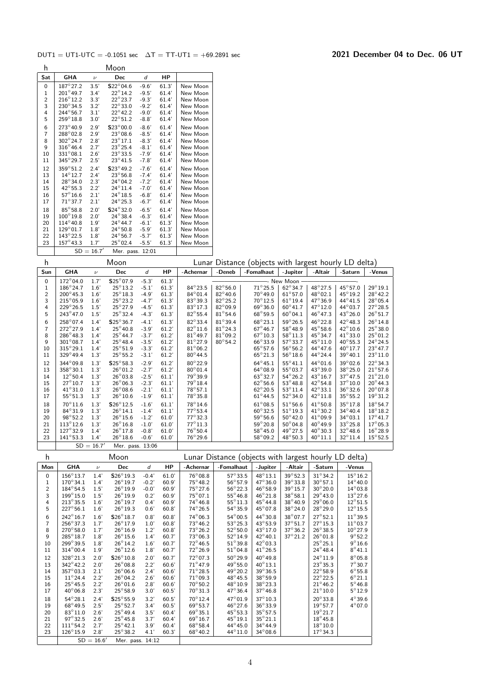|--|

| h              |                   |                    | Moon              |         |       |          |
|----------------|-------------------|--------------------|-------------------|---------|-------|----------|
| Sat            | <b>GHA</b>        | $\boldsymbol{\nu}$ | Dec               | d       | НP    |          |
| $\mathbf 0$    | $187^\circ 27.2$  | 3.5'               | $$22^{\circ}04.6$ | $-9.6'$ | 61.3' | New Moon |
| 1              | $201^{\circ}49.7$ | 3.4'               | $22^{\circ}14.2$  | $-9.5'$ | 61.4  | New Moon |
| $\overline{c}$ | $216^{\circ}12.2$ | 3.3'               | $22^{\circ}23.7$  | $-9.3'$ | 61.4' | New Moon |
| 3              | $230^{\circ}34.5$ | 3.2'               | $22^{\circ}33.0$  | $-9.2'$ | 61.4' | New Moon |
| 4              | $244^{\circ}56.7$ | 3.1'               | $22^{\circ}$ 42.2 | $-9.0'$ | 61.4' | New Moon |
| 5              | $259^\circ 18.8$  | 3.0'               | $22^{\circ}51.2$  | $-8.8'$ | 61.4  | New Moon |
| 6              | $273^{\circ}40.9$ | 2.9'               | $$23^{\circ}00.0$ | $-8.6'$ | 61.4' | New Moon |
| $\overline{7}$ | $288^{\circ}02.8$ | 2.9'               | $23^\circ$ 08.6   | $-8.5'$ | 61.4' | New Moon |
| 8              | $302^{\circ}24.7$ | 2.8'               | $23^{\circ}17.1$  | $-8.3'$ | 61.4  | New Moon |
| 9              | $316^{\circ}46.4$ | 2.7'               | $23^{\circ}25.4$  | $-8.1'$ | 61.4' | New Moon |
| 10             | $331^{\circ}08.1$ | 2.6'               | $23^{\circ}33.5$  | $-7.9'$ | 61.4' | New Moon |
| 11             | $345^\circ 29.7$  | 2.5'               | $23^{\circ}41.5$  | $-7.8'$ | 61.4' | New Moon |
| 12             | $359^{\circ}51.2$ | 2.4'               | $$23^{\circ}49.2$ | $-7.6'$ | 61.4' | New Moon |
| 13             | $14^{\circ}12.7$  | 2.4'               | $23^{\circ}56.8$  | $-7.4'$ | 61.4' | New Moon |
| 14             | $28^{\circ}34.0$  | 2.3'               | $24^{\circ}04.2$  | $-7.2'$ | 61.4' | New Moon |
| 15             | $42^{\circ}55.3$  | 2.2'               | $24^{\circ}11.4$  | $-7.0'$ | 61.4  | New Moon |
| 16             | $57^\circ 16.6$   | 2.1'               | $24^{\circ}18.5$  | $-6.8'$ | 61.4' | New Moon |
| 17             | $71^\circ$ 37.7   | 2.1'               | $24^{\circ}25.3$  | $-6.7'$ | 61.4' | New Moon |
| 18             | $85^\circ 58.8$   | 2.0'               | $$24^{\circ}32.0$ | $-6.5'$ | 61.4' | New Moon |
| 19             | $100^{\circ}19.8$ | 2.0'               | $24^{\circ}38.4$  | $-6.3'$ | 61.4' | New Moon |
| 20             | $114^{\circ}40.8$ | 1.9'               | $24^{\circ}44.7$  | $-6.1'$ | 61.3' | New Moon |
| 21             | $129^{\circ}01.7$ | 1.8'               | $24^{\circ}50.8$  | $-5.9'$ | 61.3' | New Moon |
| 22             | $143^{\circ}22.5$ | 1.8'               | $24^{\circ}56.7$  | $-5.7'$ | 61.3' | New Moon |
| 23             | $157^{\circ}43.3$ | 17'                | $25^\circ$ 02.4   | $-5.5'$ | 61.3' | New Moon |
|                |                   | $SD = 16.7'$       | Mer. pass.        | 12:01   |       |          |

|  | Lunar Distance (objects with largest hourly LD delta) |  |  |  |
|--|-------------------------------------------------------|--|--|--|
|--|-------------------------------------------------------|--|--|--|

| h              |                    |              | Moon              |         |       |                 |                   | Lunar Distance (objects with largest hourly LD delta) |                   |                  |                  |                   |
|----------------|--------------------|--------------|-------------------|---------|-------|-----------------|-------------------|-------------------------------------------------------|-------------------|------------------|------------------|-------------------|
| Sun            | <b>GHA</b>         | $\nu$        | Dec               | d       | HP    | -Achernar       | -Deneb            | -Fomalhaut                                            | -Jupiter          | -Altair          | -Saturn          | -Venus            |
| $\Omega$       | $172^\circ$ 04.0   | 1.7'         | $$25^{\circ}07.9$ | $-5.3'$ | 61.3' |                 |                   |                                                       | ——- New Moon -    |                  |                  |                   |
| 1              | $186^{\circ}$ 24.7 | 1.6'         | $25^{\circ}13.2$  | $-5.1'$ | 61.3' | $84^\circ 23.5$ | $82^{\circ}56.0$  | $71^\circ 25.5$                                       | $62^{\circ}34.7$  | $48^{\circ}27.5$ | $45^\circ 57.0$  | $29^{\circ}19.1$  |
| $\overline{c}$ | $200^{\circ}45.3$  | 1.6'         | $25^{\circ}18.3$  | $-4.9'$ | 61.3' | $84^\circ 01.4$ | $82^{\circ}$ 40.6 | $70^\circ 49.0$                                       | $61^{\circ}57.0$  | $48^{\circ}02.1$ | $45^{\circ}19.2$ | $28^\circ 42.2$   |
| 3              | $215^{\circ}05.9$  | 1.6'         | $25^{\circ}23.2$  | $-4.7'$ | 61.3' | $83^\circ 39.3$ | $82^{\circ}25.2$  | $70^\circ 12.5$                                       | $61^\circ 19.4$   | $47^{\circ}36.9$ | $44^{\circ}41.5$ | $28^\circ$ 05.4   |
| 4              | $229^{\circ}26.5$  | 1.5'         | $25^{\circ}27.9$  | $-4.5'$ | 61.3' | $83^\circ 17.3$ | $82^{\circ}09.9$  | $69^{\circ}36.0$                                      | $60^{\circ}41.7$  | 47°12.0          | $44^{\circ}03.7$ | $27^\circ 28.5$   |
| 5              | 243°47.0           | 1.5'         | $25^{\circ}32.4$  | $-4.3'$ | 61.3' | $82^\circ 55.4$ | $81^\circ$ 54.6   | $68^{\circ}59.5$                                      | $60^{\circ}$ 04.1 | $46^{\circ}47.3$ | $43^{\circ}26.0$ | $26^\circ 51.7$   |
| 6              | 258°07.4           | 1.4'         | S25°36.7          | $-4.1'$ | 61.3' | $82^\circ 33.4$ | $81^\circ 39.4$   | $68^{\circ}23.1$                                      | $59^\circ 26.5$   | $46^\circ 22.8$  | $42^{\circ}48.3$ | $26^\circ 14.8$   |
| $\overline{7}$ | $272^\circ 27.9$   | 1.4'         | $25^{\circ}40.8$  | $-3.9'$ | 61.2' | $82^\circ 11.6$ | $81^\circ 24.3$   | $67^{\circ}46.7$                                      | $58^\circ 48.9$   | $45^{\circ}58.6$ | $42^{\circ}10.6$ | $25^\circ 38.0$   |
| 8              | $286^{\circ}48.3$  | 1.4'         | $25^\circ 44.7$   | $-3.7'$ | 61.2' | $81^\circ 49.7$ | $81^\circ 09.2$   | $67^\circ 10.3$                                       | $58^\circ 11.3$   | $45^{\circ}34.7$ | $41^{\circ}33.0$ | $25^{\circ}01.2$  |
| 9              | $301^{\circ}08.7$  | 1.4'         | $25^{\circ}48.4$  | $-3.5'$ | 61.2' | $81^\circ 27.9$ | $80^\circ 54.2$   | $66^{\circ}33.9$                                      | $57^\circ 33.7$   | $45^\circ 11.0$  | $40^{\circ}55.3$ | $24^{\circ}24.5$  |
| 10             | $315^{\circ}29.1$  | 1.4'         | $25^{\circ}51.9$  | $-3.3'$ | 61.2' | $81^\circ$ 06.2 |                   | $65^\circ 57.6$                                       | $56^{\circ}56.2$  | $44^{\circ}47.6$ | $40^{\circ}17.7$ | $23^\circ 47.7$   |
| 11             | $329^{\circ}49.4$  | 1.3'         | $25^{\circ}55.2$  | $-3.1'$ | 61.2' | $80^\circ 44.5$ |                   | $65^{\circ}21.3$                                      | $56^{\circ}18.6$  | 44°24.4          | $39^{\circ}40.1$ | $23^{\circ}11.0$  |
| 12             | $344^{\circ}09.8$  | 1.3'         | $$25^{\circ}58.3$ | $-2.9'$ | 61.2' | $80^\circ 22.9$ |                   | $64^\circ 45.1$                                       | $55^{\circ}41.1$  | 44°01.6          | $39^\circ$ 02.6  | $22^{\circ}34.3$  |
| 13             | 358°30.1           | 1.3'         | $26^{\circ}01.2$  | $-2.7'$ | 61.2' | $80^\circ 01.4$ |                   | $64^{\circ}08.9$                                      | $55^{\circ}03.7$  | $43^{\circ}39.0$ | $38^\circ 25.0$  | $21^\circ 57.6$   |
| 14             | $12^{\circ}50.4$   | 1.3'         | $26^{\circ}$ 03.8 | $-2.5'$ | 61.1' | 79°39.9         |                   | $63^{\circ}32.7$                                      | $54^{\circ}26.2$  | $43^{\circ}16.7$ | $37^\circ 47.5$  | $21^{\circ}21.0$  |
| 15             | $27^{\circ}10.7$   | 1.3'         | $26^{\circ}06.3$  | $-2.3'$ | 61.1' | $79^\circ 18.4$ |                   | $62^{\circ}56.6$                                      | $53^{\circ}48.8$  | $42^{\circ}54.8$ | $37^\circ 10.0$  | $20^{\circ}$ 44.3 |
| 16             | $41^{\circ}31.0$   | 1.3'         | $26^{\circ}08.6$  | $-2.1'$ | 61.1' | $78^\circ 57.1$ |                   | $62^{\circ}20.5$                                      | $53^{\circ}11.4$  | $42^{\circ}33.1$ | $36^\circ 32.6$  | $20^{\circ}$ 07.8 |
| 17             | $55^{\circ}51.3$   | 1.3'         | $26^{\circ}10.6$  | $-1.9'$ | 61.1' | $78^\circ 35.8$ |                   | $61^\circ 44.5$                                       | $52^{\circ}34.0$  | $42^{\circ}11.8$ | $35^{\circ}55.2$ | $19^{\circ}31.2$  |
| 18             | $70^\circ 11.6$    | 1.3'         | $$26^{\circ}12.5$ | $-1.6'$ | 61.1' | $78^\circ 14.6$ |                   | $61^{\circ}08.5$                                      | $51^\circ 56.6$   | $41^{\circ}50.8$ | $35^\circ 17.8$  | $18^{\circ} 54.7$ |
| 19             | $84^{\circ}31.9$   | 1.3'         | $26^{\circ}14.1$  | $-1.4'$ | 61.1' | $77^\circ 53.4$ |                   | $60^{\circ}32.5$                                      | $51^\circ 19.3$   | $41^{\circ}30.2$ | $34^{\circ}40.4$ | $18^\circ 18.2$   |
| 20             | $98^\circ 52.2$    | 1.3'         | $26^{\circ}15.6$  | $-1.2'$ | 61.0' | $77^\circ 32.3$ |                   | $59^\circ 56.6$                                       | $50^\circ 42.0$   | $41^{\circ}09.9$ | $34^{\circ}03.1$ | $17^{\circ}41.7$  |
| 21             | $113^{\circ}12.6$  | 1.3'         | $26^{\circ}16.8$  | $-1.0'$ | 61.0' | $77^\circ 11.3$ |                   | $59^{\circ}20.8$                                      | $50^{\circ}$ 04.8 | $40^{\circ}49.9$ | $33^\circ 25.8$  | $17^{\circ}05.3$  |
| 22             | $127^\circ 32.9$   | 1.4'         | $26^{\circ}17.8$  | $-0.8'$ | 61.0' | $76^\circ 50.4$ |                   | $58^\circ 45.0$                                       | $49^{\circ}27.5$  | $40^{\circ}30.3$ | $32^\circ 48.6$  | $16^{\circ} 28.9$ |
| 23             | $141^{\circ}53.3$  | 1.4'         | $26^{\circ}18.6$  | $-0.6'$ | 61.0' | $76^\circ 29.6$ |                   | $58^{\circ}09.2$                                      | $48^{\circ}50.3$  | $40^\circ 11.1$  | $32^{\circ}11.4$ | $15^{\circ}52.5$  |
|                |                    | $SD = 16.7'$ | Mer. pass. 13:06  |         |       |                 |                   |                                                       |                   |                  |                  |                   |

| h              |                   |              | Moon              |         |       |                   | Lunar Distance (objects with largest hourly LD delta) |                  |                  |                  |                  |
|----------------|-------------------|--------------|-------------------|---------|-------|-------------------|-------------------------------------------------------|------------------|------------------|------------------|------------------|
| Mon            | <b>GHA</b>        | $\nu$        | <b>Dec</b>        | d       | HP.   | -Achernar         | -Fomalhaut                                            | -Jupiter         | -Altair          | -Saturn          | -Venus           |
| 0              | $156^{\circ}13.7$ | 1.4'         | $$26^{\circ}19.3$ | $-0.4'$ | 61.0' | $76^\circ$ 08.8   | $57^\circ 33.5$                                       | $48^{\circ}13.1$ | $39^\circ 52.3$  | $31^\circ 34.2$  | $15^{\circ}16.2$ |
| 1              | $170^{\circ}34.1$ | 1.4'         | $26^\circ 19.7$   | $-0.2'$ | 60.9' | $75^\circ 48.2$   | $56^{\circ}57.9$                                      | $47^{\circ}36.0$ | $39^{\circ}33.8$ | $30^{\circ}57.1$ | $14^{\circ}40.0$ |
| $\overline{2}$ | $184^{\circ}54.5$ | 1.5'         | $26^{\circ}19.9$  | $-0.0'$ | 60.9' | $75^\circ 27.6$   | $56^{\circ}22.3$                                      | $46^{\circ}58.9$ | $39^\circ 15.7$  | $30^\circ 20.0$  | $14^{\circ}03.8$ |
| 3              | $199^{\circ}15.0$ | 1.5'         | $26^{\circ}19.9$  | 0.2'    | 60.9' | $75^{\circ}07.1$  | $55^{\circ}46.8$                                      | $46^{\circ}21.8$ | $38^\circ 58.1$  | $29^{\circ}43.0$ | $13^{\circ}27.6$ |
| 4              | $213^{\circ}35.5$ | 1.6'         | $26^{\circ}$ 19.7 | 0.4'    | 60.9' | $74^{\circ}46.8$  | $55^{\circ}11.3$                                      | $45^{\circ}44.8$ | $38^{\circ}40.9$ | $29^{\circ}06.0$ | $12^{\circ}51.5$ |
| 5              | $227^{\circ}56.1$ | 1.6'         | $26^{\circ}$ 19.3 | 0.6'    | 60.8' | $74^{\circ}26.5$  | $54^{\circ}35.9$                                      | $45^{\circ}07.8$ | $38^\circ 24.0$  | $28^{\circ}29.0$ | $12^{\circ}15.5$ |
| 6              | $242^{\circ}16.7$ | 1.6'         | $$26^{\circ}18.7$ | 0.8'    | 60.8' | $74^{\circ}06.3$  | $54^{\circ}00.5$                                      | 44°30.8          | $38^\circ$ 07.7  | $27^{\circ}52.1$ | $11^{\circ}39.5$ |
| 7              | $256^{\circ}37.3$ | 1.7'         | $26^\circ 17.9$   | 1.0'    | 60.8' | $73^\circ 46.2$   | $53^{\circ}25.3$                                      | $43^{\circ}53.9$ | $37^\circ 51.7$  | $27^{\circ}15.3$ | $11^{\circ}03.7$ |
| 8              | $270^{\circ}58.0$ | 1.7'         | $26^{\circ}16.9$  | 1.2'    | 60.8' | $73^\circ 26.2$   | $52^{\circ}50.0$                                      | $43^{\circ}17.0$ | $37^\circ 36.2$  | $26^{\circ}38.5$ | $10^{\circ}27.9$ |
| 9              | $285^{\circ}18.7$ | 1.8'         | $26^{\circ}15.6$  | 1.4'    | 60.7' | $73^\circ$ 06.3   | $52^{\circ}14.9$                                      | $42^{\circ}40.1$ | $37^\circ 21.2$  | $26^{\circ}01.8$ | $9^{\circ}52.2$  |
| 10             | 299°39.5          | 1.8'         | $26^{\circ}$ 14.2 | 1.6'    | 60.7' | $72^{\circ}46.5$  | $51^\circ 39.8$                                       | $42^{\circ}03.3$ |                  | $25^{\circ}25.1$ | $9^{\circ}16.6$  |
| 11             | $314^{\circ}00.4$ | 1.9'         | $26^\circ 12.6$   | 1.8'    | 60.7' | $72^{\circ}26.9$  | $51^{\circ}04.8$                                      | $41^{\circ}26.5$ |                  | $24^{\circ}48.4$ | $8^{\circ}41.1$  |
| 12             | $328^{\circ}21.3$ | 2.0'         | $$26^{\circ}10.8$ | 2.0'    | 60.7' | $72^{\circ}$ 07.3 | $50^\circ 29.9$                                       | $40^{\circ}49.8$ |                  | $24^{\circ}11.9$ | $8^{\circ}05.8$  |
| 13             | $342^{\circ}42.2$ | 2.0'         | $26^{\circ}$ 08.8 | 2.2'    | 60.6' | $71^\circ 47.9$   | $49^{\circ}55.0$                                      | $40^{\circ}13.1$ |                  | $23^{\circ}35.3$ | $7^\circ 30.7$   |
| 14             | $357^{\circ}03.3$ | 2.1'         | $26^\circ$ 06.6   | 2.4'    | 60.6' | $71^\circ 28.5$   | $49^{\circ}20.2$                                      | $39^\circ$ 36.5  |                  | $22^{\circ}58.9$ | $6^{\circ}55.8$  |
| 15             | $11^{\circ}24.4$  | 2.2'         | $26^{\circ}$ 04.2 | 2.6'    | 60.6' | $71^\circ$ 09.3   | $48^{\circ}45.5$                                      | 38°59.9          |                  | $22^{\circ}22.5$ | $6^{\circ}21.1$  |
| 16             | $25^{\circ}45.5$  | 2.2'         | $26^{\circ}01.6$  | 2.8'    | 60.6' | $70^\circ 50.2$   | 48°10.9                                               | $38^\circ 23.3$  |                  | $21^{\circ}46.2$ | $5^{\circ}$ 46.8 |
| 17             | $40^{\circ}06.8$  | 2.3'         | $25^{\circ}58.9$  | 3.0'    | 60.5' | $70^{\circ}31.3$  | $47^{\circ}36.4$                                      | $37^\circ 46.8$  |                  | $21^{\circ}10.0$ | $5^{\circ}12.9$  |
| 18             | $54^{\circ}28.1$  | 2.4'         | S25°55.9          | 3.2'    | 60.5' | $70^\circ 12.4$   | $47^\circ 01.9$                                       | $37^\circ 10.3$  |                  | $20^\circ 33.8$  | $4^\circ$ 39.6   |
| 19             | $68^{\circ}49.5$  | 2.5'         | $25^\circ 52.7$   | 3.4'    | 60.5' | $69^{\circ}53.7$  | $46^{\circ}27.6$                                      | 36°33.9          |                  | $19^{\circ}57.7$ | $4^{\circ}07.0$  |
| 20             | 83°11.0           | 2.6'         | $25^{\circ}$ 49.4 | 3.5'    | 60.4' | $69^{\circ}35.1$  | $45^{\circ}53.3$                                      | $35^{\circ}57.5$ |                  | $19^{\circ}21.7$ |                  |
| 21             | $97^\circ 32.5$   | 2.6'         | $25^{\circ}$ 45.8 | 3.7'    | 60.4' | $69^{\circ}16.7$  | $45^{\circ}19.1$                                      | $35^{\circ}21.1$ |                  | $18^\circ 45.8$  |                  |
| 22             | $111^{\circ}54.2$ | 2.7'         | $25^\circ 42.1$   | 3.9'    | 60.4' | $68^{\circ}58.4$  | $44^{\circ}45.0$                                      | $34^{\circ}44.9$ |                  | $18^{\circ}10.0$ |                  |
| 23             | $126^{\circ}15.9$ | 2.8'         | $25^\circ 38.2$   | 4.1'    | 60.3' | $68^{\circ}40.2$  | 44°11.0                                               | $34^\circ$ 08.6  |                  | $17^{\circ}34.3$ |                  |
|                |                   | $SD = 16.6'$ | Mer. pass. 14:12  |         |       |                   |                                                       |                  |                  |                  |                  |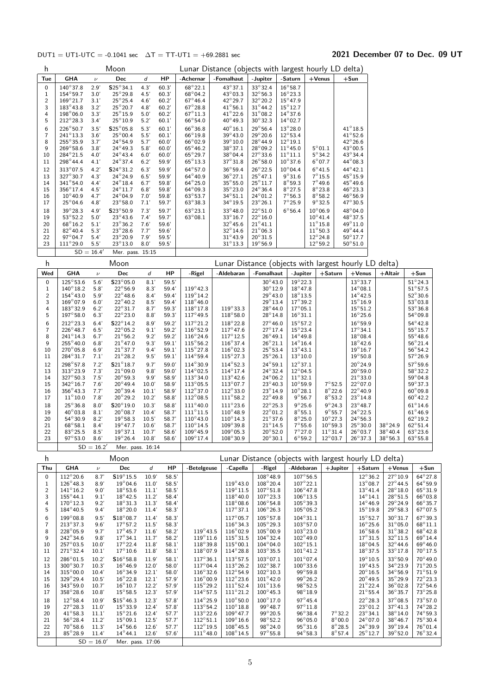### $DUT1 = UT1-UTC = -0.1041 \text{ sec}$   $\Delta T = TT-UT1 = +69.2881 \text{ sec}$  2021 December 07 to Dec. 09 UT

 $64^{\circ}$  27.8

 $76^{\circ}32.4$ 

| h                                 |                                                                                |                              | Moon                                                                          |                              |                                  | Lunar Distance (objects with largest hourly LD delta)                        |                                                            |                                                                       |                                                                              |                                    |                                     |                                                 |                                                       |                                      |
|-----------------------------------|--------------------------------------------------------------------------------|------------------------------|-------------------------------------------------------------------------------|------------------------------|----------------------------------|------------------------------------------------------------------------------|------------------------------------------------------------|-----------------------------------------------------------------------|------------------------------------------------------------------------------|------------------------------------|-------------------------------------|-------------------------------------------------|-------------------------------------------------------|--------------------------------------|
| Tue                               | GHA                                                                            | $\boldsymbol{\nu}$           | Dec                                                                           | d                            | HP                               | -Achernar                                                                    | -Fomalhaut                                                 | -Jupiter                                                              | -Saturn                                                                      | $+$ Venus                          |                                     | $+$ Sun                                         |                                                       |                                      |
| 0<br>$1\,$<br>$\overline{c}$<br>3 | $140^\circ37.8$<br>$154^{\circ}59.7$<br>$169^{\circ}21.7$<br>$183^{\circ}43.8$ | 2.9'<br>3.0'<br>3.1'<br>3.2' | $S25^{\circ}34.1$<br>$25^{\circ}29.8$<br>$25^{\circ}25.4$<br>$25^{\circ}20.7$ | 4.3'<br>4.5'<br>4.6'<br>4.8' | 60.3'<br>60.3'<br>60.2'<br>60.2' | $68^{\circ}22.1$<br>$68^{\circ}04.2$<br>$67^{\circ}46.4$<br>$67^{\circ}28.8$ | $43^{\circ}37.1$<br>43°03.3<br>42°29.7<br>$41^{\circ}56.1$ | 33° 32.4<br>$32^{\circ}56.3$<br>$32^{\circ}20.2$<br>$31^{\circ}$ 44.2 | $16^{\circ}58.7$<br>$16^{\circ}23.3$<br>$15^{\circ}47.9$<br>$15^{\circ}12.7$ |                                    |                                     |                                                 |                                                       |                                      |
| 4<br>5                            | $198^{\circ}06.0$<br>$212^{\circ}28.3$                                         | 3.3'<br>3.4'                 | $25^{\circ}15.9$<br>$25^{\circ}10.9$                                          | 5.0'<br>5.2'                 | 60.2'<br>60.1'                   | $67^{\circ}11.3$<br>$66^\circ 54.0$                                          | $41^{\circ}$ 22.6<br>$40^{\circ}$ 49.3                     | $31^{\circ}08.2$<br>$30^{\circ}32.3$                                  | $14^{\circ}37.6$<br>$14^{\circ}02.7$                                         |                                    |                                     |                                                 |                                                       |                                      |
| 6<br>$\overline{7}$<br>8          | 226°50.7<br>$241^{\circ}13.3$<br>255°35.9                                      | 3.5'<br>3.6'<br>3.7'         | $$25^{\circ}05.8$<br>$25^{\circ}00.4$<br>$24^{\circ}54.9$                     | 5.3'<br>5.5'<br>5.7'         | 60.1'<br>60.1'<br>60.0'          | $66^\circ36.8$<br>$66^{\circ}19.8$<br>$66^{\circ}02.9$                       | $40^\circ 16.1$<br>$39^\circ 43.0$<br>$39^\circ 10.0$      | $29^\circ 56.4$<br>$29^{\circ}20.6$<br>$28^\circ 44.9$                | $13^{\circ}28.0$<br>$12^{\circ}53.4$<br>$12^{\circ}19.1$                     |                                    |                                     | $41^{\circ}18.5$<br>$41^{\circ}52.6$<br>42°26.6 |                                                       |                                      |
| 9<br>10                           | $269^{\circ}58.6$<br>$284^{\circ}21.5$                                         | 3.8'<br>4.0'                 | $24^{\circ}49.3$<br>$24^{\circ}43.4$                                          | 5.8'<br>6.0'                 | 60.0'<br>60.0'                   | $65^{\circ}46.2$<br>$65^{\circ}$ 29.7                                        | $38^{\circ}37.1$<br>$38^{\circ}$ 04.4                      | $28^{\circ}09.2$<br>$27^{\circ}33.6$                                  | $11^{\circ}45.0$<br>$11^{\circ}11.1$                                         | $5^{\circ}01.1$<br>$5^\circ$ 34.2  |                                     | $43^{\circ}00.5$<br>$43^{\circ}34.4$            |                                                       |                                      |
| 11<br>12                          | $298^{\circ}$ 44.4<br>$313^{\circ}07.5$                                        | 4.1'<br>4.2'                 | $24^{\circ}37.4$<br>S24°31.2                                                  | 6.2'<br>6.3'                 | 59.9'<br>59.9                    | $65^{\circ}13.3$<br>$64^{\circ}57.0$                                         | $37^{\circ}31.8$<br>$36^{\circ}59.4$                       | $26^{\circ}58.0$<br>$26^{\circ}$ 22.5                                 | $10^{\circ}37.6$<br>$10^{\circ}$ 04.4                                        | $6^{\circ}07.7$<br>$6^{\circ}41.5$ |                                     | $44^{\circ}08.3$<br>$44^{\circ}42.1$            |                                                       |                                      |
| 13                                | 327°30.7                                                                       | 4.3'                         | $24^{\circ}24.9$                                                              | 6.5'                         | 59.9'                            | $64^{\circ}40.9$                                                             | $36^{\circ}27.1$                                           | $25^{\circ}$ 47.1                                                     | $9^{\circ}31.6$                                                              | $7^\circ$ 15.5                     |                                     | 45°15.9                                         |                                                       |                                      |
| 14                                | $341^{\circ}54.0$                                                              | 4.4'                         | $24^{\circ}18.4$                                                              | 6.7'                         | 59.8                             | $64^{\circ}25.0$                                                             | $35^{\circ}55.0$                                           | $25^{\circ}11.7$                                                      | $8^\circ 59.3$                                                               | $7^\circ$ 49.6                     |                                     | 45°49.6                                         |                                                       |                                      |
| 15                                | $356^\circ 17.4$                                                               | 4.5'                         | $24^{\circ}11.7$                                                              | 6.8'                         | 59.8                             | $64^{\circ}09.3$                                                             | $35^{\circ}23.0$                                           | $24^{\circ}36.4$                                                      | $8^{\circ}$ 27.5                                                             | $8^\circ$ 23.8                     |                                     | $46^{\circ}$ 23.3                               |                                                       |                                      |
| 16<br>17                          | $10^{\circ}40.9$<br>$25^{\circ}$ 04.6                                          | 4.7'<br>4.8'                 | $24^{\circ}04.9$<br>$23^{\circ}58.0$                                          | 7.0'<br>7.1'                 | 59.8                             | $63^\circ 53.7$<br>$63^{\circ}38.3$                                          | $34^{\circ}51.1$<br>$34^{\circ}19.5$                       | $24^{\circ}01.2$<br>$23^{\circ}26.1$                                  | $7^\circ 56.3$<br>$7^\circ$ 25.9                                             | $8^\circ 58.2$<br>$9^\circ$ 32.5   |                                     | $46^{\circ}56.9$<br>$47^{\circ}30.5$            |                                                       |                                      |
| 18                                | 39°28.3                                                                        | 4.9'                         | S23°50.9                                                                      | 7.3'                         | 59.7<br>59.7'                    | $63^{\circ}23.1$                                                             | 33°48.0                                                    | $22^{\circ}51.0$                                                      | $6^{\circ}56.4$                                                              | $10^{\circ}06.9$                   |                                     | 48°04.0                                         |                                                       |                                      |
| 19                                | $53^\circ 52.2$                                                                | 5.0'                         | $23^\circ 43.6$                                                               | 7.4'                         | 59.7                             | $63^{\circ}08.1$                                                             | $33^{\circ}16.7$                                           | $22^{\circ}16.0$                                                      |                                                                              | $10^{\circ}$ 41.4                  |                                     | $48^{\circ}37.5$                                |                                                       |                                      |
| 20                                | $68^{\circ}16.2$                                                               | 5.1'                         | $23^{\circ}36.2$                                                              | 7.6'                         | 59.6'                            |                                                                              | $32^{\circ}$ 45.6                                          | $21^{\circ}41.1$                                                      |                                                                              | $11^{\circ}15.8$                   |                                     | 49°11.0                                         |                                                       |                                      |
| 21                                | 82°40.4                                                                        | 5.3'                         | $23^{\circ}28.6$                                                              | 7.7'                         | 59.6                             |                                                                              | $32^{\circ}$ 14.6                                          | $21^{\circ}06.3$                                                      |                                                                              | $11^{\circ}50.3$                   |                                     | 49°44.4                                         |                                                       |                                      |
| 22                                | $97^{\circ}04.7$                                                               | 5.4'                         | $23^{\circ}20.9$                                                              | 7.9'                         | 59.5'                            |                                                                              | $31^{\circ}$ 43.9                                          | $20^{\circ}31.5$                                                      |                                                                              | $12^{\circ}24.8$                   |                                     | $50^\circ 17.7$                                 |                                                       |                                      |
| 23                                | $111^{\circ}29.0$                                                              | 5.5'                         | $23^{\circ}13.0$                                                              | 8.0'                         | 59.5'                            |                                                                              | $31^\circ 13.3$                                            | $19^{\circ}56.9$                                                      |                                                                              | $12^{\circ}59.2$                   |                                     | $50^{\circ}51.0$                                |                                                       |                                      |
| h                                 |                                                                                | $SD = 16.4'$                 | Mer. pass. 15:15<br>Moon                                                      |                              |                                  |                                                                              |                                                            | Lunar Distance (objects with largest hourly LD delta)                 |                                                                              |                                    |                                     |                                                 |                                                       |                                      |
| Wed                               | <b>GHA</b>                                                                     | $\boldsymbol{\nu}$           | Dec                                                                           | d                            | НP                               | -Rigel                                                                       | -Aldebaran                                                 | -Fomalhaut                                                            | -Jupiter                                                                     |                                    | $+$ Saturn                          | $+$ Venus                                       | +Altair                                               | $+$ Sun                              |
| $\pmb{0}$                         | $125^{\circ}53.6$                                                              | 5.6'                         | S23°05.0                                                                      | 8.1'                         | 59.5'                            |                                                                              |                                                            | $30^\circ 43.0$                                                       | $19^{\circ}22.3$                                                             |                                    |                                     | $13^\circ 33.7$                                 |                                                       | $51^{\circ}$ 24.3                    |
| $\mathbf{1}$                      | $140^{\circ}18.2$                                                              | 5.8'                         | $22^{\circ}56.9$                                                              | 8.3'                         | 59.4                             | $119^{\circ}$ 42.3                                                           |                                                            | $30^\circ 12.9$                                                       | $18^{\circ}$ 47.8                                                            |                                    |                                     | $14^{\circ}08.1$                                |                                                       | $51^{\circ}57.5$                     |
| $\sqrt{2}$                        | $154^{\circ}43.0$                                                              | 5.9'                         | $22^{\circ}$ 48.6                                                             | 8.4'                         | 59.4'                            | $119^{\circ}14.2$                                                            |                                                            | 29°43.0                                                               | $18^\circ 13.5$                                                              |                                    |                                     | $14^{\circ}$ 42.5                               |                                                       | $52^{\circ}30.6$                     |
| 3                                 | $169^{\circ}07.9$                                                              | 6.0'                         | 22°40.2                                                                       | 8.5'                         | 59.4'                            | $118^{\circ}46.0$                                                            |                                                            | $29^{\circ}13.4$                                                      | $17^{\circ}39.2$                                                             |                                    |                                     | $15^{\circ}16.9$                                |                                                       | $53^{\circ}03.8$                     |
| 4<br>5                            | $183^{\circ}32.9$<br>$197^{\circ}58.0$                                         | 6.2'                         | $22^{\circ}31.7$<br>$22^{\circ}23.0$                                          | 8.7'                         | 59.3'<br>59.3'                   | $118^{\circ}17.8$<br>$117^{\circ}$ 49.5                                      | $119^{\circ}33.3$                                          | $28^{\circ}$ 44.0<br>$28^{\circ}14.8$                                 | $17^{\circ}05.1$                                                             |                                    |                                     | $15^{\circ}51.2$                                |                                                       | $53^{\circ}36.8$                     |
|                                   | 212°23.3                                                                       | 6.3'<br>6.4'                 | S22°14.2                                                                      | 8.8'<br>8.9'                 | 59.2'                            | $117^{\circ}21.2$                                                            | $118^{\circ}58.0$<br>118°22.8                              | $27^{\circ}46.0$                                                      | $16^{\circ}31.1$<br>$15^{\circ}57.2$                                         |                                    |                                     | $16^{\circ}25.6$<br>$16^{\circ}59.9$            |                                                       | $54^{\circ}09.8$<br>$54^{\circ}42.8$ |
| 6<br>$\overline{7}$               | $226^{\circ}48.7$                                                              | 6.5'                         | $22^{\circ}05.2$                                                              | 9.1'                         | 59.2'                            | $116^{\circ}52.9$                                                            | $117^\circ 47.6$                                           | $27^{\circ}$ 17.4                                                     | $15^{\circ}$ 23.4                                                            |                                    |                                     | $17^\circ 34.1$                                 |                                                       | $55^{\circ}15.7$                     |
| 8                                 | $241^{\circ}14.3$                                                              | 6.7'                         | $21^{\circ}56.2$                                                              | 9.2'                         | 59.2'                            | $116^{\circ}24.6$                                                            | $117^{\circ}12.5$                                          | $26^{\circ}49.1$                                                      | $14^{\circ}49.8$                                                             |                                    |                                     | $18^{\circ}08.4$                                |                                                       | $55^{\circ}48.6$                     |
| 9                                 | 255°40.0                                                                       | 6.8'                         | $21^{\circ}$ 47.0                                                             | 9.3'                         | 59.1'                            | $115^{\circ}56.2$                                                            | $116^\circ$ 37.4                                           | $26^{\circ}21.1$                                                      | $14^{\circ}16.4$                                                             |                                    |                                     | $18^{\circ}$ 42.6                               |                                                       | $56^{\circ}21.4$                     |
| 10                                | $270^\circ$ 05.8                                                               | 6.9'                         | $21^{\circ}37.7$                                                              | 9.4'                         | 59.1'                            | $115^{\circ}27.8$                                                            | $116^{\circ}02.3$                                          | $25^{\circ}53.4$                                                      | $13^{\circ}43.1$                                                             |                                    |                                     | $19^{\circ}16.7$                                |                                                       | $56^{\circ}54.2$                     |
| 11                                | $284^{\circ}31.7$                                                              | 7.1'                         | $21^{\circ}28.2$                                                              | 9.5'                         | 59.1'                            | $114^{\circ}59.4$                                                            | $115^{\circ}27.3$                                          | $25^{\circ}26.1$                                                      | $13^{\circ}10.0$                                                             |                                    |                                     | $19^{\circ}50.8$                                |                                                       | $57^{\circ}26.9$                     |
| 12<br>13                          | 298°57.8<br>$313^{\circ}23.9$                                                  | 7.2'<br>7.3'                 | S21°18.7<br>$21^{\circ}09.0$                                                  | 9.7'<br>9.8'                 | 59.0'<br>59.0'                   | 114°30.9<br>$114^{\circ}02.5$                                                | $114^{\circ}52.3$<br>$114^{\circ}$ 17.4                    | $24^{\circ}59.1$<br>$24^\circ 32.4$                                   | $12^{\circ}37.1$<br>$12^{\circ}04.5$                                         |                                    |                                     | $20^{\circ}24.9$<br>$20^{\circ}59.0$            |                                                       | 57°59.6<br>58°32.2                   |
| 14                                | $327^\circ 50.3$                                                               | 7.5'                         | $20^{\circ}59.3$                                                              | 9.9'                         | 58.9'                            | $113^{\circ}34.0$                                                            | $113^{\circ}$ 42.6                                         | $24^{\circ}06.2$                                                      | $11^{\circ}32.1$                                                             |                                    |                                     | $21^{\circ}33.0$                                |                                                       | $59^{\circ}$ 04.8                    |
| 15                                | 342°16.7                                                                       | 7.6'                         | $20^{\circ}$ 49.4                                                             | 10.0'                        | 58.9'                            | $113^{\circ}05.5$                                                            | 113°07.7                                                   | $23^{\circ}40.3$                                                      | $10^{\circ}59.9$                                                             |                                    | $7^\circ 52.5$                      | 22°07.0                                         |                                                       | 59°37.3                              |
| 16                                | $356^{\circ}43.3$                                                              | 7.7'                         | $20^{\circ}39.4$                                                              | 10.1'                        | 58.9'                            | $112^{\circ}37.0$                                                            | $112^{\circ}33.0$                                          | $23^{\circ}14.9$                                                      | $10^{\circ}28.1$                                                             |                                    | $8^\circ$ 22.6                      | $22^{\circ}40.9$                                |                                                       | $60^{\circ}09.8$                     |
| 17                                | $11^{\circ}10.0$                                                               | 7.8'                         | $20^{\circ}29.2$                                                              | 10.2'                        | 58.8                             | $112^{\circ}08.5$                                                            | $111^\circ58.2$                                            | $22^{\circ}$ 49.8                                                     | $9^{\circ}56.7$                                                              |                                    | $8^\circ 53.2$                      | $23^{\circ}14.8$                                |                                                       | $60^{\circ}$ 42.2                    |
| 18<br>19                          | $25^{\circ}36.8$<br>$40^{\circ}03.8$                                           | 8.0'<br>8.1'                 | S20°19.0<br>$20^{\circ}08.7$                                                  | 10.3'<br>10.4'               | 58.8'<br>58.7'                   | $111^{\circ}40.0$<br>$111^{\circ}11.5$                                       | $111^{\circ}23.6$<br>$110^{\circ}$ 48.9                    | $22^{\circ}25.3$<br>$22^{\circ}01.2$                                  | $9^{\circ}$ 25.6<br>$8^{\circ}55.1$                                          |                                    | $9^{\circ}$ 24.3<br>$9^{\circ}55.7$ | 23°48.7<br>$24^{\circ}22.5$                     |                                                       | $61^\circ 14.6$<br>$61^\circ 46.9$   |
| 20                                | 54°30.9                                                                        | 8.2'                         | $19^{\circ}58.3$                                                              | 10.5'                        | 58.7'                            | $110^\circ 43.0$                                                             | $110^{\circ}$ 14.3                                         | $21^\circ 37.6$                                                       | $8^{\circ}25.0$                                                              |                                    | $10^{\circ}27.3$                    | $24^{\circ}56.3$                                |                                                       | $62^{\circ}19.2$                     |
| 21                                | $68^{\circ}58.1$                                                               | 8.4'                         | $19^{\circ}47.7$                                                              | 10.6'                        | 58.7'                            | $110^{\circ}$ 14.5                                                           | $109^{\circ}39.8$                                          | $21^{\circ}$ 14.5                                                     | $7^\circ$ 55.6                                                               |                                    | $10^{\circ}59.3$                    | $25^{\circ}30.0$                                | $38^{\circ}24.9$                                      | $62^{\circ}51.4$                     |
| 22                                | $83^{\circ}25.5$                                                               | 8.5'                         | $19^{\circ}37.1$                                                              | 10.7'                        | 58.6'                            | $109^{\circ}45.9$                                                            | $109^\circ 05.3$                                           | $20^{\circ}52.0$                                                      | $7^\circ 27.0$                                                               |                                    | $11^{\circ}31.4$                    | $26^{\circ}03.7$                                | $38^\circ 40.4$                                       | $63^\circ$ 23.6                      |
| 23                                | $97^{\circ}53.0$                                                               | 8.6'                         | $19^{\circ}26.4$                                                              | $10.8^\prime$                | 58.6'                            | $109^\circ17.4$                                                              | 108°30.9                                                   | $20^{\circ}30.1$                                                      | $6^{\circ}59.2$                                                              |                                    | $12^{\circ}03.7$                    | $26^{\circ}37.3$                                | $38^\circ 56.3$                                       | $63^{\circ}55.8$                     |
|                                   |                                                                                | $SD = 16.2'$                 | Mer. pass. 16:14                                                              |                              |                                  |                                                                              |                                                            |                                                                       |                                                                              |                                    |                                     |                                                 |                                                       |                                      |
| h                                 |                                                                                |                              | Moon                                                                          |                              |                                  |                                                                              |                                                            |                                                                       |                                                                              |                                    |                                     |                                                 | Lunar Distance (objects with largest hourly LD delta) |                                      |
| Thu                               | <b>GHA</b>                                                                     | $\nu$                        | Dec                                                                           | d                            | HP                               | -Betelgeuse                                                                  | -Capella                                                   | -Rigel                                                                | -Aldebaran                                                                   |                                    | $+$ Jupiter                         | $+$ Saturn                                      | $+$ Venus                                             | +Sun<br>$64^{\circ}27.8$             |
| 0<br>1                            | $112^{\circ}20.6$<br>$126^{\circ}48.3$                                         | 8.7'<br>8.9'                 | $$19^{\circ}15.5$<br>$19^{\circ}04.6$                                         | 10.9'<br>11.0'               | 58.5'<br>58.5'                   |                                                                              | $119^{\circ}$ 43.0                                         | 108°48.9<br>$108^\circ 20.4$                                          | $107^\circ 56.5$<br>$107^{\circ}22.1$                                        |                                    |                                     | $12^{\circ}36.2$<br>$13^{\circ}08.7$            | 27°10.9<br>$27^{\circ}$ 44.5                          | $64^{\circ}59.9$                     |
| 2                                 | $141^{\circ}16.2$                                                              | 9.0'                         | $18^{\circ}53.6$                                                              | 11.1'                        | 58.5'                            |                                                                              | $119^{\circ}11.5$                                          | $107^\circ 51.8$                                                      | $106^\circ 47.8$                                                             |                                    |                                     | $13^{\circ}41.4$                                | $28^{\circ}18.0$                                      | $65^\circ 31.9$                      |
| 3                                 | $155^{\circ}44.1$                                                              | 9.1'                         | $18^{\circ}$ 42.5                                                             | 11.2'                        | 58.4                             |                                                                              | $118^{\circ} 40.0$                                         | $107^\circ 23.3$                                                      | $106^{\circ}$ 13.5                                                           |                                    |                                     | $14^{\circ}$ 14.1                               | $28^\circ 51.5$                                       | $66^{\circ}03.8$                     |
| 4                                 | $170^{\circ}12.3$                                                              | 9.2'                         | $18^{\circ}31.3$                                                              | 11.3'                        | 58.4'                            |                                                                              | $118^{\circ}08.6$                                          | $106^{\circ}54.8$                                                     | $105^{\circ}39.3$                                                            |                                    |                                     | $14^{\circ} 46.9$                               | $29^{\circ}24.9$                                      | $66^{\circ}35.7$                     |
| 5                                 | $184^{\circ}40.5$                                                              | 9.4'                         | $18^{\circ}20.0$                                                              | 11.4'                        | 58.3'                            |                                                                              | $117^{\circ}37.1$                                          | $106^{\circ}26.3$                                                     | $105^{\circ}05.2$                                                            |                                    |                                     | $15^{\circ}$ 19.8                               | $29^{\circ}58.3$                                      | $67^{\circ}$ 07.5                    |
| 6                                 | $199^{\circ}08.8$                                                              | 9.5'                         | $$18^{\circ}08.7$                                                             | 11.4'                        | 58.3'                            |                                                                              | $117^\circ$ 05.7                                           | $105^\circ 57.8$                                                      | $104^{\circ}31.1$                                                            |                                    |                                     | $15^{\circ}52.7$                                | $30^\circ 31.7$                                       | 67°39.3                              |

| 4              | $170^{\circ}12.3$ | 9.2'         | $18^{\circ}31.3$  | 11.3' | 58.4  |                   | $118^{\circ}08.6$  | $106^\circ 54.8$   | $105^{\circ}39.3$ |                 | $14^{\circ} 46.9$ | $29^\circ 24.9$  | $66^{\circ}35.7$  |
|----------------|-------------------|--------------|-------------------|-------|-------|-------------------|--------------------|--------------------|-------------------|-----------------|-------------------|------------------|-------------------|
| 5              | $184^{\circ}40.5$ | 9.4'         | $18^{\circ}20.0$  | 11.4' | 58.3' |                   | $117^{\circ}37.1$  | $106^{\circ}26.3$  | $105^\circ 05.2$  |                 | $15^{\circ}$ 19.8 | $29^{\circ}58.3$ | $67^\circ$ 07.5   |
| 6              | $199^{\circ}08.8$ | 9.5'         | $$18^{\circ}08.7$ | 11.4' | 58.3' |                   | $117^{\circ}05.7$  | $105^{\circ}57.8$  | $104^{\circ}31.1$ |                 | $15^{\circ}52.7$  | $30^\circ 31.7$  | 67°39.3           |
| $\overline{7}$ | $213^{\circ}37.3$ | 9.6'         | $17^{\circ}57.2$  | 11.5' | 58.3' |                   | $116^{\circ}34.3$  | $105^{\circ}29.3$  | $103^\circ 57.0$  |                 | $16^{\circ}$ 25.6 | $31^{\circ}05.0$ | $68^{\circ}11.1$  |
| 8              | $228^{\circ}05.9$ | 9.7'         | $17^{\circ}45.7$  | 11.6' | 58.2' | $119^{\circ}43.5$ | $116^{\circ}02.9$  | $105^{\circ}00.9$  | $103^\circ 23.0$  |                 | $16^{\circ}58.6$  | $31^{\circ}38.2$ | $68^{\circ}42.8$  |
| 9              | $242^{\circ}34.6$ | 9.8'         | $17^{\circ}34.1$  | 11.7' | 58.2' | $119^{\circ}11.6$ | $115^{\circ}31.5$  | $104^{\circ}32.4$  | $102^\circ 49.0$  |                 | $17^{\circ}31.5$  | $32^{\circ}11.5$ | $69^{\circ}$ 14.4 |
| 10             | $257^{\circ}03.5$ | 10.0'        | $17^{\circ}22.4$  | 11.8' | 58.1' | $118^{\circ}39.8$ | $115^{\circ}00.1$  | $104^\circ 04.0$   | $102^{\circ}15.1$ |                 | $18^{\circ}$ 04.5 | $32^\circ 44.6$  | $69^{\circ}46.0$  |
| 11             | $271^{\circ}32.4$ | 10.1'        | $17^{\circ}10.6$  | 11.8' | 58.1' | 118°07.9          | $114^{\circ}28.8$  | $103^{\circ}35.5$  | $101^{\circ}41.2$ |                 | $18^{\circ}37.5$  | $33^\circ 17.8$  | 70°17.5           |
| 12             | $286^{\circ}01.5$ | 10.2'        | $$16^{\circ}58.8$ | 11.9' | 58.1' | $117^{\circ}36.1$ | $113^{\circ}57.5$  | $103^{\circ}07.1$  | $101^{\circ}07.4$ |                 | $19^{\circ}10.5$  | $33^\circ 50.9$  | $70^{\circ}$ 49.0 |
| 13             | $300^{\circ}30.7$ | 10.3'        | $16^{\circ}46.9$  | 12.0' | 58.0' | $117^{\circ}04.4$ | $113^{\circ}26.2$  | $102^\circ$ 38.7   | $100^{\circ}33.6$ |                 | $19^{\circ}$ 43.5 | $34^{\circ}23.9$ | $71^\circ 20.5$   |
| 14             | $315^{\circ}00.0$ | 10.4'        | $16^{\circ}34.9$  | 12.1' | 58.0' | $116^{\circ}32.6$ | $112^{\circ}54.9$  | $102^{\circ}10.3$  | $99^\circ 59.8$   |                 | $20^{\circ}16.5$  | $34^\circ 56.9$  | $71^\circ 51.9$   |
| 15             | $329^\circ 29.4$  | 10.5'        | $16^{\circ}22.8$  | 12.1' | 57.9' | $116^{\circ}00.9$ | $112^{\circ}23.6$  | $101^{\circ}$ 42.0 | $99^{\circ}26.2$  |                 | $20^{\circ}$ 49.5 | $35^{\circ}29.9$ | 72°23.3           |
| 16             | $343^{\circ}59.0$ | 10.7'        | $16^{\circ}10.7$  | 12.2' | 57.9' | $115^{\circ}29.2$ | $111^{\circ}52.4$  | $101^{\circ}13.6$  | $98^{\circ}52.5$  |                 | $21^\circ 22.4$   | $36^{\circ}02.8$ | 72°54.6           |
| 17             | $358^{\circ}28.6$ | 10.8'        | $15^{\circ}58.5$  | 12.3' | 57.9' | $114^{\circ}57.5$ | $111^{\circ}21.2$  | $100^{\circ}$ 45.3 | $98^\circ 18.9$   |                 | $21^{\circ}55.4$  | $36^\circ$ 35.7  | $73^\circ 25.8$   |
| 18             | $12^{\circ}58.4$  | 10.9'        | $$15^{\circ}46.3$ | 12.3' | 57.8' | $114^{\circ}25.9$ | $110^{\circ}50.0$  | $100^\circ 17.0$   | $97^\circ 45.4$   |                 | $22^{\circ}28.3$  | $37^\circ$ 08.5  | 73°57.0           |
| 19             | $27^\circ 28.3$   | 11.0'        | $15^{\circ}33.9$  | 12.4' | 57.8' | $113^{\circ}54.2$ | $110^{\circ}18.8$  | $99^\circ 48.7$    | $97^\circ 11.8$   |                 | $23^{\circ}01.2$  | $37^\circ 41.3$  | 74°28.2           |
| 20             | $41^{\circ}58.3$  | 11.1'        | $15^{\circ}21.6$  | 12.4' | 57.7' | $113^{\circ}22.6$ | $109^{\circ}$ 47.7 | $99^\circ 20.5$    | $96^{\circ}38.4$  | $7^\circ$ 32.2  | $23^{\circ}34.1$  | $38^\circ 14.0$  | 74°59.3           |
| 21             | $56^{\circ}28.4$  | 11.2'        | $15^{\circ}09.1$  | 12.5' | 57.7' | $112^{\circ}51.1$ | $109^\circ 16.6$   | $98^\circ 52.2$    | $96^\circ 05.0$   | $8^{\circ}00.0$ | $24^{\circ}07.0$  | $38^{\circ}46.7$ | $75^\circ 30.4$   |
| 22             | $70^\circ 58.6$   | 11.3'        | $14^{\circ}56.6$  | 12.6' | 57.7' | $112^{\circ}19.5$ | $108^{\circ}$ 45.5 | $98^\circ 24.0$    | $95^\circ 31.6$   | $8^\circ 28.5$  | $24^{\circ}39.9$  | $39^\circ 19.4$  | $76^\circ$ 01.4   |
| 23             | $85^{\circ}28.9$  | 11.4'        | $14^{\circ}44.1$  | 12.6' | 57.6' | $111^{\circ}48.0$ | $108^{\circ}14.5$  | $97^\circ 55.8$    | $94^{\circ}58.3$  | $8^\circ 57.4$  | $25^{\circ}12.7$  | $39^\circ 52.0$  | $76^{\circ}32.4$  |
|                |                   | $SD = 16.0'$ | Mer. pass. 17:06  |       |       |                   |                    |                    |                   |                 |                   |                  |                   |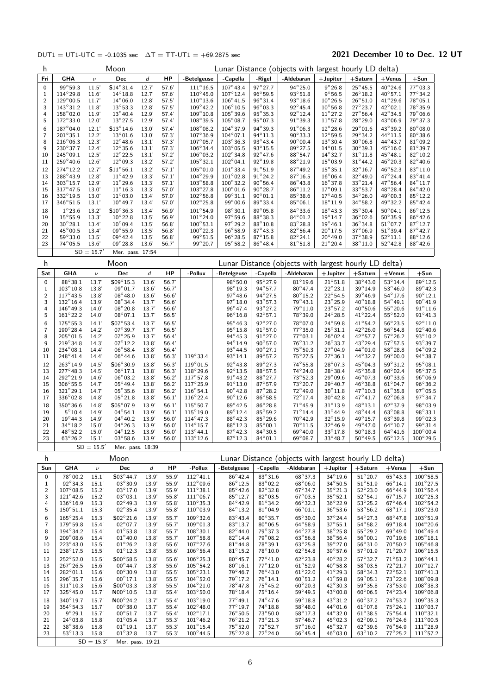### DUT1 = UT1-UTC = -0.1035 sec  $\Delta T = TT$ -UT1 = +69.2875 sec 2021 December 10 to Dec. 12 UT

| h                         |                                         |                      | Moon                                   |                | Lunar Distance (objects with largest hourly LD delta) |                                          |                                         |                                       |                                                       |                                       |                                       |                                      |                                          |
|---------------------------|-----------------------------------------|----------------------|----------------------------------------|----------------|-------------------------------------------------------|------------------------------------------|-----------------------------------------|---------------------------------------|-------------------------------------------------------|---------------------------------------|---------------------------------------|--------------------------------------|------------------------------------------|
| Fri                       | <b>GHA</b>                              | $\nu$                | Dec                                    | d              | HP                                                    | -Betelgeuse                              | -Capella                                | -Rigel                                | -Aldebaran                                            | $+$ Jupiter                           | $+$ Saturn                            | $+$ Venus                            | $+Sum$                                   |
| 0                         | 99°59.3                                 | 11.5'                | $$14^{\circ}31.4$                      | 12.7'          | 57.6'                                                 | $111^{\circ}16.5$                        | $107^{\circ}$ 43.4                      | 97°27.7                               | $94^{\circ}25.0$                                      | $9^{\circ}26.8$                       | $25^{\circ}45.5$                      | $40^{\circ}$ 24.6                    | 77°03.3                                  |
| 1<br>$\overline{c}$       | $114^{\circ}29.8$<br>$129^{\circ}00.5$  | 11.6'<br>11.7'       | $14^{\circ}18.8$<br>$14^{\circ}06.0$   | 12.7'<br>12.8' | 57.6'<br>57.5'                                        | $110^{\circ}45.0$<br>$110^{\circ}13.6$   | $107^{\circ}$ 12.4<br>$106^{\circ}41.5$ | $96^\circ 59.5$<br>$96^{\circ}31.4$   | $93^\circ 51.8$<br>$93^{\circ}18.6$                   | $9^{\circ}56.5$<br>$10^{\circ}26.5$   | $26^{\circ}18.2$<br>$26^{\circ}51.0$  | $40^{\circ}57.1$<br>$41^{\circ}29.6$ | 77°34.2<br>78°05.1                       |
| 3                         | $143^{\circ}31.2$                       | 11.8                 | $13^{\circ}53.3$                       | 12.8'          | 57.5'                                                 | $109^{\circ}$ 42.2                       | $106^{\circ} 10.5$                      | $96^{\circ}03.3$                      | $92^\circ 45.4$                                       | $10^{\circ}56.8$                      | $27^\circ 23.7$                       | $42^{\circ}02.1$                     | $78^{\circ}35.9$                         |
| 4                         | 158°02.0                                | 11.9'                | $13^{\circ}40.4$                       | 12.9'          | 57.4'                                                 | $109^{\circ}10.8$                        | $105^{\circ}39.6$                       | $95^\circ 35.3$                       | $92^{\circ}12.4$                                      | $11^{\circ}27.2$                      | $27^{\circ}56.4$                      | 42°34.5                              | $79^\circ$ 06.6                          |
| 5                         | $172^{\circ}33.0$                       | 12.0'                | $13^{\circ}27.5$                       | 12.9'          | 57.4'                                                 | $108^{\circ}39.5$                        | $105^\circ 08.7$                        | $95^{\circ}$ 07.3                     | $91^{\circ}39.3$                                      | $11^{\circ}57.8$                      | $28^{\circ}29.0$                      | $43^{\circ}06.9$                     | $79^{\circ}37.3$                         |
| 6<br>7                    | 187°04.0<br>$201^{\circ}35.1$           | 12.1'<br>12.2'       | $$13^{\circ}14.6$<br>$13^{\circ}01.6$  | 13.0'<br>13.0' | 57.4'<br>57.3'                                        | 108°08.2<br>$107^{\circ}36.9$            | $104^{\circ}37.9$<br>$104^{\circ}07.1$  | 94°39.3<br>94°11.3                    | $91^{\circ}06.3$<br>$90^{\circ}33.3$                  | $12^{\circ}28.6$<br>$12^{\circ}59.5$  | $29^{\circ}01.6$<br>$29^\circ$ 34.2   | 43°39.2<br>$44^{\circ}11.5$          | $80^\circ$ 08.0<br>$80^\circ$ 38.6       |
| 8                         | $216^{\circ}06.3$                       | 12.3'                | $12^{\circ}48.6$                       | 13.1'          | 57.3'                                                 | $107^{\circ}05.7$                        | $103^{\circ}36.3$                       | $93^{\circ}43.4$                      | $90^{\circ}00.4$                                      | $13^{\circ}30.4$                      | $30^{\circ}06.8$                      | $44^{\circ}43.7$                     | $81^{\circ}09.2$                         |
| 9                         | 230°37.7                                | 12.4'                | $12^{\circ}35.6$                       | 13.1'          | 57.3'                                                 | 106°34.4                                 | $103^\circ 05.5$                        | $93^\circ 15.5$                       | 89°27.5                                               | $14^{\circ}01.5$                      | $30^\circ 39.3$                       | $45^{\circ}16.0$                     | $81^\circ$ 39.7                          |
| 10<br>11                  | $245^{\circ}09.1$<br>$259^{\circ}40.6$  | 12.5'<br>12.6'       | $12^{\circ}22.5$<br>$12^{\circ}09.3$   | 13.1'<br>13.2' | 57.2'<br>57.2'                                        | $106^{\circ}03.2$<br>$105^{\circ}32.1$   | $102^{\circ}34.8$<br>$102^{\circ}04.1$  | $92^{\circ}47.6$<br>$92^{\circ}19.8$  | $88^\circ 54.7$<br>$88^\circ 21.9$                    | $14^{\circ}32.7$<br>$15^{\circ}03.9$  | $31^{\circ}11.8$<br>$31^{\circ}$ 44.2 | $45^{\circ}48.1$<br>$46^{\circ}20.3$ | $82^{\circ}10.2$<br>$82^{\circ}40.6$     |
| 12                        | 274°12.2                                | 12.7'                | $$11^{\circ}56.1$                      | 13.2'          | 57.1'                                                 | $105^{\circ}01.0$                        | $101^{\circ}33.4$                       | $91^\circ 51.9$                       | $87^\circ 49.2$                                       | $15^{\circ}35.1$                      | $32^{\circ}16.7$                      | $46^{\circ}52.3$                     | 83°11.0                                  |
| 13                        | 288°43.9                                | 12.8'                | $11^{\circ}$ 42.9                      | 13.3'          | 57.1'                                                 | 104°29.9                                 | $101^{\circ}02.8$                       | $91^{\circ}24.2$                      | $87^\circ 16.5$                                       | $16^{\circ}06.4$                      | $32^{\circ}49.0$                      | $47^{\circ}$ 24.4                    | $83^{\circ}41.4$                         |
| 14<br>15                  | 303°15.7<br>$317^{\circ}47.5$           | 12.9'<br>13.0'       | $11^{\circ}29.6$<br>$11^{\circ}16.3$   | 13.3'<br>13.3' | 57.1'<br>57.0'                                        | $103^{\circ}58.8$<br>$103^{\circ}$ 27.8  | $100^{\circ}32.2$<br>$100^{\circ}01.6$  | $90^\circ 56.4$<br>$90^\circ 28.7$    | $86^\circ 43.8$<br>$86^\circ 11.2$                    | $16^{\circ}37.8$<br>$17^{\circ}09.1$  | $33^{\circ}21.4$<br>33°53.7           | 47°56.4<br>$48^{\circ}$ 28.4         | $84^{\circ}11.7$<br>$84^{\circ}42.0$     |
| 16                        | 332°19.5                                | 13.0'                | $11^{\circ}03.0$                       | 13.4'          | 57.0'                                                 | $102^{\circ}56.8$                        | 99°31.1                                 | $90^{\circ}01.1$                      | $85^\circ38.6$                                        | $17^{\circ}40.5$                      | $34^{\circ}26.0$                      | 49°00.3                              | $85^\circ 12.2$                          |
| 17                        | $346^{\circ}51.5$                       | 13.1'                | $10^{\circ}$ 49.7                      | 13.4'          | 57.0'                                                 | $102^{\circ}25.8$                        | $99^{\circ}00.6$                        | 89°33.4                               | $85^{\circ}06.1$                                      | $18^\circ 11.9$                       | $34^{\circ}58.2$                      | 49°32.2                              | $85^\circ 42.4$                          |
| 18                        | $1^{\circ}$ 23.6                        | 13.2'                | $$10^{\circ}36.3$                      | 13.4'          | 56.9'                                                 | $101^{\circ}54.9$                        | $98^\circ 30.1$                         | 89°05.8                               | $84^\circ33.6$                                        | $18^{\circ}$ 43.3                     | $35^\circ 30.4$                       | $50^{\circ}$ 04.1                    | $86^{\circ}12.5$                         |
| 19<br>20                  | $15^{\circ}55.9$<br>$30^\circ 28.1$     | 13.3'<br>13.4        | $10^{\circ}22.8$<br>$10^{\circ}09.4$   | 13.5'<br>13.5' | 56.9'<br>56.8'                                        | $101^{\circ}$ 24.0<br>$100^{\circ}53.1$  | $97^\circ 59.6$<br>$97^\circ 29.2$      | $88^\circ$ 38.3<br>$88^\circ 10.8$    | $84^{\circ}01.2$<br>$83^{\circ}28.8$                  | $19^{\circ}$ 14.7<br>$19^{\circ}46.1$ | $36^\circ$ 02.6<br>$36^\circ$ 34.8    | $50^\circ$ 35.9<br>$51^{\circ}07.7$  | $86^\circ 42.6$<br>$87^\circ 12.7$       |
| 21                        | 45° 00.5                                | 13.4                 | $09^{\circ}55.9$                       | 13.5'          | 56.8                                                  | $100^{\circ}22.3$                        | $96^{\circ}58.9$                        | $87^{\circ}43.3$                      | $82^\circ 56.4$                                       | $20^{\circ}$ 17.5                     | $37^\circ$ 06.9                       | $51^{\circ}39.4$                     | $87^{\circ}42.7$                         |
| 22                        | $59^{\circ}33.0$                        | 13.5'                | $09^{\circ}42.4$                       | 13.5'          | 56.8                                                  | $99^{\circ}51.5$                         | $96^{\circ} 28.5$                       | $87^\circ 15.8$                       | $82^{\circ}24.1$                                      | $20^{\circ}$ 49.0                     | $37^\circ 38.9$                       | $52^{\circ}11.1$                     | $88^\circ 12.6$                          |
| 23                        | $74^{\circ}05.5$                        | 13.6<br>$SD = 15.7'$ | $09^{\circ}28.8$<br>Mer. pass. 17:54   | 13.6           | 56.7                                                  | 99°20.7                                  | $95^\circ 58.2$                         | $86^\circ 48.4$                       | $81^\circ 51.8$                                       | $21^{\circ}20.4$                      | $38^{\circ}11.0$                      | $52^{\circ}42.8$                     | $88^\circ 42.6$                          |
|                           |                                         |                      |                                        |                |                                                       |                                          |                                         |                                       |                                                       |                                       |                                       |                                      |                                          |
| h                         |                                         |                      | Moon                                   |                |                                                       |                                          |                                         |                                       | Lunar Distance (objects with largest hourly LD delta) |                                       |                                       |                                      |                                          |
| Sat<br>0                  | <b>GHA</b><br>$88^\circ38.1$            | $\nu$<br>13.7'       | Dec<br>$S09^{\circ}15.3$               | d<br>13.6'     | HP<br>56.7'                                           | -Pollux                                  | -Betelgeuse<br>$98^{\circ}50.0$         | -Capella<br>95°27.9                   | -Aldebaran<br>$81^\circ 19.6$                         | $+$ Jupiter<br>$21^{\circ}51.8$       | $+$ Saturn<br>38°43.0                 | $+$ Venus<br>$53^\circ$ 14.4         | $+$ Sun<br>89°12.5                       |
| 1                         | $103^\circ 10.8$                        | 13.8'                | $09^{\circ}01.7$                       | 13.6           | 56.7'                                                 |                                          | 98°19.3                                 | 94°57.7                               | $80^\circ 47.4$                                       | $22^{\circ}23.1$                      | $39^{\circ}$ 14.9                     | $53^{\circ}46.0$                     | 89°42.3                                  |
| 2                         | $117^{\circ}43.5$                       | 13.8'                | $08^{\circ}48.0$                       | 13.6'          | 56.6'                                                 |                                          | $97^{\circ}48.6$                        | 94°27.5                               | $80^\circ 15.2$                                       | $22^{\circ}$ 54.5                     | $39^{\circ}46.9$                      | $54^{\circ}17.6$                     | $90^{\circ}$ 12.1                        |
| 3<br>4                    | $132^{\circ}16.4$<br>$146^{\circ}49.3$  | 13.9'<br>14.0'       | $08^{\circ}34.4$<br>$08^{\circ}20.8$   | 13.7'<br>13.7  | 56.6'<br>56.6                                         |                                          | $97^\circ 18.0$<br>$96^{\circ}47.4$     | $93^{\circ}57.3$<br>93°27.2           | $79^{\circ}43.1$<br>$79^{\circ}11.0$                  | $23^{\circ}25.9$<br>$23^{\circ}57.2$  | $40^\circ 18.8$<br>$40^{\circ}50.6$   | $54^{\circ}49.1$<br>$55^{\circ}20.6$ | $90^{\circ}$ 41.9<br>$91^{\circ}$ 11.6   |
| 5                         | $161^{\circ}22.2$                       | 14.0'                | $08^{\circ}07.1$                       | 13.7'          | 56.5'                                                 |                                          | $96^{\circ}16.8$                        | $92^{\circ}57.1$                      | $78^{\circ}39.0$                                      | $24^{\circ}28.5$                      | $41^{\circ}$ 22.4                     | $55^{\circ}52.0$                     | $91^{\circ}$ 41.3                        |
| 6                         | $175^{\circ}55.3$                       | 14.1'                | $$07^{\circ}53.4$                      | 13.7'          | 56.5'                                                 |                                          | 95°46.3                                 | 92°27.0                               | 78°07.0                                               | $24^{\circ}59.8$                      | $41^{\circ}54.2$                      | $56^{\circ}23.5$                     | 92°11.0                                  |
| 7<br>8                    | $190^{\circ}28.4$<br>$205^{\circ}01.5$  | 14.2'<br>14.2'       | $07^{\circ}39.7$<br>$07^{\circ}25.9$   | 13.7'<br>13.7' | 56.5'<br>56.4'                                        |                                          | $95^{\circ}15.8$<br>$94^{\circ}45.3$    | $91^{\circ}57.0$<br>$91^\circ 27.0$   | 77°35.0<br>$77^\circ$ 03.1                            | $25^{\circ}31.1$<br>$26^{\circ}$ 02.4 | 42°26.0<br>$42^{\circ}57.7$           | $56^{\circ}54.8$<br>$57^\circ 26.2$  | $92^{\circ}$ 40.6<br>93°10.2             |
| 9                         | $219^{\circ}34.8$                       | 14.3                 | $07^{\circ}12.2$                       | 13.8'          | 56.4'                                                 |                                          | 94°14.9                                 | 90°57.0                               | $76^\circ 31.2$                                       | $26^{\circ}33.7$                      | 43°29.4                               | $57^\circ 57.5$                      | 93°39.7                                  |
| 10                        | $234^{\circ}08.1$                       | 14.4'                | $06^{\circ}58.4$                       | 13.8'          | 56.4                                                  |                                          | $93^{\circ}44.5$                        | $90^{\circ}27.1$                      | $75^\circ 59.3$                                       | $27^{\circ}$ 04.9                     | $44^{\circ}01.0$                      | $58^{\circ}28.8$                     | $94^{\circ}09.2$                         |
| 11                        | $248^\circ 41.4$                        | 14.4'                | $06^{\circ}44.6$                       | 13.8           | 56.3'                                                 | $119^{\circ}33.4$<br>$119^{\circ}$ 01.5  | 93°14.1                                 | $89^\circ 57.2$                       | $75^\circ 27.5$                                       | $27^{\circ}36.1$                      | 44° 32.7                              | $59^{\circ}00.0$                     | $94^\circ$ 38.7<br>$95^{\circ}$ 08.1     |
| 12<br>13                  | 263°14.9<br>$277^{\circ}48.3$           | 14.5'<br>14.5'       | S06°30.9<br>$06^{\circ}17.1$           | 13.8<br>13.8   | 56.3'<br>56.3'                                        | $118^{\circ}29.6$                        | $92^{\circ}43.8$<br>$92^{\circ}13.5$    | 89°27.3<br>88°57.5                    | $74^{\circ}55.8$<br>$74^{\circ}24.0$                  | 28°07.3<br>$28^{\circ}38.4$           | 45°04.3<br>$45^\circ$ 35.8            | 59°31.2<br>$60^\circ$ 02.4           | 95°37.5                                  |
| 14                        | 292°21.9                                | 14.6'                | $06^{\circ}03.2$                       | 13.8           | 56.2'                                                 | $117^{\circ}57.8$                        | $91^{\circ}43.2$                        | 88°27.7                               | $73^\circ 52.3$                                       | $29^{\circ}09.6$                      | $46^{\circ}07.3$                      | $60^{\circ}33.6$                     | 96°06.9                                  |
| 15                        | $306^{\circ}55.5$<br>$321^\circ 29.1$   | 14.7'<br>14.7'       | $05^{\circ}49.4$<br>$05^{\circ}35.6$   | 13.8'          | 56.2'                                                 | $117^{\circ}25.9$                        | $91^{\circ}13.0$<br>$90^{\circ}$ 42.8   | $87^{\circ}57.9$<br>$87^\circ 28.2$   | $73^\circ 20.7$<br>$72^\circ 49.0$                    | $29^{\circ}$ 40.7<br>$30^{\circ}11.8$ | $46^{\circ}38.8$<br>47°10.3           | $61^{\circ}04.7$<br>$61^{\circ}35.8$ | $96^{\circ}36.2$<br>97°05.5              |
| 16<br>17                  | 336°02.8                                | 14.8                 | $05^{\circ}21.8$                       | 13.8<br>13.8   | 56.2'<br>56.1'                                        | $116^{\circ}54.1$<br>$116^{\circ}22.4$   | $90^\circ 12.6$                         | $86^\circ 58.5$                       | $72^{\circ}$ 17.4                                     | $30^{\circ}$ 42.8                     | 47°41.7                               | $62^{\circ}06.8$                     | 97°34.7                                  |
| 18                        | $350^\circ36.6$                         | 14.8                 | $$05^{\circ}07.9$                      | 13.9'          | 56.1'                                                 | $115^{\circ}50.7$                        | 89°42.5                                 | $86^{\circ}28.8$                      | $71^{\circ}$ 45.9                                     | $31^\circ 13.9$                       | $48^{\circ}$ 13.1                     | 62°37.9                              | 98°03.9                                  |
| 19                        | $5^{\circ}10.4$                         | 14.9'                | $04^{\circ}54.1$                       | 13.9'          | 56.1'                                                 | $115^{\circ}19.0$                        | 89°12.4                                 | 85°59.2                               | $71^{\circ}$ 14.4                                     | $31^{\circ}$ 44.9                     | $48^{\circ} 44.4$                     | $63^{\circ}08.8$                     | 98°33.1                                  |
| 20<br>21                  | $19^{\circ}$ 44.3<br>$34^{\circ}18.2$   | 14.9'<br>15.0'       | $04^{\circ}40.2$<br>$04^{\circ}26.3$   | 13.9'<br>13.9' | 56.0'<br>56.0'                                        | $114^{\circ}47.3$<br>$114^{\circ}15.7$   | $88^\circ 42.3$<br>88°12.3              | $85^\circ 29.6$<br>$85^{\circ}00.1$   | $70^\circ 42.9$<br>$70^{\circ}11.5$                   | $32^{\circ}15.9$<br>$32^{\circ}$ 46.9 | $49^{\circ}15.7$<br>49°47.0           | $63^{\circ}39.8$<br>$64^{\circ}10.7$ | $99^{\circ}02.3$<br>$99^{\circ}31.4$     |
| 22                        | 48°52.2                                 | 15.0'                | $04^{\circ}12.5$                       | 13.9'          | 56.0'                                                 | $113^{\circ}44.1$                        | $87^\circ 42.3$                         | $84^{\circ}30.5$                      | $69^{\circ}$ 40.0                                     | $33^{\circ}17.8$                      | $50^{\circ}$ 18.3                     | $64^{\circ}41.6$                     | $100^{\circ}$ 00.4                       |
| 23                        | $63^\circ 26.2$                         | 15.1'                | $03^{\circ}58.6$                       | 13.9           | 56.0'                                                 | $113^{\circ}$ 12.6                       | $87^{\circ}12.3$                        | $84^{\circ}01.1$                      | $69^\circ 08.7$                                       | $33^\circ 48.7$                       | $50^{\circ}$ 49.5                     | $65^{\circ}12.5$                     | $100^{\circ}$ 29.5                       |
|                           |                                         | $SD = 15.5'$         | Mer. pass. 18:39                       |                |                                                       |                                          |                                         |                                       |                                                       |                                       |                                       |                                      |                                          |
| h                         |                                         |                      | Moon                                   |                |                                                       |                                          |                                         |                                       | Lunar Distance (objects with largest hourly LD delta) |                                       |                                       |                                      |                                          |
| Sun                       | <b>GHA</b>                              | $\nu$                | Dec                                    | d              | HP                                                    | -Pollux<br>$112^{\circ}$ 41.1            | -Betelgeuse<br>$86^\circ 42.4$          | -Capella<br>83°31.6                   | -Aldebaran<br>68°37.3                                 | $+$ Jupiter<br>$34^{\circ}19.6$       | $+$ Saturn<br>$51^{\circ}20.7$        | $+$ Venus<br>$65^{\circ}43.3$        | $+$ Sun<br>$100^\circ 58.5$              |
| 0<br>$\mathbf{1}$         | 78°00.2<br>$92^{\circ}34.3$             | 15.1'<br>15.1'       | S03°44.7<br>$03^{\circ}30.9$           | 13.9'<br>13.9' | 55.9<br>55.9                                          | $112^{\circ}09.6$                        | $86^\circ 12.5$                         | $83^\circ$ 02.2                       | $68^{\circ}06.0$                                      | $34^{\circ}50.5$                      | $51^{\circ}51.9$                      | $66^{\circ}$ 14.1                    | $101^{\circ}$ 27.5                       |
| $\mathbf 2$               | $107^{\circ}08.5$                       | 15.2'                | $03^{\circ}17.0$                       | 13.9'          | 55.9'                                                 | $111^{\circ}38.1$                        | $85^\circ 42.6$                         | $82^\circ 32.8$                       | $67^{\circ}34.7$                                      | $35^{\circ}21.3$                      | $52^{\circ}23.0$                      | $66^\circ 44.9$                      | $101^{\circ}56.4$                        |
| 3<br>4                    | $121^{\circ}$ 42.6<br>$136^{\circ}16.9$ | 15.2'<br>15.3'       | $03^{\circ}03.1$<br>$02^{\circ}49.3$   | 13.9'<br>13.9' | 55.8'<br>55.8'                                        | $111^{\circ}06.7$<br>$110^{\circ}35.3$   | $85^{\circ}12.7$<br>$84^{\circ}42.9$    | $82^{\circ}$ 03.5<br>$81^{\circ}34.2$ | $67^{\circ}03.5$<br>$66^{\circ}32.3$                  | $35^{\circ}52.1$<br>$36^\circ 22.9$   | $52^{\circ}54.1$<br>$53^{\circ}25.2$  | $67^\circ 15.7$<br>$67^{\circ}46.4$  | $102^{\circ}$ 25.3<br>$102^{\circ}54.2$  |
| 5                         | $150^{\circ}51.1$                       | 15.3'                | $02^{\circ}35.4$                       | 13.9'          | 55.8'                                                 | $110^{\circ}03.9$                        | $84^{\circ}13.2$                        | $81^{\circ}04.9$                      | $66^{\circ}01.1$                                      | $36^{\circ}53.6$                      | $53^{\circ}56.2$                      | $68^{\circ}17.1$                     | 103°23.0                                 |
| 6                         | $165^{\circ}$ 25.4                      | 15.3'                | $$02^{\circ}21.6$                      | 13.9'          | 55.7'                                                 | $109^\circ32.6$                          | $83^\circ 43.4$                         | $80^\circ$ 35.7                       | $65^{\circ}30.0$                                      | $37^\circ 24.4$                       | $54^{\circ}27.3$                      | $68^{\circ}47.8$                     | $103^{\circ}51.9$                        |
| $\overline{\mathfrak{c}}$ | $179^{\circ}59.8$                       | 15.4'                | $02^{\circ}07.7$                       | 13.9'          | 55.7'                                                 | $109^{\circ}01.3$                        | $83^\circ 13.7$                         | $80^{\circ}06.5$                      | $64^{\circ}58.9$                                      | $37^\circ 55.1$                       | $54^{\circ}58.2$                      | $69^{\circ}18.4$                     | $104^\circ 20.6$                         |
| 8<br>9                    | 194°34.2<br>$209^{\circ}08.6$           | 15.4'<br>15.4'       | $01^{\circ}53.8$<br>$01^{\circ}40.0$   | 13.8'<br>13.8' | 55.7'<br>55.7'                                        | $108^\circ 30.1$<br>$107^{\circ}58.8$    | $82^{\circ}$ 44.0<br>$82^{\circ}$ 14.4  | 79°37.3<br>79°08.2                    | $64^{\circ}27.8$<br>$63^{\circ}56.8$                  | $38^\circ 25.8$<br>$38^{\circ}56.4$   | $55^{\circ}29.2$<br>$56^{\circ}00.1$  | 69°49.0<br>$70^\circ 19.6$           | $104^{\circ}$ 49.4<br>$105^{\circ} 18.1$ |
| 10                        | 223°43.0                                | 15.5'                | $01^{\circ}26.2$                       | 13.8           | 55.6'                                                 | $107^{\circ}27.6$                        | $81^\circ 44.8$                         | $78^{\circ}39.1$                      | $63^{\circ}25.8$                                      | 39°27.0                               | $56^{\circ}31.0$                      | $70^\circ 50.2$                      | $105^\circ 46.8$                         |
| 11                        | 238°17.5                                | 15.5'                | $01^{\circ}12.3$                       | 13.8'          | 55.6'                                                 | $106^{\circ}56.4$                        | $81^{\circ}15.2$                        | $78^{\circ}10.0$                      | $62^{\circ}54.8$                                      | $39^{\circ}57.6$                      | $57^{\circ}01.9$                      | $71^{\circ}20.7$                     | $106^{\circ}15.5$                        |
| 12                        | 252°52.0<br>$267^\circ 26.5$            | 15.5'<br>15.6'       | $$00^{\circ}58.5$<br>$00^{\circ}44.7$  | 13.8'<br>13.8' | 55.6'<br>55.6'                                        | $106^{\circ}$ 25.3<br>$105^{\circ}$ 54.2 | $80^\circ 45.7$<br>$80^{\circ}16.1$     | $77^\circ 41.0$<br>$77^\circ 12.0$    | $62^{\circ}$ 23.8<br>$61^{\circ}52.9$                 | 40°28.2<br>$40^{\circ}58.8$           | $57^\circ 32.7$<br>$58^\circ$ 03.5    | $71^\circ 51.2$<br>72°21.7           | $106^{\circ}$ 44.1<br>$107^{\circ}$ 12.7 |
| 13<br>14                  | $282^{\circ}01.1$                       | 15.6'                | $00^{\circ}30.9$                       | 13.8'          | 55.5'                                                 | $105^{\circ}23.1$                        | $79^\circ 46.7$                         | $76^{\circ}43.0$                      | $61^{\circ}22.0$                                      | $41^{\circ}29.3$                      | 58°34.3                               | $72^\circ 52.1$                      | $107^\circ 41.3$                         |
| 15                        | 296°35.7                                | 15.6'                | $00^{\circ}17.1$                       | 13.8'          | 55.5'                                                 | $104^{\circ}52.0$                        | 79°17.2                                 | $76^\circ 14.1$                       | $60^{\circ}51.2$                                      | 41°59.8                               | $59^{\circ}05.1$                      | 73°22.6                              | $108^\circ 09.8$                         |
| 16<br>17                  | $311^{\circ}10.3$<br>$325^{\circ}45.0$  | 15.6'<br>15.7'       | $$00^{\circ}03.3$<br>$N00^{\circ}10.5$ | 13.8'<br>13.8  | 55.5'<br>55.4                                         | $104^{\circ}21.0$<br>$103^{\circ}50.0$   | $78^\circ 47.8$<br>$78^\circ 18.4$      | $75^\circ 45.2$<br>$75^\circ 16.4$    | $60^{\circ}20.3$<br>$59^{\circ}$ 49.5                 | $42^{\circ}30.3$<br>$43^{\circ}00.8$  | $59^{\circ}35.8$<br>$60^{\circ}06.5$  | $73^\circ 53.0$<br>74°23.4           | 108°38.3<br>$109^{\circ}06.8$            |
| 18                        | 340°19.7                                | 15.7'                | $N00^{\circ}$ 24.2                     | 13.7'          | 55.4'                                                 | 103°19.0                                 | $77^\circ 49.1$                         | 74°47.6                               | $59^{\circ}18.8$                                      | 43°31.2                               | $60^\circ 37.2$                       | 74°53.7                              | 109°35.3                                 |
| 19                        | $354^{\circ}54.3$                       | 15.7'                | $00^{\circ}38.0$                       | 13.7'          | 55.4                                                  | $102^{\circ}$ 48.0                       | $77^{\circ}19.7$                        | $74^{\circ}18.8$                      | $58^\circ 48.0$                                       | 44°01.6                               | $61^{\circ}07.8$                      | $75^{\circ}24.1$                     | $110^{\circ}03.7$                        |
| 20                        | $9^{\circ}29.1$                         | 15.7'                | $00^{\circ}51.7$                       | 13.7'          | 55.4'                                                 | $102^{\circ}$ 17.1                       | 76°50.5                                 | 73°50.0                               | $58^{\circ}17.3$                                      | 44°32.0                               | $61^{\circ}38.5$                      | $75^\circ 54.4$                      | $110^{\circ}32.1$                        |
| 21<br>22                  | $24^{\circ}03.8$<br>$38^{\circ}38.6$    | 15.8'<br>15.8'       | $01^{\circ}05.4$<br>$01^{\circ}19.1$   | 13.7'<br>13.7  | 55.3'<br>55.3'                                        | $101^{\circ}$ 46.2<br>$101^{\circ}15.4$  | $76^{\circ}21.2$<br>$75^\circ 52.0$     | 73°21.3<br>$72^{\circ}52.7$           | $57^\circ 46.7$<br>$57^\circ 16.0$                    | 45°02.3<br>$45^{\circ}32.7$           | $62^{\circ}09.1$<br>$62^{\circ}39.6$  | $76^\circ 24.6$<br>$76^{\circ}54.9$  | $111^{\circ}00.5$<br>$111^{\circ}28.9$   |
| 23                        | $53^{\circ}13.3$                        | 15.8'                | $01^{\circ}32.8$                       | 13.7'          | 55.3'                                                 | $100^\circ$ 44.5                         | $75^\circ 22.8$                         | $72^{\circ}24.0$                      | $56^{\circ}$ 45.4                                     | $46^{\circ}03.0$                      | $63^{\circ}10.2$                      | $77^\circ$ 25.2                      | $111^{\circ}57.2$                        |
|                           |                                         | $SD = 15.3'$         | Mer. pass. 19:21                       |                |                                                       |                                          |                                         |                                       |                                                       |                                       |                                       |                                      |                                          |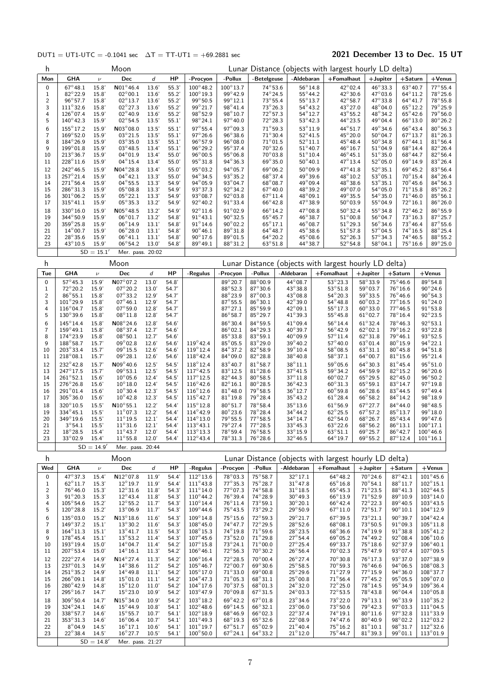### $DUT1 = UT1-UTC = -0.1041 \text{ sec}$   $\Delta T = TT-UT1 = +69.2881 \text{ sec}$  2021 December 13 to Dec. 15 UT

| h                              |                                         |                    | Moon                                   |                |                |                                          |                                      |                                      |                                       | Lunar Distance (objects with largest hourly LD delta) |                                      |                                        |                                          |
|--------------------------------|-----------------------------------------|--------------------|----------------------------------------|----------------|----------------|------------------------------------------|--------------------------------------|--------------------------------------|---------------------------------------|-------------------------------------------------------|--------------------------------------|----------------------------------------|------------------------------------------|
| Mon                            | GHA                                     | $\nu$              | Dec                                    | d              | HP             | -Procyon                                 | -Pollux                              | -Betelgeuse                          | -Aldebaran                            | +Fomalhaut                                            | $+$ Jupiter                          | +Saturn                                | $+$ Venus                                |
| 0                              | $67^{\circ}48.1$                        | 15.8'              | $N01^{\circ}$ 46.4                     | 13.6'          | 55.3'          | $100^{\circ}48.2$                        | $100^\circ 13.7$                     | $74^{\circ}53.6$                     | $56^{\circ}$ 14.8                     | $42^{\circ}02.4$                                      | $46^{\circ}33.3$                     | $63^\circ 40.7$                        | $77^\circ 55.4$                          |
| $\mathbf{1}$<br>$\overline{c}$ | 82°22.9<br>$96^{\circ}57.7$             | 15.8'<br>15.8'     | $02^{\circ}00.1$<br>$02^{\circ}13.7$   | 13.6'<br>13.6' | 55.2'<br>55.2' | $100^{\circ}19.3$<br>99°50.5             | 99°42.9<br>$99^{\circ}12.1$          | $74^\circ$ 24.5<br>$73^{\circ}55.4$  | $55^{\circ}$ 44.2<br>$55^{\circ}13.7$ | 42°30.6<br>$42^{\circ}58.7$                           | $47^{\circ}03.6$<br>47°33.8          | $64^{\circ}11.2$<br>$64^{\circ}41.7$   | $78^\circ 25.6$<br>$78^\circ 55.8$       |
| 3                              | $111^{\circ}32.6$                       | 15.8               | $02^{\circ}27.3$                       | 13.6'          | 55.2'          | 99°21.7                                  | $98^{\circ}41.4$                     | $73^\circ 26.3$                      | $54^{\circ}43.2$                      | 43°27.0                                               | 48°04.0                              | $65^{\circ}12.2$                       | $79^{\circ}25.9$                         |
| 4<br>5                         | $126^{\circ}07.4$<br>$140^{\circ}$ 42.3 | 15.9'<br>15.9'     | $02^{\circ}40.9$<br>$02^{\circ}54.5$   | 13.6'<br>13.5' | 55.2'          | $98^{\circ}52.9$<br>$98^{\circ}24.1$     | $98^\circ 10.7$<br>97°40.0           | $72^\circ 57.3$<br>$72^{\circ}28.3$  | $54^{\circ}12.7$<br>$53^{\circ}42.3$  | $43^{\circ}55.2$<br>$44^{\circ}$ 23.5                 | $48^{\circ}34.2$<br>49°04.4          | $65^{\circ}$ 42.6<br>$66^{\circ}$ 13.0 | $79^{\circ}56.0$<br>$80^{\circ}26.2$     |
| 6                              | $155^{\circ}17.2$                       | 15.9'              | $N03^{\circ}08.0$                      | 13.5'          | 55.1'<br>55.1' | $97^\circ 55.4$                          | $97^{\circ}09.3$                     | $71^\circ 59.3$                      | $53^{\circ}11.9$                      | 44°51.7                                               | 49°34.6                              | $66^{\circ}$ 43.4                      | $80^{\circ}56.3$                         |
| $\overline{7}$                 | 169°52.0                                | 15.9'              | $03^{\circ}21.5$                       | 13.5'          | 55.1'          | $97^\circ 26.6$                          | $96^{\circ}38.6$                     | $71^\circ 30.4$                      | $52^{\circ}$ 41.5                     | 45° 20.0                                              | $50^\circ$ 04.7                      | $67^\circ 13.7$                        | $81^{\circ}26.3$                         |
| 8                              | 184°26.9                                | 15.9'              | $03^{\circ}35.0$                       | 13.5'          | 55.1'          | $96^{\circ}57.9$                         | $96^{\circ}08.0$                     | $71^{\circ}01.5$                     | $52^{\circ}11.1$                      | $45^{\circ}$ 48.4                                     | $50^\circ$ 34.8                      | $67^\circ 44.1$                        | $81^\circ$ 56.4                          |
| 9<br>10                        | $199^{\circ}01.8$<br>$213^{\circ}36.7$  | 15.9'<br>15.9'     | $03^{\circ}48.5$<br>$04^{\circ}01.9$   | 13.4'<br>13.4  | 55.1'<br>55.0' | $96^{\circ}29.2$<br>$96^\circ 00.5$      | $95^{\circ}37.4$<br>$95^{\circ}06.8$ | $70^\circ$ 32.6<br>$70^\circ$ 03.8   | $51^{\circ}40.7$<br>$51^{\circ}$ 10.4 | $46^{\circ} 16.7$<br>$46^{\circ}45.1$                 | $51^{\circ}04.9$<br>$51^{\circ}35.0$ | $68^{\circ}$ 14.4<br>$68^{\circ}$ 44.7 | $82^{\circ}26.4$<br>$82^{\circ}56.4$     |
| 11                             | $228^{\circ}11.6$                       | 15.9'              | $04^{\circ} 15.4$                      | 13.4           | 55.0'          | $95^{\circ}31.8$                         | $94^{\circ}36.3$                     | $69^{\circ}35.0$                     | $50^{\circ}40.1$                      | $47^{\circ}13.4$                                      | $52^{\circ}05.0$                     | $69^{\circ}$ 14.9                      | $83^\circ 26.4$                          |
| 12                             | $242^{\circ}46.5$                       | 15.9'              | $N04^{\circ}28.8$                      | 13.4           | 55.0'          | $95^{\circ}03.2$                         | $94^{\circ}05.7$                     | $69^{\circ}06.2$                     | $50^{\circ}09.9$                      | $47^{\circ}41.8$                                      | $52^{\circ}35.1$                     | $69^\circ 45.2$                        | $83^{\circ}56.4$                         |
| 13<br>14                       | 257°21.4<br>$271^{\circ}56.4$           | 15.9'<br>15.9'     | $04^{\circ}42.1$<br>$04^{\circ}55.5$   | 13.3'<br>13.3' | 55.0'<br>54.9' | 94°34.5<br>$94^{\circ}05.9$              | 93°35.2<br>93°04.7                   | $68^{\circ}37.4$<br>$68^{\circ}08.7$ | 49°39.6<br>$49^{\circ}09.4$           | 48°10.2<br>$48^{\circ}38.6$                           | $53^{\circ}05.1$<br>$53^{\circ}35.1$ | $70^\circ 15.4$<br>$70^\circ 45.6$     | $84^{\circ}26.4$<br>$84^{\circ}56.3$     |
| 15                             | $286^{\circ}31.3$                       | 15.9'              | $05^{\circ}08.8$                       | 13.3'          | 54.9'          | $93^\circ 37.3$                          | 92°34.2                              | $67^{\circ}40.0$                     | 48°39.2                               | 49°07.0                                               | $54^{\circ}$ 05.0                    | $71^\circ 15.8$                        | $85^{\circ}26.2$                         |
| 16                             | $301^{\circ}06.2$                       | 15.9'              | $05^{\circ}22.1$                       | 13.3'          | 54.9'          | $93^{\circ}08.7$                         | $92^{\circ}03.8$                     | $67^{\circ}11.4$                     | $48^{\circ}09.1$                      | $49^{\circ}35.5$                                      | $54^{\circ}35.0$                     | $71^\circ 46.0$                        | $85^{\circ}56.1$                         |
| 17                             | $315^{\circ}41.1$                       | 15.9'              | $05^{\circ}35.3$                       | 13.2'          | 54.9'          | $92^{\circ}40.2$                         | $91^{\circ}33.4$                     | $66^{\circ}42.8$                     | $47^{\circ}38.9$                      | $50^{\circ}03.9$                                      | $55^{\circ}04.9$<br>55°34.8          | $72^{\circ}16.1$                       | $86^{\circ}26.0$                         |
| 18<br>19                       | $330^{\circ}16.0$<br>$344^{\circ}50.9$  | 15.9'<br>15.9'     | $N05^{\circ}48.5$<br>$06^{\circ}01.7$  | 13.2'<br>13.2' | 54.9'<br>54.8  | $92^{\circ}11.6$<br>$91^{\circ}43.1$     | $91^{\circ}$ 02.9<br>$90^\circ 32.5$ | $66^\circ 14.2$<br>$65^{\circ}45.7$  | 47° 08.8<br>$46^\circ$ 38.7           | $50^\circ 32.4$<br>$51^{\circ}00.8$                   | $56^{\circ}$ 04.7                    | $72^{\circ}$ 46.2<br>$73^\circ 16.3$   | 86°55.9<br>$87^\circ 25.7$               |
| 20                             | $359^{\circ}25.8$                       | 15.9'              | $06^{\circ}14.9$                       | 13.1'          | 54.8           | $91^\circ 14.6$                          | $90^\circ 02.2$                      | $65^{\circ}17.1$                     | $46^{\circ}$ 08.7                     | $51^{\circ}29.3$                                      | $56^{\circ}34.6$                     | $73^{\circ}46.4$                       | $87^\circ$ 55.6                          |
| 21                             | $14^{\circ}00.7$<br>$28^{\circ}35.6$    | 15.9'              | $06^{\circ} 28.0$                      | 13.1'          | 54.8'          | $90^{\circ}46.1$                         | 89°31.8                              | $64^{\circ}48.7$                     | 45°38.6                               | $51^{\circ}57.8$                                      | $57^\circ$ 04.5<br>$57^{\circ}34.3$  | $74^{\circ}16.5$                       | $88^\circ 25.4$                          |
| 22<br>23                       | 43°10.5                                 | 15.9'<br>15.9'     | $06^{\circ}41.1$<br>$06^{\circ}54.2$   | 13.1'<br>13.0' | 54.8<br>54.8   | $90^{\circ}17.6$<br>$89^\circ 49.1$      | $89^{\circ}01.5$<br>$88^{\circ}31.2$ | $64^{\circ}20.2$<br>$63^{\circ}51.8$ | $45^{\circ}08.6$<br>$44^{\circ}38.7$  | $52^{\circ}26.3$<br>$52^{\circ}54.8$                  | $58^{\circ}04.1$                     | $74^{\circ}46.5$<br>$75^{\circ}16.6$   | $88^\circ 55.2$<br>89°25.0               |
|                                |                                         | $SD = 15.1'$       | Mer. pass. 20:02                       |                |                |                                          |                                      |                                      |                                       |                                                       |                                      |                                        |                                          |
| h                              |                                         |                    | Moon                                   |                |                |                                          |                                      |                                      |                                       | Lunar Distance (objects with largest hourly LD delta) |                                      |                                        |                                          |
| Tue                            | <b>GHA</b>                              | $\boldsymbol{\nu}$ | Dec                                    | d              | НP             | -Regulus                                 | -Procyon                             | -Pollux                              | -Aldebaran                            | +Fomalhaut                                            | $+$ Jupiter                          | $+$ Saturn                             | $+$ Venus                                |
| 0                              | $57^\circ 45.3$                         | 15.9'              | N07°07.2                               | 13.0'          | 54.8'          |                                          | 89°20.7                              | $88^\circ 00.9$                      | $44^{\circ}08.7$                      | $53^{\circ}23.3$                                      | 58°33.9                              | $75^\circ 46.6$                        | $89^\circ 54.8$                          |
| 1                              | 72°20.2                                 | 15.9'              | $07^{\circ}20.2$                       | 13.0'          | 54.7           |                                          | $88^\circ 52.3$                      | $87^\circ$ 30.6                      | 43°38.8                               | $53^{\circ}51.8$                                      | $59^\circ$ 03.7                      | $76^{\circ}$ 16.6                      | $90^\circ 24.6$                          |
| $\overline{c}$                 | $86^\circ 55.1$                         | 15.8'              | $07^{\circ}33.2$                       | 12.9'          | 54.7'          |                                          | 88°23.9                              | $87^\circ$ 00.3<br>$86^\circ 30.1$   | 43°08.8                               | $54^{\circ}20.3$                                      | 59°33.5                              | $76^\circ 46.6$                        | $90^{\circ}54.3$                         |
| 3<br>4                         | $101^{\circ}29.9$<br>$116^{\circ}04.7$  | 15.8'<br>15.8'     | $07^{\circ}46.1$<br>$07^{\circ}59.0$   | 12.9'<br>12.8' | 54.7'<br>54.7' |                                          | $87^\circ 55.5$<br>$87^{\circ}27.1$  | $85^\circ 59.9$                      | 42°39.0<br>$42^{\circ}09.1$           | $54^{\circ}48.8$<br>$55^{\circ}17.3$                  | $60^{\circ}03.2$<br>$60^{\circ}33.0$ | $77^\circ 16.5$<br>$77^{\circ}46.5$    | $91^{\circ}24.0$<br>$91^{\circ}53.8$     |
| 5                              | $130^{\circ}39.6$                       | 15.8'              | $08^{\circ}11.8$                       | 12.8'          | 54.7'          |                                          | $86^\circ 58.7$                      | $85^{\circ}29.7$                     | $41^{\circ}39.3$                      | $55^{\circ}45.8$                                      | $61^{\circ}02.7$                     | $78^{\circ}16.4$                       | $92^{\circ}$ 23.5                        |
| 6                              | $145^{\circ}14.4$                       | 15.8'              | N08°24.6                               | 12.8'          | 54.6'          |                                          | $86^\circ 30.4$                      | 84°59.5                              | 41°09.4                               | $56^{\circ}$ 14.4                                     | $61^{\circ}32.4$                     | 78°46.3                                | 92°53.1                                  |
| 7<br>8                         | $159^{\circ}49.1$<br>$174^{\circ}23.9$  | 15.8'<br>15.8'     | $08^{\circ}37.4$<br>$08^{\circ} 50.1$  | 12.7'<br>12.7' | 54.6'<br>54.6' |                                          | $86^{\circ}$ 02.1<br>$85^\circ 33.8$ | $84^\circ$ 29.3<br>$83^\circ 59.1$   | $40^{\circ}39.7$<br>$40^{\circ}09.9$  | $56^\circ 42.9$<br>$57^{\circ}11.4$                   | $62^{\circ}02.1$<br>$62^{\circ}31.8$ | 79°16.2<br>$79^{\circ}46.1$            | 93°22.8<br>$93^{\circ}52.5$              |
| 9                              | 188°58.7                                | 15.7'              | $09^{\circ}02.8$                       | 12.6'          | 54.6'          | 119°42.4                                 | $85^\circ$ 05.5                      | $83^\circ 29.0$                      | 39°40.2                               | $57^\circ 40.0$                                       | $63^{\circ}01.4$                     | $80^\circ 15.9$                        | $94^{\circ}22.1$                         |
| 10                             | $203^\circ 33.4$                        | 15.7'              | $09^{\circ}15.5$                       | 12.6'          | 54.6'          | $119^{\circ}12.4$                        | $84^\circ$ 37.2                      | $82^{\circ}58.9$                     | 39°10.4                               | $58^{\circ}$ 08.5                                     | $63^{\circ}31.1$                     | $80^\circ 45.8$                        | $94^\circ 51.8$                          |
| 11                             | $218^{\circ}08.1$<br>232°42.8           | 15.7'              | $09^{\circ}28.1$<br>N09°40.6           | 12.6'          | 54.6'<br>54.5' | $118^{\circ}42.4$<br>$118^{\circ}$ 12.4  | $84^{\circ}09.0$<br>83°40.7          | $82^{\circ}28.8$<br>$81^\circ 58.7$  | $38^{\circ}40.8$<br>$38^{\circ}11.1$  | $58^{\circ}37.1$<br>59°05.6                           | $64^{\circ}00.7$<br>$64^{\circ}30.3$ | $81^\circ 15.6$<br>$81^\circ$ 45.4     | $95^{\circ}21.4$<br>$95^{\circ}51.0$     |
| 12<br>13                       | $247^{\circ}17.5$                       | 15.7'<br>15.7'     | $09^{\circ}53.1$                       | 12.5'<br>12.5' | 54.5'          | $117^{\circ}42.5$                        | $83^\circ 12.5$                      | $81^{\circ}28.6$                     | $37^{\circ}41.5$                      | $59^{\circ}34.2$                                      | $64^{\circ}59.9$                     | $82^{\circ}15.2$                       | $96^{\circ}20.6$                         |
| 14                             | $261^{\circ}52.1$                       | 15.6'              | $10^{\circ}05.6$                       | 12.4'          | 54.5'          | $117^{\circ}12.5$                        | $82^\circ$ 44.3                      | $80^\circ 58.5$                      | $37^\circ 11.8$                       | $60^{\circ}$ 02.7                                     | $65^{\circ}$ 29.5                    | $82^{\circ}$ 45.0                      | $96^{\circ}50.2$                         |
| 15<br>16                       | $276^\circ 26.8$<br>$291^{\circ}01.4$   | 15.6'<br>15.6'     | $10^{\circ} 18.0$<br>$10^{\circ}30.4$  | 12.4'<br>12.3' | 54.5'<br>54.5' | $116^{\circ}$ 42.6<br>$116^{\circ}12.6$  | $82^{\circ}16.1$<br>$81^\circ 48.0$  | $80^{\circ}28.5$<br>$79^{\circ}58.5$ | $36^\circ 42.3$<br>$36^\circ 12.7$    | $60^{\circ}31.3$<br>$60^{\circ}59.8$                  | $65^{\circ}59.1$<br>$66^{\circ}28.6$ | $83^\circ$ 14.7<br>$83^{\circ}$ 44.5   | $97^{\circ}19.8$<br>$97^{\circ}$ 49.4    |
| 17                             | $305^\circ36.0$                         | 15.6'              | $10^{\circ}$ 42.8                      | 12.3'          | 54.5'          | $115^{\circ}42.7$                        | $81^\circ 19.8$                      | $79^{\circ}28.4$                     | $35^\circ 43.2$                       | $61^{\circ}28.4$                                      | $66^{\circ}58.2$                     | $84^{\circ}$ 14.2                      | 98°18.9                                  |
| 18                             | 320°10.5                                | 15.5'              | $N10^{\circ}55.1$                      | 12.2'          | 54.4'          | $115^{\circ}12.8$                        | $80^\circ 51.7$                      | $78^\circ 58.4$                      | $35^{\circ}13.6$                      | $61^{\circ}56.9$                                      | $67^\circ 27.7$                      | $84^{\circ} 44.0$                      | 98°48.5                                  |
| 19                             | 334°45.1                                | 15.5'              | $11^{\circ}07.3$                       | 12.2'          | 54.4           | $114^{\circ}42.9$                        | $80^\circ 23.6$                      | 78°28.4                              | $34^{\circ}44.2$                      | $62^{\circ}25.5$                                      | $67^\circ 57.2$                      | $85^\circ 13.7$                        | 99°18.0                                  |
| 20<br>21                       | 349°19.6<br>$3^{\circ}54.1$             | 15.5'<br>15.5'     | $11^{\circ}$ 19.5<br>$11^{\circ}31.6$  | 12.1'<br>12.1' | 54.4'<br>54.4' | $114^{\circ}13.0$<br>$113^{\circ}43.1$   | 79°55.5<br>$79^{\circ}27.4$          | $77^\circ 58.5$<br>$77^\circ$ 28.5   | $34^\circ 14.7$<br>$33^{\circ}45.3$   | $62^{\circ}54.0$<br>$63^{\circ}22.6$                  | $68^{\circ}26.7$<br>$68^\circ 56.2$  | $85^\circ 43.4$<br>$86^\circ 13.1$     | 99°47.6<br>$100^{\circ}17.1$             |
| 22                             | $18^\circ 28.5$                         | 15.4'              | $11^{\circ}$ 43.7                      | 12.0'          | 54.4'          | $113^{\circ}13.3$                        | $78^\circ 59.4$                      | $76^\circ 58.5$                      | $33^\circ 15.9$                       | $63^{\circ}51.1$                                      | $69^{\circ}$ 25.7                    | $86^\circ 42.7$                        | $100^{\circ}46.6$                        |
| 23                             | $33^{\circ}02.9$                        | 15.4               | $11^{\circ}$ 55.8                      | 12.0'          | 54.4'          | $112^{\circ}43.4$                        | 78°31.3                              | $76^\circ 28.6$                      | $32^{\circ}$ 46.5                     | $64^{\circ}19.7$                                      | $69^\circ 55.2$                      | $87^\circ 12.4$                        | $101^{\circ}16.1$                        |
|                                |                                         | $SD = 14.9'$       | Mer. pass. 20:44                       |                |                |                                          |                                      |                                      |                                       |                                                       |                                      |                                        |                                          |
| h                              |                                         |                    | Moon                                   |                |                |                                          |                                      |                                      |                                       | Lunar Distance (objects with largest hourly LD delta) |                                      |                                        |                                          |
| Wed                            | <b>GHA</b>                              | $\boldsymbol{\nu}$ | Dec                                    | d              | HP             | -Regulus                                 | -Procyon                             | -Pollux                              | -Aldebaran                            | +Fomalhaut                                            | $+$ Jupiter                          | $+$ Saturn                             | $+$ Venus                                |
| 0                              | 47°37.3                                 | 15.4'              | $N12^{\circ}07.8$<br>$12^{\circ}$ 19.7 | 11.9'          | 54.4           | $112^{\circ}13.6$<br>$111^\circ$ 43.8    | 78°03.3<br>$77^{\circ}35.3$          | $75^{\circ}58.7$<br>$75^{\circ}28.7$ | $32^{\circ}17.1$<br>$31^{\circ}$ 47.8 | $64^{\circ}48.2$<br>$65^{\circ}16.8$                  | $70^\circ 24.6$<br>$70^{\circ}54.1$  | $87^\circ 42.1$<br>$88^{\circ}11.7$    | $101^\circ$ 45.6<br>$102^{\circ}$ 15.1   |
| $\mathbf{1}$<br>$\overline{c}$ | $62^{\circ}11.7$<br>$76^{\circ}46.0$    | 15.3'<br>15.3'     | $12^{\circ}31.6$                       | 11.9'<br>11.8  | 54.4<br>54.3'  | $111^{\circ}14.0$                        | $77^\circ$ 07.3                      | $74^\circ 58.8$                      | $31^{\circ}18.5$                      | $65^{\circ}45.3$                                      | $71^\circ 23.5$                      | $88^\circ 41.3$                        | $102^{\circ}$ 44.5                       |
| 3                              | $91^{\circ}20.3$                        | 15.3'              | $12^{\circ}$ 43.4                      | 11.8'          | 54.3'          | $110^\circ$ 44.2                         | $76^{\circ}39.4$                     | $74^{\circ}28.9$                     | $30^{\circ}$ 49.3                     | $66^{\circ}13.9$                                      | $71^\circ 52.9$                      | $89^{\circ}10.9$                       | $103^{\circ}$ 14.0                       |
| 4<br>5                         | $105^{\circ}54.6$<br>$120^\circ 28.8$   | 15.2'<br>15.2'     | $12^{\circ}55.2$<br>$13^{\circ}06.9$   | 11.7'<br>11.7' | 54.3'<br>54.3' | $110^{\circ}$ 14.4<br>$109^{\circ}$ 44.6 | $76^{\circ}11.4$<br>$75^\circ 43.5$  | $73^{\circ}59.1$<br>73°29.2          | $30^{\circ}20.1$<br>$29^{\circ}50.9$  | $66^{\circ}42.4$<br>$67^{\circ}11.0$                  | 72°22.3<br>$72^{\circ}51.7$          | $89^\circ 40.5$<br>$90^{\circ}10.1$    | $103^{\circ}$ 43.5<br>$104^{\circ}12.9$  |
| 6                              | $135^{\circ}03.0$                       | 15.2'              | $N13^{\circ}18.6$                      | 11.6'          | 54.3'          | 109°14.8                                 | $75^{\circ}15.6$                     | 72°59.3                              | $29^{\circ}21.7$                      | 67°39.5                                               | 73°21.1                              | 90°39.7                                | $104^\circ$ 42.4                         |
| 7                              | $149^{\circ}37.2$                       | 15.1'              | $13^{\circ}30.2$                       | 11.6'          | 54.3'          | $108^{\circ}45.0$                        | 74°47.7                              | $72^{\circ}29.5$                     | $28^{\circ}52.6$                      | $68^{\circ}08.1$                                      | $73^{\circ}50.5$                     | $91^{\circ}$ 09.3                      | $105^{\circ}11.8$                        |
| 8                              | $164^{\circ}11.3$<br>$178^{\circ}45.4$  | 15.1'              | $13^{\circ}41.7$                       | 11.5'          | 54.3'          | $108^{\circ}15.3$<br>$107^\circ 45.6$    | $74^{\circ}19.8$<br>$73^{\circ}52.0$ | $71^\circ 59.6$<br>$71^\circ 29.8$   | $28^{\circ}23.5$<br>$27^\circ$ 54.4   | $68^{\circ}36.6$                                      | $74^{\circ}19.9$<br>74°49.2          | $91^\circ 38.8$<br>$92^{\circ}08.4$    | $105^{\circ}$ 41.2<br>$106^{\circ} 10.6$ |
| 9<br>10                        | $193^{\circ}19.4$                       | 15.1'<br>15.0'     | $13^{\circ}53.2$<br>$14^{\circ}04.7$   | 11.4'<br>11.4' | 54.3'<br>54.2' | $107^\circ 15.8$                         | $73^{\circ}24.1$                     | $71^{\circ}00.0$                     | $27^\circ 25.4$                       | $69^{\circ}05.2$<br>$69^{\circ}33.7$                  | $75^\circ 18.6$                      | $92^\circ 37.9$                        | $106^{\circ} 40.1$                       |
| $11\,$                         | $207^{\circ}53.4$                       | 15.0'              | $14^{\circ}16.1$                       | 11.3'          | 54.2'          | $106^{\circ}46.1$                        | $72^{\circ}56.3$                     | $70^{\circ}30.2$                     | $26^{\circ}56.4$                      | $70^{\circ}02.3$                                      | $75^\circ 47.9$                      | 93°07.4                                | $107^{\circ}09.5$                        |
| 12                             | $222^{\circ}27.4$                       | 14.9'              | $N14^{\circ}27.4$                      | 11.3'          | 54.2           | $106^{\circ}16.4$                        | $72^{\circ}28.5$                     | $70^{\circ}00.4$                     | $26^{\circ}27.4$                      | $70^\circ 30.8$                                       | $76^{\circ}$ 17.3                    | $93^\circ 37.0$                        | 107°38.9                                 |
| 13<br>14                       | $237^{\circ}01.3$<br>$251^{\circ}35.2$  | 14.9'<br>14.9'     | $14^{\circ}38.6$<br>$14^{\circ}49.8$   | 11.2'<br>11.1' | 54.2'<br>54.2' | $105^{\circ}$ 46.7<br>$105^{\circ}17.0$  | 72°00.7<br>$71^\circ 33.0$           | $69^{\circ}30.6$<br>$69^{\circ}00.8$ | $25^{\circ}58.5$<br>$25^{\circ}29.6$  | 70°59.3<br>$71^\circ 27.9$                            | $76^\circ 46.6$<br>$77^{\circ}15.9$  | $94^{\circ}$ 06.5<br>94°36.0           | $108^{\circ}08.3$<br>108°37.7            |
| 15                             | $266^{\circ}09.1$                       | 14.8'              | $15^{\circ}01.0$                       | 11.1'          | 54.2'          | $104^{\circ}47.3$                        | $71^{\circ}05.3$                     | $68^{\circ}31.1$                     | $25^{\circ}00.8$                      | $71^{\circ}56.4$                                      | $77^\circ 45.2$                      | $95^{\circ}$ 05.5                      | $109^{\circ}$ 07.0                       |
| 16                             | 280°42.9                                | 14.8'              | $15^{\circ}12.0$                       | 11.0'          | 54.2'          | $104^{\circ}17.6$                        | $70^{\circ}37.5$                     | $68^{\circ}01.3$                     | $24^{\circ}32.0$                      | $72^{\circ}25.0$                                      | $78^\circ$ 14.5                      | 95°34.9                                | $109^{\circ}36.4$                        |
| 17<br>18                       | 295°16.7<br>$309^\circ 50.4$            | 14.7'<br>14.7'     | $15^{\circ}23.0$<br>$N15^{\circ}34.0$  | 10.9'<br>10.9' | 54.2'<br>54.2' | $103^{\circ}47.9$<br>103°18.2            | $70^{\circ}09.8$<br>$69^\circ 42.2$  | $67^{\circ}31.5$<br>$67^\circ 01.8$  | $24^{\circ}03.3$<br>$23^{\circ}34.6$  | $72^\circ 53.5$<br>$73^\circ 22.0$                    | 78°43.8<br>79°13.1                   | $96^{\circ}$ 04.4<br>$96^{\circ}33.9$  | $110^{\circ}05.8$<br>$110^{\circ}35.2$   |
| 19                             | 324°24.1                                | 14.6'              | $15^{\circ}$ 44.9                      | 10.8'          | 54.1'          | $102^{\circ}$ 48.6                       | $69^{\circ}$ 14.5                    | $66^{\circ}32.1$                     | $23^{\circ}06.0$                      | 73°50.6                                               | 79°42.3                              | $97^\circ$ 03.3                        | $111^{\circ}04.5$                        |
| 20                             | $338^{\circ}57.7$                       | 14.6'              | $15^{\circ}55.7$                       | 10.7'          | 54.1'          | $102^{\circ}18.9$                        | $68^{\circ}46.9$                     | $66^{\circ}02.3$                     | $22^{\circ}37.4$                      | $74^{\circ}19.1$                                      | $80^\circ 11.6$                      | $97^\circ32.8$                         | $111^{\circ}33.9$                        |
| 21<br>22                       | $353^{\circ}31.3$<br>$8^{\circ}04.9$    | 14.6'<br>14.5'     | $16^{\circ}06.4$<br>$16^{\circ}17.1$   | 10.7'<br>10.6' | 54.1'<br>54.1' | $101^{\circ}$ 49.3<br>$101^{\circ}19.7$  | 68°19.3<br>$67^{\circ}51.7$          | $65^\circ 32.6$<br>$65^{\circ}02.9$  | $22^{\circ}08.9$<br>$21^{\circ}$ 40.4 | $74^{\circ}47.6$<br>$75^{\circ}16.2$                  | $80^{\circ}40.9$<br>$81^{\circ}10.1$ | $98^\circ$ 02.2<br>$98^\circ 31.7$     | $112^{\circ}03.2$<br>$112^{\circ}32.6$   |
| 23                             | $22^{\circ}38.4$                        | 14.5'              | $16^{\circ}27.7$                       | 10.5'          | 54.1'          | $100^{\circ}50.0$                        | $67^\circ 24.1$                      | $64^{\circ}33.2$                     | $21^{\circ}$ 12.0                     | $75^{\circ}44.7$                                      | $81^{\circ}39.3$                     | 99°01.1                                | $113^{\circ}01.9$                        |
|                                |                                         | $SD = 14.8'$       | Mer. pass. 21:27                       |                |                |                                          |                                      |                                      |                                       |                                                       |                                      |                                        |                                          |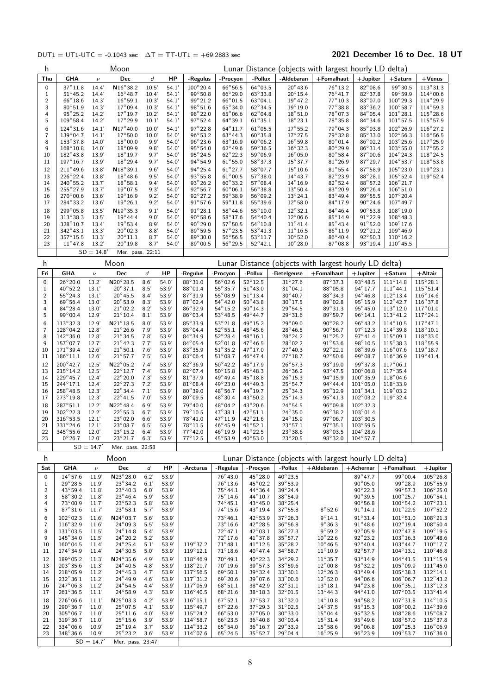### DUT1 = UT1-UTC = -0.1043 sec  $\Delta T = TT-UT1 = +69.2883$  sec 2021 December 16 to Dec. 18 UT

| h                            |                                        |                    | Moon                                   |                  |                |                                        |                                       |                                        |                                       | Lunar Distance (objects with largest hourly LD delta) |                                        |                                         |                                         |
|------------------------------|----------------------------------------|--------------------|----------------------------------------|------------------|----------------|----------------------------------------|---------------------------------------|----------------------------------------|---------------------------------------|-------------------------------------------------------|----------------------------------------|-----------------------------------------|-----------------------------------------|
| Thu                          | <b>GHA</b>                             | $\nu$              | Dec                                    | d                | HP             | -Regulus                               | -Procyon                              | -Pollux                                | -Aldebaran                            | +Fomalhaut                                            | $+$ Jupiter                            | $+$ Saturn                              | $+$ Venus                               |
| 0                            | $37^\circ 11.8$                        | 14.4'              | $N16^{\circ}38.2$                      | 10.5'            | 54.1'          | $100^{\circ}20.4$                      | 66°56.5                               | $64^\circ$ 03.5                        | $20^{\circ}$ 43.6                     | 76°13.2                                               | 82°08.6                                | 99°30.5                                 | $113^{\circ}31.3$                       |
| $\mathbf{1}$                 | $51^{\circ}45.2$                       | 14.4'              | $16^{\circ}48.7$<br>$16^{\circ}59.1$   | 10.4'            | 54.1'          | $99^\circ 50.8$<br>99°21.2             | 66°29.0<br>$66^{\circ}01.5$           | $63^\circ 33.8$                        | $20^{\circ}15.4$<br>$19^{\circ}$ 47.2 | $76^\circ 41.7$<br>$77^\circ 10.3$                    | $82^\circ 37.8$<br>83°07.0             | $99^{\circ}59.9$<br>$100^{\circ}$ 29.3  | $114^{\circ}00.6$<br>$114^{\circ}29.9$  |
| $\overline{\mathbf{c}}$<br>3 | $66^{\circ}18.6$<br>$80^\circ 51.9$    | 14.3'<br>14.3'     | $17^{\circ}09.4$                       | 10.3'<br>10.3'   | 54.1'<br>54.1' | 98°51.6                                | $65^\circ34.0$                        | $63^{\circ}04.1$<br>$62^{\circ}34.5$   | $19^{\circ}$ 19.0                     | $77^\circ$ 38.8                                       | $83^\circ 36.2$                        | $100^\circ 58.7$                        | $114^{\circ}59.3$                       |
| 4                            | $95^{\circ}25.2$                       | 14.2'              | $17^{\circ} 19.7$                      | 10.2'            | 54.1'          | $98^{\circ}22.0$                       | $65^{\circ}06.6$                      | $62^{\circ}04.8$                       | $18^{\circ} 51.0$                     | $78^{\circ}07.3$                                      | $84^{\circ}05.4$                       | $101^{\circ}28.1$                       | $115^\circ 28.6$                        |
| 5                            | $109^{\circ}58.4$                      | 14.2               | $17^{\circ}29.9$                       | 10.1'            | 54.1'          | $97^{\circ}52.4$                       | $64^\circ$ 39.1                       | $61^{\circ}35.1$                       | $18^{\circ}$ 23.1                     | 78°35.8                                               | $84^{\circ}34.6$                       | $101^{\circ}57.5$                       | $115^{\circ}57.9$                       |
| 6                            | $124^{\circ}31.6$                      | 14.1'              | $N17^{\circ}40.0$                      | 10.0'            | 54.1'          | 97°22.8                                | $64^{\circ}11.7$                      | $61^{\circ}05.5$                       | $17^{\circ}$ 55.2                     | 79°04.3                                               | $85^{\circ}$ 03.8                      | $102^{\circ}26.9$                       | $116^{\circ}27.2$                       |
| 7<br>8                       | 139°04.7<br>153°37.8                   | 14.1'<br>14.0'     | 17°50.0<br>$18^{\circ}00.0$            | 10.0'<br>9.9'    | 54.0'<br>54.0' | $96^{\circ}53.2$<br>$96^\circ 23.6$    | $63^{\circ}$ 44.3<br>$63^{\circ}16.9$ | $60^\circ$ 35.8<br>$60^{\circ}06.2$    | $17^{\circ}27.5$<br>$16^{\circ}59.8$  | 79°32.8<br>$80^{\circ}$ 01.4                          | 85°33.0<br>$86^{\circ}$ 02.2           | $102^{\circ}56.3$<br>$103^{\circ}25.6$  | $116^{\circ}56.5$<br>$117^{\circ}25.9$  |
| 9                            | $168^{\circ}10.8$                      | 14.0'              | $18^{\circ}09.9$                       | 9.8'             | 54.0'          | $95^{\circ}54.0$                       | $62^{\circ}$ 49.6                     | $59^{\circ}36.5$                       | $16^{\circ}32.3$                      | $80^\circ 29.9$                                       | $86^{\circ}31.4$                       | $103^{\circ}55.0$                       | $117^\circ 55.2$                        |
| 10                           | $182^{\circ}43.8$                      | 13.9'              | $18^{\circ}$ 19.7                      | 9.7'             | 54.0'          | $95^{\circ}$ 24.5                      | $62^{\circ}$ 22.3                     | $59^{\circ}06.9$                       | $16^{\circ}05.0$                      | $80^{\circ}58.4$                                      | $87^\circ$ 00.6                        | $104^\circ 24.3$                        | $118^{\circ}$ 24.5                      |
| 11                           | $197^{\circ}16.7$                      | 13.9'              | $18^{\circ}$ 29.4                      | 9.7'             | 54.0'          | $94^{\circ}54.9$                       | $61^{\circ}55.0$                      | $58^{\circ}37.3$                       | $15^{\circ}37.7$                      | $81^{\circ}26.9$                                      | $87^\circ 29.7$                        | $104^{\circ}53.7$                       | $118^{\circ}53.8$                       |
| 12                           | $211^{\circ}$ 49.6                     | 13.8'              | $N18^{\circ}39.1$                      | 9.6'             | 54.0'          | 94°25.4                                | $61^{\circ}27.7$                      | $58^{\circ}07.7$                       | $15^{\circ}$ 10.6                     | $81^\circ 55.4$                                       | $87^\circ 58.9$                        | $105^{\circ}23.0$                       | $119^{\circ}23.1$                       |
| 13<br>14                     | $226^{\circ}22.4$<br>$240^{\circ}55.2$ | 13.8'<br>13.7'     | $18^{\circ}$ 48.6<br>$18^{\circ}58.1$  | 9.5'<br>9.4'     | 54.0'<br>54.0' | $93^\circ 55.8$<br>$93^\circ 26.2$     | $61^{\circ}00.5$<br>$60^{\circ}33.2$  | $57^\circ38.0$<br>$57^{\circ}08.4$     | $14^{\circ}43.7$<br>$14^{\circ} 16.9$ | 82°23.9<br>$82^\circ 52.4$                            | $88^\circ 28.1$<br>$88^\circ 57.2$     | $105^\circ 52.4$<br>$106^{\circ}21.7$   | $119^{\circ}$ 52.4                      |
| 15                           | 255°27.9                               | 13.7'              | $19^{\circ}$ 07.5                      | 9.3'             | 54.0'          | $92^{\circ}56.7$                       | $60^{\circ}06.1$                      | $56^{\circ}38.8$                       | $13^{\circ}50.4$                      | 83°20.9                                               | $89^\circ$ 26.4                        | $106^{\circ}51.0$                       |                                         |
| 16                           | $270^{\circ}00.6$                      | 13.6'              | $19^{\circ}16.9$                       | 9.2'             | 54.0'          | $92^{\circ}27.2$                       | 59°38.9                               | $56^{\circ}09.2$                       | $13^{\circ}24.1$                      | $83^{\circ}49.4$                                      | $89^\circ 55.5$                        | $107^{\circ}20.4$                       |                                         |
| 17                           | 284°33.2                               | 13.6'              | $19^{\circ}26.1$                       | 9.2'             | 54.0'          | $91^{\circ}57.6$                       | $59^{\circ}11.8$                      | $55^{\circ}39.6$                       | $12^{\circ}58.0$                      | $84^{\circ}$ 17.9                                     | $90^\circ 24.6$                        | $107^{\circ}$ 49.7                      |                                         |
| 18                           | 299°05.8                               | 13.5'              | $N19^{\circ}35.3$                      | 9.1'             | 54.0'          | $91^{\circ}28.1$                       | $58^{\circ}$ 44.6                     | $55^{\circ}10.0$                       | $12^{\circ}32.1$                      | $84^{\circ}46.4$                                      | $90^\circ 53.8$                        | $108^\circ19.0$                         |                                         |
| 19<br>20                     | $313^\circ38.3$<br>328°10.7            | 13.5'<br>13.4      | $19^{\circ}$ 44.4<br>$19^{\circ}$ 53.4 | 9.0'<br>8.9'     | 54.0'<br>54.0' | $90^{\circ}58.6$<br>$90^{\circ}29.0$   | 58°17.6<br>$57^{\circ}50.5$           | $54^{\circ}40.4$<br>$54^{\circ}10.8$   | $12^{\circ}06.6$<br>$11^{\circ}41.4$  | 85°14.9<br>$85^\circ 43.4$                            | $91^{\circ}22.9$<br>$91^\circ 52.0$    | 108°48.3<br>$109^\circ 17.6$            |                                         |
| 21                           | $342^{\circ}43.1$                      | 13.3'              | $20^{\circ}$ 02.3                      | 8.8'             | 54.0'          | $89^\circ 59.5$                        | $57^\circ 23.5$                       | $53^{\circ}41.3$                       | $11^{\circ}16.5$                      | $86^\circ 11.9$                                       | $92^{\circ}21.2$                       | $109^{\circ}46.9$                       |                                         |
| 22                           | 357°15.5                               | 13.3'              | $20^{\circ}11.1$                       | 8.7'             | 54.0'          | $89^{\circ}30.0$                       | $56^{\circ}56.5$                      | $53^{\circ}11.7$                       | $10^{\circ}$ 52.0                     | $86^{\circ}40.4$                                      | $92^{\circ}50.3$                       | $110^{\circ}16.2$                       |                                         |
| 23                           | $11^{\circ}47.8$                       | 13.2               | $20^{\circ}$ 19.8                      | 8.7'             | 54.0'          | $89^{\circ}00.5$                       | $56^{\circ}29.5$                      | $52^{\circ}42.1$                       | $10^{\circ}28.0$                      | $87^\circ$ 08.8                                       | 93°19.4                                | $110^{\circ}45.5$                       |                                         |
|                              |                                        | $SD = 14.8'$       | Mer. pass. 22:11                       |                  |                |                                        |                                       |                                        |                                       |                                                       |                                        |                                         |                                         |
| h                            |                                        |                    | Moon                                   |                  |                |                                        |                                       |                                        |                                       | Lunar Distance (objects with largest hourly LD delta) |                                        |                                         |                                         |
| Fri                          | GHA                                    | $\nu$              | Dec                                    | d                | HP             | -Regulus                               | -Procyon                              | -Pollux                                | -Betelgeuse                           | $+$ Fomalhaut                                         | $+$ Jupiter                            | $+$ Saturn                              | +Altair                                 |
| 0<br>1                       | $26^{\circ}20.0$<br>$40^{\circ}52.2$   | 13.2'<br>13.1'     | $N20^{\circ}28.5$<br>$20^{\circ}37.1$  | 8.6'<br>8.5'     | 54.0'<br>53.9' | $88^\circ31.0$<br>$88^\circ$ 01.4      | $56^{\circ}02.6$<br>$55^{\circ}35.7$  | $52^{\circ}12.5$<br>$51^{\circ}43.0$   | $31^\circ 27.6$<br>$31^{\circ}$ 04.1  | $87^\circ$ 37.3<br>$88^{\circ}$ 05.8                  | $93^\circ 48.5$<br>94°17.7             | $111^{\circ}14.8$<br>$111^{\circ}$ 44.1 | $115^{\circ}28.1$<br>$115^{\circ}51.4$  |
| $\overline{c}$               | $55^{\circ}$ 24.3                      | 13.1'              | $20^{\circ}$ 45.5                      | 8.4'             | 53.9'          | 87°31.9                                | $55^{\circ}08.9$                      | $51^{\circ}13.4$                       | $30^{\circ}$ 40.7                     | $88^\circ$ 34.3                                       | $94^\circ 46.8$                        | $112^{\circ}13.4$                       | $116^{\circ}$ 14.6                      |
| 3                            | $69^{\circ}56.4$                       | 13.0'              | $20^{\circ}53.9$                       | 8.3'             | 53.9'          | $87^{\circ}02.4$                       | $54^{\circ}42.0$                      | $50^{\circ}43.8$                       | $30^{\circ}$ 17.5                     | $89^\circ$ 02.8                                       | $95^{\circ}15.9$                       | $112^{\circ}$ 42.7                      | $116^{\circ}37.8$                       |
| 4<br>5                       | $84^{\circ}28.4$                       | 13.0'              | $21^{\circ}02.2$                       | 8.2'             | 53.9'          | $86^{\circ}32.9$                       | $54^{\circ}15.2$                      | $50^{\circ}$ 14.3                      | 29°54.5                               | 89°31.3                                               | $95^{\circ}45.0$                       | $113^{\circ}12.0$                       | $117^{\circ}01.0$                       |
| 6                            | $99^{\circ}00.4$<br>$113^\circ 32.3$   | 12.9'<br>12.9'     | $21^{\circ}10.4$<br>$N21^{\circ}18.5$  | 8.1'<br>8.0'     | 53.9'<br>53.9' | $86^{\circ}03.4$<br>85°33.9            | $53^{\circ}48.5$<br>$53^{\circ}21.8$  | 49°44.7<br>49°15.2                     | $29^{\circ}31.6$<br>29°09.0           | $89^\circ 59.7$<br>90°28.2                            | $96^{\circ}14.1$<br>96°43.2            | $113^{\circ}41.2$<br>$114^{\circ}$ 10.5 | $117^{\circ}24.1$<br>$117^{\circ}47.1$  |
| 7                            | 128°04.2                               | 12.8'              | $21^{\circ}26.6$                       | 7.9'             | 53.9'          | $85^{\circ}$ 04.4                      | $52^{\circ}55.1$                      | 48°45.6                                | $28^{\circ}$ 46.5                     | $90^\circ 56.7$                                       | $97^\circ 12.3$                        | $114^{\circ}39.8$                       | $118^{\circ}10.1$                       |
| 8                            | $142^{\circ}36.0$                      | 12.8               | $21^{\circ}34.5$                       | 7.8'             | 53.9'          | $84^{\circ}34.9$                       | $52^{\circ}28.4$                      | $48^{\circ}16.1$                       | $28^{\circ}$ 24.2                     | $91^{\circ}25.2$                                      | $97^{\circ}41.4$                       | $115^{\circ}09.1$                       | 118°33.0                                |
| 9                            | 157°07.7                               | 12.7'              | $21^{\circ}$ 42.3                      | 7.7'             | 53.9'          | $84^\circ$ 05.4                        | $52^{\circ}01.8$                      | 47°46.5                                | $28^{\circ}$ 02.2                     | $91^{\circ}53.6$                                      | 98°10.5                                | $115^{\circ}38.3$                       | 118°55.9                                |
| 10<br>11                     | $171^{\circ}39.4$<br>$186^{\circ}11.1$ | 12.6'<br>12.6'     | $21^{\circ}50.1$<br>$21^{\circ}57.7$   | 7.6'<br>7.5'     | 53.9'<br>53.9' | $83^{\circ}35.9$<br>$83^{\circ}06.4$   | $51^\circ 35.2$<br>$51^{\circ}08.7$   | 47°17.0<br>$46^{\circ}47.4$            | $27^\circ 40.3$<br>$27^{\circ}18.7$   | $92^{\circ}22.1$<br>$92^{\circ}50.6$                  | 98°39.6<br>99°08.7                     | $116^{\circ}07.6$<br>$116^{\circ} 36.9$ | $119^{\circ}18.7$<br>$119^{\circ}41.4$  |
| 12                           | 200°42.7                               | 12.5'              | N22°05.2                               | 7.4'             | 53.9'          | 82°36.9                                | $50^{\circ}$ 42.2                     | $46^{\circ}17.9$                       | $26^{\circ}57.3$                      | 93°19.0                                               | 99°37.8                                | $117^{\circ}$ 06.1                      |                                         |
| 13                           | $215^{\circ}$ 14.2                     | 12.5'              | $22^{\circ}12.7$                       | 7.4'             | 53.9'          | 82°07.4                                | $50^\circ 15.8$                       | 45°48.3                                | $26^{\circ}36.2$                      | $93^{\circ}$ 47.5                                     | $100^{\circ}06.8$                      | $117^{\circ}35.4$                       |                                         |
| 14                           | 229°45.7                               | 12.4'              | $22^{\circ}20.0$                       | 7.3'             | 53.9'          | $81^\circ 37.9$                        | 49°49.4                               | $45^{\circ}18.8$                       | $26^{\circ}$ 15.3                     | $94^{\circ}$ 15.9                                     | $100^\circ$ 35.9                       | $118^{\circ}$ 04.6                      |                                         |
| 15<br>16                     | $244^{\circ}17.1$<br>$258^\circ 48.5$  | 12.4'<br>12.3'     | $22^{\circ}27.3$<br>$22^{\circ}34.4$   | 7.2'<br>7.1'     | 53.9'<br>53.9' | $81^{\circ}08.4$<br>$80^{\circ}39.0$   | 49°23.0<br>48°56.7                    | $44^{\circ}49.3$<br>44°19.7            | $25^{\circ}54.7$<br>$25^\circ 34.3$   | $94^{\circ}44.4$<br>$95^\circ 12.9$                   | $101^{\circ}05.0$<br>$101^{\circ}34.1$ | $118^{\circ}33.9$<br>$119^{\circ}03.2$  |                                         |
| 17                           | 273°19.8                               | 12.3'              | $22^{\circ}$ 41.5                      | 7.0'             | 53.9           | $80^{\circ}09.5$                       | $48^{\circ}30.4$                      | 43°50.2                                | $25^{\circ}$ 14.3                     | $95^{\circ}$ 41.3                                     | 102°03.2                               | $119^{\circ}32.4$                       |                                         |
| 18                           | $287^\circ 51.1$                       | 12.2'              | $N22^{\circ}48.4$                      | 6.9'             | 53.9'          | 79°40.0                                | 48°04.2                               | 43°20.6                                | $24^{\circ}54.5$                      | 96°09.8                                               | $102^\circ 32.3$                       |                                         |                                         |
| 19                           | 302°22.3                               | 12.2'              | $22^{\circ}55.3$                       | 6.7'             | 53.9'          | 79°10.5                                | 47°38.1                               | $42^{\circ}51.1$                       | $24^{\circ}35.0$                      | 96°38.2                                               | $103^{\circ}01.4$                      |                                         |                                         |
| 20<br>21                     | $316^{\circ}53.5$<br>$331^{\circ}24.6$ | 12.1'<br>12.1'     | $23^{\circ}02.0$<br>$23^{\circ}08.7$   | 6.6'<br>6.5'     | 53.9'<br>53.9' | $78^{\circ}41.0$<br>$78^\circ 11.5$    | $47^{\circ}11.9$<br>$46^{\circ}45.9$  | $42^{\circ}21.6$<br>$41^{\circ}52.1$   | $24^{\circ}15.9$<br>$23^{\circ}57.1$  | $97^{\circ}06.7$<br>$97^{\circ}35.1$                  | $103^{\circ}30.5$<br>$103^{\circ}59.5$ |                                         |                                         |
| 22                           | $345^{\circ}55.6$                      | 12.0'              | $23^{\circ}15.2$                       | 6.4'             | 53.9'          | $77^\circ 42.0$                        | $46^{\circ}19.9$                      | $41^{\circ}$ 22.5                      | $23^{\circ}38.6$                      | $98^\circ 03.5$                                       | $104^\circ 28.6$                       |                                         |                                         |
| 23                           | $0^{\circ}26.7$                        | 12.0'              | $23^{\circ}21.7$                       | 6.3'             | 53.9           | $77^{\circ}12.5$                       | 45°53.9                               | 40°53.0                                | $23^{\circ}20.5$                      | 98°32.0                                               | $104^{\circ}57.7$                      |                                         |                                         |
|                              |                                        | $SD = 14.7'$       | Mer. pass. 22:58                       |                  |                |                                        |                                       |                                        |                                       |                                                       |                                        |                                         |                                         |
| h                            |                                        |                    | Moon                                   |                  |                |                                        |                                       |                                        |                                       | Lunar Distance (objects with largest hourly LD delta) |                                        |                                         |                                         |
| Sat                          | GHA                                    | $\boldsymbol{\nu}$ | Dec                                    | $\boldsymbol{d}$ | HP             | -Arcturus                              | -Regulus                              | -Procyon                               | -Pollux                               | +Aldebaran                                            | $+A$ chernar                           | $+$ Fomalhaut                           | $+$ Jupiter                             |
| 0                            | $14^{\circ}57.6$<br>$29^{\circ}28.5$   | 11.9<br>11.9'      | N23°28.0<br>$23^{\circ}34.2$           | 6.2'<br>6.1'     | 53.9'<br>53.9' |                                        | 76°43.0<br>$76^\circ 13.6$            | 45°28.0<br>$45^{\circ}$ 02.2           | 40°23.5<br>39°53.9                    |                                                       | $89^\circ 47.7$<br>$90^{\circ}$ 05.0   | 99°00.4<br>99°28.9                      | $105^{\circ}26.8$<br>$105^{\circ}55.9$  |
| 1<br>$\overline{\mathbf{c}}$ | $43^{\circ}59.4$                       | 11.8               | $23^{\circ}40.3$                       | 6.0'             | 53.9           |                                        | $75^{\circ}44.1$                      | 44°36.4                                | $39^\circ$ 24.4                       |                                                       | $90^{\circ}$ 22.3                      | $99^{\circ}57.3$                        | $106^{\circ}25.0$                       |
| 3                            | $58^\circ 30.2$                        | 11.8               | $23^{\circ}46.4$                       | 5.9'             | 53.9           |                                        | $75^\circ 14.6$                       | 44° 10.7                               | 38°54.9                               |                                                       | $90^\circ 39.5$                        | $100^{\circ}25.7$                       | $106^{\circ}54.1$                       |
| 4                            | $73^{\circ}00.9$                       | 11.7               | $23^{\circ}52.3$                       | 5.8'             | 53.9           |                                        | $74^\circ 45.1$                       | $43^{\circ} 45.0$                      | $38^{\circ}$ 25.4                     |                                                       | $90^{\circ}56.8$                       | $100^{\circ}54.2$                       | $107^{\circ}23.1$                       |
| 5                            | $87^{\circ}31.6$<br>$102^{\circ}02.3$  | 11.7               | $23^{\circ}58.1$<br>$N24^{\circ}03.7$  | 5.7'<br>5.6'     | 53.9<br>53.9'  |                                        | $74^\circ 15.6$<br>$73^{\circ}46.1$   | 43° 19.4<br>42°53.9                    | $37^{\circ}55.8$<br>37°26.3           | $8^\circ 52.6$<br>$9^{\circ}14.1$                     | $91^\circ 14.1$<br>$91^{\circ}31.4$    | $101^{\circ}22.6$<br>$101^\circ 51.0$   | $107^{\circ}52.2$<br>108°21.3           |
| 6<br>7                       | $116^{\circ}32.9$                      | 11.6'<br>11.6      | $24^{\circ}09.3$                       | 5.5'             | 53.9           |                                        | $73^\circ 16.6$                       | $42^{\circ}28.5$                       | $36^{\circ}56.8$                      | $9^{\circ}36.3$                                       | $91^{\circ}$ 48.6                      | $102^{\circ}19.4$                       | $108^{\circ}50.4$                       |
| 8                            | $131^\circ$ 03.5                       | 11.5'              | $24^{\circ}14.8$                       | 5.4'             | 53.9           |                                        | $72^{\circ}47.1$                      | $42^{\circ}03.1$                       | $36^{\circ}27.3$                      | $9^{\circ}59.2$                                       | $92^{\circ}05.9$                       | $102^{\circ}$ 47.8                      | $109^{\circ}19.5$                       |
| 9                            | $145^{\circ}34.0$                      | 11.5'              | $24^{\circ}20.2$                       | 5.2'             | 53.9'          |                                        | $72^{\circ}17.6$                      | $41^{\circ}37.8$                       | $35^{\circ}57.7$                      | $10^{\circ}22.6$                                      | 92°23.2                                | $103^\circ 16.3$                        | $109^\circ 48.6$                        |
| 10<br>11                     | $160^{\circ}04.5$<br>$174^{\circ}34.9$ | 11.4<br>11.4       | $24^{\circ}25.4$<br>$24^{\circ}30.5$   | 5.1'<br>5.0'     | 53.9<br>53.9   | 119°37.2<br>$119^{\circ}12.1$          | $71^{\circ}48.1$<br>$71^\circ 18.6$   | $41^{\circ}$ 12.5<br>$40^{\circ}$ 47.4 | $35^{\circ}28.2$<br>$34^{\circ}58.7$  | $10^{\circ} 46.5$<br>$11^{\circ}10.9$                 | $92^{\circ}$ 40.4<br>$92^{\circ}57.7$  | $103^{\circ}44.7$<br>$104^{\circ}13.1$  | $110^{\circ}$ 17.7<br>$110^{\circ}46.8$ |
| 12                           | $189^\circ 05.2$                       | 11.3'              | $N24^{\circ}35.6$                      | 4.9'             | 53.9'          | $118^{\circ}46.9$                      | $70^{\circ}49.1$                      | 40°22.3                                | 34°29.2                               | $11^{\circ}35.7$                                      | $93^{\circ}$ 14.9                      | $104^{\circ}41.5$                       | $111^\circ15.9$                         |
| 13                           | $203^\circ 35.6$                       | 11.3'              | $24^{\circ}40.5$                       | 4.8'             | 53.9           | $118^{\circ}21.7$                      | $70^{\circ}19.6$                      | $39^\circ 57.3$                        | 33°59.6                               | $12^{\circ}00.8$                                      | 93°32.2                                | $105^{\circ}09.9$                       | $111^\circ$ 45.0                        |
| 14                           | $218^\circ$ 05.9                       | 11.2'              | $24^{\circ}45.3$                       | 4.7'             | 53.9           | $117^{\circ}56.5$                      | $69^{\circ}50.1$                      | $39^\circ 32.4$                        | $33^\circ 30.1$                       | $12^{\circ}26.3$                                      | $93^\circ 49.4$                        | $105^\circ 38.3$                        | $112^{\circ}14.1$                       |
| 15<br>16                     | $232^{\circ}36.1$<br>$247^{\circ}06.3$ | 11.2'<br>11.2      | 24°49.9<br>$24^{\circ}54.5$            | 4.6'<br>4.4'     | 53.9<br>53.9   | $117^{\circ}31.2$<br>$117^{\circ}05.9$ | $69^{\circ}20.6$<br>$68^{\circ}51.1$  | $39^\circ$ 07.6<br>38°42.9             | 33°00.6<br>$32^{\circ}31.1$           | $12^{\circ}52.0$<br>$13^{\circ}18.1$                  | $94^{\circ}06.6$<br>$94^{\circ}23.8$   | $106^{\circ}06.7$<br>$106^{\circ}35.1$  | $112^{\circ}$ 43.2<br>$113^{\circ}12.3$ |
| 17                           | $261^{\circ}36.5$                      | 11.1'              | $24^{\circ}58.9$                       | 4.3'             | 53.9           | $116^{\circ}40.5$                      | $68^{\circ}21.6$                      | $38^\circ 18.3$                        | $32^{\circ}01.5$                      | $13^{\circ}$ 44.3                                     | $94^\circ 41.0$                        | $107^{\circ}03.5$                       | $113^{\circ}$ 41.4                      |
| 18                           | $276^\circ 06.6$                       | 11.1'              | $N25^{\circ}03.3$                      | 4.2'             | 53.9           | $116^{\circ}15.1$                      | $67^{\circ}52.1$                      | $37^\circ 53.7$                        | $31^\circ 32.0$                       | $14^{\circ}$ 10.8                                     | $94^{\circ}58.2$                       | $107^\circ 31.8$                        | $114^{\circ}10.5$                       |
| 19                           | $290^{\circ}36.7$                      | 11.0'              | $25^{\circ}$ 07.5                      | 4.1'             | 53.9           | $115^{\circ}49.7$                      | $67^{\circ}22.6$                      | $37^\circ 29.3$                        | $31^{\circ}$ 02.5                     | $14^{\circ}37.5$                                      | $95^{\circ}15.3$                       | $108^{\circ}00.2$                       | $114^{\circ}39.6$                       |
| 20                           | $305^{\circ}06.7$                      | 11.0'              | $25^{\circ}11.6$                       | 4.0'             | 53.9           | $115^{\circ}24.2$                      | $66^{\circ}53.0$                      | $37^\circ$ 05.0                        | $30^\circ 33.0$                       | $15^{\circ}04.4$<br>$15^{\circ}31.4$                  | 95°32.5<br>$95^{\circ}$ 49.6           | $108^{\circ}28.6$                       | $115^{\circ}$ 08.7                      |
| 21<br>22                     | $319^{\circ}36.7$<br>$334^{\circ}06.6$ | 11.0'<br>10.9'     | $25^{\circ}15.6$<br>$25^{\circ}19.4$   | 3.9'<br>3.7'     | 53.9<br>53.9'  | $114^{\circ}58.7$<br>$114^{\circ}33.2$ | $66^{\circ}$ 23.5<br>$65^{\circ}54.0$ | $36^{\circ}40.8$<br>$36^{\circ}16.7$   | $30^{\circ}03.4$<br>$29^{\circ}33.9$  | $15^{\circ}58.6$                                      | $96^{\circ}06.8$                       | $108^{\circ}57.0$<br>$109^{\circ}25.3$  | $115^{\circ}37.8$<br>$116^{\circ}06.9$  |
| 23                           | $348^{\circ}36.6$                      | 10.9'              | $25^{\circ}23.2$                       | 3.6'             | 53.9           | $114^{\circ}07.6$                      | $65^{\circ}$ 24.5                     | $35^{\circ}52.7$                       | $29^{\circ}04.4$                      | $16^{\circ}25.9$                                      | $96^{\circ}23.9$                       | $109^{\circ}53.7$                       | $116^{\circ}36.0$                       |
|                              |                                        | $SD = 14.7'$       | Mer. pass. 23:47                       |                  |                |                                        |                                       |                                        |                                       |                                                       |                                        |                                         |                                         |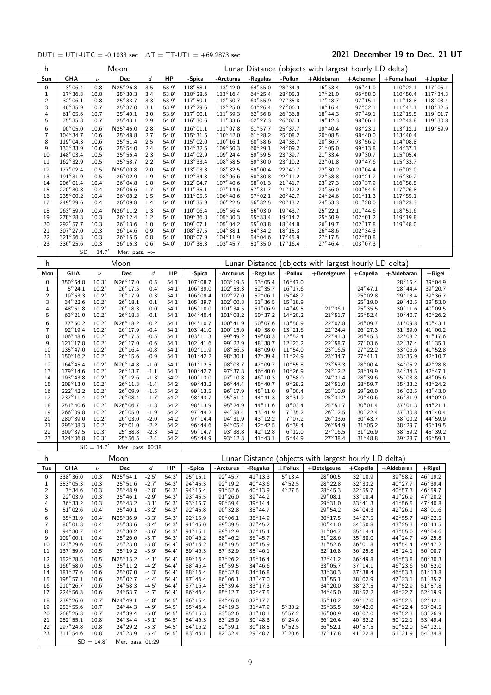### DUT1 = UT1-UTC = -0.1033 sec  $\Delta T = TT-UT1 = +69.2873$  sec 2021 December 19 to Dec. 21 UT

| h                          |                                        |                        | Moon                                          |                    |                |                                         |                                        |                                        |                                        | Lunar Distance (objects with largest hourly LD delta) |                                       |                                        |                                         |
|----------------------------|----------------------------------------|------------------------|-----------------------------------------------|--------------------|----------------|-----------------------------------------|----------------------------------------|----------------------------------------|----------------------------------------|-------------------------------------------------------|---------------------------------------|----------------------------------------|-----------------------------------------|
| Sun                        | GHA                                    | $\nu$                  | Dec                                           | d                  | HP             | -Spica                                  | -Arcturus                              | -Regulus                               | -Pollux                                | +Aldebaran                                            | $+A$ chernar                          | +Fomalhaut                             | $+$ Jupiter                             |
| 0                          | $3^{\circ}06.4$                        | 10.8'                  | $N25^{\circ}26.8$                             | 3.5'               | 53.9           | $118^{\circ}58.1$                       | $113^\circ 42.0$                       | $64^{\circ}55.0$                       | 28°34.9                                | $16^\circ 53.4$                                       | $96^\circ 41.0$                       | $110^{\circ}22.1$                      | $117^{\circ}05.1$                       |
| 1                          | $17^{\circ}36.3$                       | 10.8'                  | $25^{\circ}30.3$                              | 3.4'               | 53.9           | $118^{\circ}28.6$                       | $113^{\circ}16.4$                      | $64^{\circ}25.4$                       | $28^{\circ}05.3$                       | $17^{\circ}21.0$                                      | $96^\circ 58.0$                       | $110^{\circ}50.4$                      | $117^\circ 34.3$                        |
| $\mathbf 2$<br>3           | $32^{\circ}06.1$<br>$46^{\circ}35.9$   | 10.8'<br>10.7'         | $25^{\circ}33.7$<br>$25^{\circ}37.0$          | 3.3'<br>3.1'       | 53.9<br>53.9   | $117^{\circ}59.1$<br>$117^{\circ}29.6$  | $112^{\circ}50.7$<br>$112^{\circ}25.0$ | 63°55.9<br>$63^{\circ}26.4$            | $27^\circ 35.8$<br>$27^{\circ}06.3$    | $17^{\circ}$ 48.7<br>$18^{\circ}16.4$                 | $97^{\circ}15.1$<br>$97^{\circ}32.1$  | $111^\circ18.8$<br>$111^{\circ}47.1$   | $118^{\circ}$ 03.4<br>$118^{\circ}32.5$ |
| 4                          | $61^{\circ}05.6$                       | 10.7'                  | $25^{\circ}40.1$                              | 3.0'               | 53.9           | $117^{\circ}00.1$                       | $111^{\circ}59.3$                      | $62^{\circ}56.8$                       | $26^\circ 36.8$                        | $18^{\circ}$ 44.3                                     | 97°49.1                               | $112^{\circ}15.5$                      | $119^{\circ}01.7$                       |
| 5                          | $75^\circ$ 35.3                        | 10.7'                  | $25^{\circ}43.1$                              | 2.9'               | 54.0'          | $116^{\circ}30.6$                       | $111^{\circ}33.6$                      | $62^{\circ}$ 27.3                      | $26^{\circ}$ 07.3                      | $19^{\circ}12.3$                                      | $98^{\circ}06.1$                      | $112^{\circ}$ 43.8                     | $119^{\circ}30.8$                       |
| 6                          | $90^\circ$ 05.0                        | 10.6'                  | $N25^{\circ}46.0$                             | 2.8'               | 54.0'          | $116^{\circ}01.1$                       | $111^\circ 07.8$                       | $61^{\circ}57.7$                       | 25°37.7                                | $19^{\circ}$ 40.4                                     | 98°23.1                               | $113^{\circ}12.1$                      | $119^{\circ}59.9$                       |
| 7<br>8                     | 104°34.7<br>$119^{\circ}04.3$          | 10.6'<br>10.6'         | $25^{\circ}48.8$<br>$25^{\circ}51.4$          | 2.7'<br>2.5'       | 54.0'<br>54.0' | $115^{\circ}31.5$<br>$115^{\circ}02.0$  | $110^\circ$ 42.0<br>$110^{\circ}16.1$  | $61^{\circ}28.2$<br>$60^{\circ}58.6$   | $25^{\circ}08.2$<br>$24^{\circ}38.7$   | $20^{\circ}08.5$<br>$20^{\circ}36.7$                  | 98°40.0<br>$98^{\circ}56.9$           | $113^{\circ}40.4$<br>$114^{\circ}08.8$ |                                         |
| 9                          | 133°33.9                               | 10.6'                  | $25^{\circ}54.0$                              | 2.4'               | 54.0'          | $114^{\circ}32.5$                       | $109^{\circ}50.3$                      | $60^{\circ}29.1$                       | 24°09.2                                | $21^{\circ}$ 05.0                                     | 99°13.8                               | $114^{\circ}37.1$                      |                                         |
| 10                         | $148^{\circ}03.4$                      | 10.5'                  | $25^{\circ}56.4$                              | 2.3'               | 54.0'          | $114^{\circ}02.9$                       | $109^{\circ}$ 24.4                     | $59^{\circ}59.5$                       | 23°39.7                                | $21^{\circ}33.4$                                      | 99°30.7                               | $115^{\circ}05.4$                      |                                         |
| 11                         | $162^{\circ}32.9$                      | 10.5'                  | $25^{\circ}58.7$                              | 2.2'               | 54.0'          | $113^{\circ}33.4$                       | $108^\circ$ 58.5                       | $59^\circ 30.0$                        | $23^{\circ}10.2$                       | $22^{\circ}01.8$                                      | $99^{\circ}47.6$                      | $115^{\circ}33.7$                      |                                         |
| 12                         | 177°02.4<br>$191^\circ 31.9$           | 10.5'                  | $N26^{\circ}00.8$                             | 2.0'               | 54.0'          | $113^{\circ}03.8$                       | 108°32.5                               | 59°00.4                                | $22^{\circ}40.7$                       | 22°30.2                                               | $100^{\circ}$ 04.4                    | $116^{\circ}02.0$                      |                                         |
| 13<br>14                   | $206^{\circ}01.4$                      | 10.5'<br>10.4'         | $26^{\circ}$ 02.9<br>$26^{\circ}$ 04.8        | 1.9'<br>1.8'       | 54.0'<br>54.0' | $112^{\circ}34.3$<br>$112^{\circ}04.7$  | $108^{\circ}06.6$<br>$107^\circ 40.6$  | $58^\circ 30.8$<br>$58^{\circ}01.3$    | $22^{\circ}11.2$<br>$21^{\circ}41.7$   | $22^{\circ}58.8$<br>$23^{\circ}27.3$                  | 100°21.2<br>100°37.9                  | $116^{\circ}30.2$<br>$116^{\circ}58.5$ |                                         |
| 15                         | $220^{\circ}30.8$                      | 10.4'                  | $26^{\circ}06.6$                              | 1.7'               | 54.0'          | $111^{\circ}35.1$                       | $107^\circ 14.6$                       | $57^\circ 31.7$                        | $21^{\circ}$ 12.2                      | $23^{\circ}56.0$                                      | $100^{\circ}54.6$                     | $117^{\circ}26.8$                      |                                         |
| 16                         | $235^{\circ}00.2$                      | 10.4'                  | $26^{\circ}08.2$                              | 1.5'               | 54.0'          | $111^{\circ}05.5$                       | $106^{\circ}$ 48.6                     | $57^\circ 02.1$                        | $20^{\circ}$ 42.7                      | $24^{\circ}24.6$                                      | $101^\circ11.3$                       | $117^{\circ}55.1$                      |                                         |
| 17                         | $249^{\circ}29.6$                      | 10.4'                  | $26^{\circ}09.8$                              | 1.4'               | 54.0'          | $110^{\circ}35.9$                       | $106^{\circ}$ 22.5                     | $56^{\circ}32.5$                       | $20^{\circ}$ 13.2                      | $24^{\circ}53.3$                                      | $101^{\circ}28.0$                     | $118^{\circ}23.3$                      |                                         |
| 18<br>19                   | $263^\circ 59.0$<br>278°28.3           | 10.4'<br>10.3'         | $\mathsf{N}26^\circ11.2$<br>$26^{\circ}$ 12.4 | 1.3'<br>1.2'       | 54.0'<br>54.0' | $110^{\circ}$ 06.4<br>$109^\circ 36.8$  | $105^{\circ}56.4$<br>$105^\circ 30.3$  | $56^{\circ}$ 03.0<br>$55^{\circ}33.4$  | $19^{\circ}$ 43.7<br>$19^{\circ}$ 14.2 | $25^{\circ}22.1$<br>$25^{\circ}50.9$                  | $101^\circ 44.6$<br>$102^{\circ}01.2$ | $118^{\circ}51.6$<br>$119^{\circ}19.8$ |                                         |
| 20                         | 292°57.7                               | 10.3'                  | $26^{\circ}$ 13.6                             | 1.0'               | 54.0'          | $109^{\circ}07.1$                       | $105^{\circ}$ 04.2                     | $55^{\circ}03.8$                       | $18^{\circ}$ 44.8                      | $26^{\circ}$ 19.7                                     | $102^{\circ}$ 17.8                    | $119^{\circ}48.0$                      |                                         |
| 21                         | $307^{\circ}27.0$                      | 10.3'                  | $26^{\circ}$ 14.6                             | 0.9'               | 54.0'          | $108^\circ37.5$                         | $104^{\circ}38.1$                      | $54^\circ$ 34.2                        | $18^{\circ}15.3$                       | $26^{\circ}$ 48.6                                     | $102^{\circ}34.3$                     |                                        |                                         |
| 22                         | $321^{\circ}56.3$                      | 10.3'                  | $26^{\circ}15.5$                              | 0.8'               | 54.0'          | $108^{\circ}07.9$                       | $104^{\circ}11.9$                      | $54^{\circ}04.6$                       | $17^{\circ}$ 45.9                      | $27^{\circ}17.5$                                      | $102^{\circ}50.8$                     |                                        |                                         |
| 23                         | 336°25.6                               | 10.3'                  | $26^{\circ}16.3$                              | 0.6'               | 54.0'          | $107^{\circ}38.3$                       | $103^\circ 45.7$                       | $53^\circ 35.0$                        | $17^{\circ}16.4$                       | $27^{\circ}$ 46.4                                     | $103^{\circ}07.3$                     |                                        |                                         |
|                            |                                        | $SD = 14.7'$           | Mer. pass. $-:-$                              |                    |                |                                         |                                        |                                        |                                        |                                                       |                                       |                                        |                                         |
| h                          |                                        |                        | Moon                                          |                    |                |                                         |                                        |                                        |                                        | Lunar Distance (objects with largest hourly LD delta) |                                       |                                        |                                         |
| Mon                        | <b>GHA</b>                             | $\boldsymbol{\nu}$     | Dec                                           | d                  | HP             | -Spica                                  | -Arcturus                              | -Regulus                               | -Pollux                                | +Betelgeuse                                           | $+$ Capella                           | +Aldebaran                             | $+$ Rigel                               |
| 0<br>1                     | $350^\circ 54.8$<br>$5^{\circ}$ 24.1   | 10.3'<br>10.2'         | $N26^{\circ}17.0$<br>$26^{\circ}$ 17.5        | 0.5'<br>0.4'       | 54.1'<br>54.1' | 107°08.7<br>106°39.0                    | 103°19.5<br>$102^{\circ}53.3$          | $53^{\circ}05.4$<br>$52^{\circ}35.7$   | $16^{\circ}47.0$<br>$16^{\circ}$ 17.6  |                                                       | $24^{\circ}47.1$                      | $28^\circ 15.4$<br>$28^\circ 44.4$     | 39°04.9<br>$39^\circ 20.7$              |
| $\overline{c}$             | $19^{\circ}53.3$                       | 10.2'                  | $26^{\circ}$ 17.9                             | 0.3'               | 54.1'          | $106^{\circ}09.4$                       | 102°27.0                               | $52^{\circ}06.1$                       | $15^{\circ}48.2$                       |                                                       | $25^{\circ}$ 02.8                     | $29^{\circ}13.4$                       | $39^{\circ}36.7$                        |
| 3                          | $34^\circ 22.6$                        | 10.2'                  | $26^{\circ}18.1$                              | 0.1'               | 54.1'          | $105^{\circ}39.7$                       | $102^{\circ}00.8$                      | $51^\circ 36.5$                        | $15^{\circ}18.9$                       |                                                       | $25^{\circ}19.0$                      | $29^{\circ}$ 42.5                      | $39^\circ 53.0$                         |
| 4                          | $48^{\circ}51.8$                       | 10.2'                  | $26^{\circ}$ 18.3                             | 0.0'               | 54.1'          | $105^{\circ}10.0$                       | $101^{\circ}34.5$                      | $51^{\circ}06.9$                       | $14^{\circ}$ 49.5                      | $21^{\circ}36.1$                                      | $25^{\circ}35.5$<br>$25^{\circ}52.4$  | $30^\circ 11.6$                        | $40^{\circ}09.5$                        |
| 5<br>6                     | $63^{\circ}21.0$<br>77°50.2            | 10.2'<br>10.2'         | $26^{\circ}18.3$<br>$N26^{\circ}18.2$         | $-0.1'$<br>$-0.2'$ | 54.1'<br>54.1' | $104^{\circ}40.4$<br>$104^\circ 10.7$   | $101^{\circ}08.2$<br>$100^{\circ}41.9$ | $50^\circ 37.2$<br>$50^{\circ}$ 07.6   | $14^{\circ}20.2$<br>$13^{\circ}50.9$   | $21^{\circ}51.7$<br>$22^{\circ}$ 07.8                 | $26^{\circ}09.7$                      | $30^{\circ}40.7$<br>$31^{\circ}$ 09.8  | $40^{\circ}26.2$<br>$40^{\circ}43.1$    |
| $\overline{\mathfrak{c}}$  | $92^{\circ}19.4$                       | 10.2'                  | $26^{\circ}$ 17.9                             | $-0.4'$            | 54.1'          | $103^\circ 41.0$                        | $100^\circ15.6$                        | $49^{\circ}38.0$                       | $13^{\circ}21.6$                       | $22^{\circ}24.4$                                      | $26^{\circ}27.3$                      | $31^\circ 39.0$                        | $41^{\circ}00.2$                        |
| 8                          | $106^\circ 48.6$                       | 10.2'                  | $26^{\circ}$ 17.5                             | $-0.5'$            | 54.1'          | $103^\circ 11.3$                        | 99°49.2                                | $49^{\circ}08.3$                       | $12^{\circ}52.4$                       | $22^{\circ}41.3$                                      | $26^{\circ}$ 45.3                     | $32^{\circ}08.2$                       | $41^{\circ}17.6$                        |
| 9                          | $121^{\circ}17.8$                      | 10.2'                  | $26^{\circ}$ 17.0                             | $-0.6'$            | 54.1'          | $102^{\circ}$ 41.6                      | 99°22.9                                | $48^\circ$ 38.7                        | $12^{\circ}23.2$                       | $22^{\circ}58.7$                                      | $27^{\circ}$ 03.6                     | $32^\circ 37.4$                        | $41^{\circ}35.1$                        |
| 10<br>11                   | $135^{\circ}47.0$<br>$150^{\circ}16.2$ | 10.2'<br>10.2'         | $26^{\circ}16.4$<br>$26^{\circ} 15.6$         | $-0.8'$<br>$-0.9'$ | 54.1'<br>54.1' | $102^{\circ}11.9$<br>$101^{\circ}$ 42.2 | $98^{\circ}56.5$<br>$98^{\circ}30.1$   | 48°09.0<br>47°39.4                     | $11^{\circ}54.0$<br>$11^{\circ}24.9$   | $23^{\circ}16.5$<br>$23^\circ 34.7$                   | $27^{\circ}22.2$<br>$27^{\circ}41.1$  | $33^{\circ}06.6$<br>$33^\circ 35.9$    | $41^{\circ}52.8$<br>$42^{\circ}10.7$    |
| 12                         | $164^\circ 45.4$                       | 10.2'                  | $N26^{\circ}14.8$                             | $-1.0'$            | 54.1'          | $101^{\circ}$ 12.5                      | 98°03.7                                | 47°09.7                                | $10^{\circ}55.8$                       | 23°53.3                                               | $28^{\circ}00.4$                      | $34^{\circ}05.2$                       | $42^{\circ}28.8$                        |
| 13                         | 179°14.6                               | 10.2'                  | $26^{\circ}$ 13.7                             | $-1.1'$            | 54.1'          | $100^\circ 42.7$                        | 97°37.3                                | $46^{\circ}40.0$                       | $10^{\circ}26.9$                       | $24^{\circ}12.2$                                      | 28°19.9                               | $34^\circ$ 34.5                        | $42^{\circ}47.1$                        |
| 14                         | $193^{\circ}43.8$                      | 10.2'                  | $26^{\circ}12.6$                              | $-1.3'$            | 54.2'          | $100^\circ 13.0$                        | 97°10.8                                | $46^{\circ}10.3$                       | $9^{\circ}58.0$                        | $24^\circ 31.4$                                       | $28^\circ 39.6$                       | $35^{\circ}$ 03.8                      | 43°05.6                                 |
| 15<br>16                   | 208°13.0<br>222°42.2                   | 10.2'<br>10.2'         | $26^{\circ}11.3$<br>$26^{\circ}09.9$          | $-1.4'$<br>$-1.5'$ | 54.2'<br>54.2' | 99°43.2<br>99°13.5                      | $96^{\circ}$ 44.4<br>$96^{\circ}17.9$  | $45^{\circ}40.7$<br>$45^{\circ}11.0$   | $9^{\circ}29.2$<br>$9^{\circ}00.4$     | $24^{\circ}51.0$<br>$25^{\circ}10.9$                  | $28^{\circ}59.7$<br>$29^{\circ}20.0$  | $35^{\circ}33.2$<br>$36^{\circ}$ 02.5  | 43°24.2<br>43°43.0                      |
| 17                         | 237°11.4                               | 10.2'                  | $26^{\circ}08.4$                              | $-1.7'$            | 54.2'          | $98^{\circ}43.7$                        | $95^\circ 51.4$                        | 44°41.3                                | $8^{\circ}31.9$                        | $25^{\circ}31.2$                                      | $29^{\circ}40.6$                      | $36^\circ 31.9$                        | 44°02.0                                 |
| 18                         | $251^\circ 40.6$                       | 10.2'                  | $N26^{\circ}06.7$                             | $-1.8'$            | 54.2'          | 98°13.9                                 | 95°24.9                                | 44°11.6                                | $8^{\circ}$ 03.4                       | $25^{\circ}51.7$                                      | $30^{\circ}01.4$                      | $37^{\circ}01.3$                       | $44^{\circ}21.1$                        |
| 19                         | $266^{\circ}09.8$                      | 10.2'                  | $26^{\circ}05.0$                              | $-1.9'$            | 54.2'          | $97^{\circ}$ 44.2                       | $94^{\circ}58.4$                       | $43^{\circ}41.9$                       | $7^\circ$ 35.2                         | $26^{\circ}12.5$                                      | $30^\circ 22.4$                       | $37^\circ 30.8$                        | $44^{\circ}40.4$                        |
| 20<br>21                   | $280^{\circ}39.0$<br>$295^{\circ}08.3$ | 10.2'<br>10.2'         | $26^{\circ}03.0$<br>$26^{\circ}01.0$          | $-2.0'$<br>$-2.2'$ | 54.2'<br>54.2' | $97^{\circ}$ 14.4<br>$96^{\circ}$ 44.6  | 94°31.9<br>$94^{\circ}05.4$            | 43°12.2<br>$42^{\circ}$ 42.5           | $7^\circ$ 07.2<br>$6^{\circ}39.4$      | $26^\circ 33.6$<br>$26^{\circ}54.9$                   | $30^{\circ}$ 43.7<br>$31^{\circ}05.2$ | 38°00.2<br>$38^{\circ}$ 29.7           | 44°59.9<br>$45^{\circ}19.5$             |
| 22                         | 309°37.5                               | 10.3'                  | $25^{\circ}58.8$                              | $-2.3'$            | 54.2'          | $96^{\circ}$ 14.7                       | $93^{\circ}38.8$                       | $42^{\circ}12.8$                       | $6^{\circ}12.0$                        | $27^{\circ}16.5$                                      | $31^{\circ}26.9$                      | $38^\circ 59.2$                        | 45°39.2                                 |
| 23                         | $324^{\circ}06.8$                      | 10.3'                  | $25^{\circ}56.5$                              | $-2.4'$            | 54.2'          | $95^{\circ}$ 44.9                       | $93^\circ 12.3$                        | $41^{\circ}43.1$                       | $5^{\circ}$ 44.9                       | $27^\circ 38.4$                                       | $31^{\circ}$ 48.8                     | 39°28.7                                | $45^{\circ}59.1$                        |
|                            |                                        | $SD = 14.7'$           | Mer. pass. 00:38                              |                    |                |                                         |                                        |                                        |                                        |                                                       |                                       |                                        |                                         |
| h                          |                                        |                        | Moon                                          |                    |                |                                         |                                        |                                        |                                        | Lunar Distance (objects with largest hourly LD delta) |                                       |                                        |                                         |
| Tue                        | <b>GHA</b>                             | $\nu$                  | Dec                                           | d                  | HP             | -Spica                                  | -Arcturus                              | -Regulus                               | $±$ Pollux                             | $+$ Betelgeuse                                        | $+$ Capella                           | +Aldebaran                             | $+$ Rigel                               |
| $\pmb{0}$                  | 338°36.0                               | 10.3'                  | $N25^{\circ}54.1$                             | $-2.5'$            | 54.3'          | $95^{\circ}15.1$                        | $92^{\circ}$ 45.7                      | $41^{\circ}$ 13.3                      | $5^{\circ}18.4$                        | 28°00.5                                               | 32°10.9                               | $39^\circ 58.2$                        | $46^{\circ}19.2$                        |
| $\mathbf{1}$<br>$\sqrt{2}$ | $353^{\circ}05.3$<br>$7^\circ$ 34.6    | 10.3'<br>10.3'         | $25^\circ 51.6$<br>$25^{\circ}$ 48.9          | $-2.7'$<br>$-2.8'$ | 54.3'<br>54.3' | $94^{\circ}45.3$<br>$94^{\circ}15.4$    | $92^{\circ}$ 19.2<br>$91^\circ 52.6$   | $40^{\circ}$ 43.6<br>$40^{\circ}$ 13.9 | $4^{\circ}52.5$<br>$4^{\circ}27.5$     | $28^{\circ}22.8$<br>$28^\circ 45.3$                   | $32^{\circ}33.2$<br>32°55.7           | $40^{\circ}$ 27.7<br>$40^{\circ}57.3$  | 46°39.4<br>$46^{\circ}59.7$             |
| 3                          | $22^{\circ}03.9$                       | 10.3'                  | $25^{\circ}$ 46.1                             | $-2.9'$            | 54.3'          | $93^{\circ}45.5$                        | $91^{\circ}26.0$                       | $39^\circ 44.2$                        |                                        | $29^{\circ}08.1$                                      | $33^\circ 18.4$                       | $41^{\circ}26.9$                       | 47°20.2                                 |
| 4                          | $36^{\circ}33.2$                       | 10.3'                  | $25^\circ 43.2$                               | $-3.1'$            | 54.3'          | $93^{\circ}15.7$                        | $90^{\circ}59.4$                       | $39^\circ$ 14.4                        |                                        | $29^{\circ}31.0$                                      | $33^{\circ}41.3$                      | $41^{\circ}56.5$                       | 47°40.8                                 |
| 5                          | $51^{\circ}$ 02.6                      | 10.4'                  | $25^{\circ}40.1$                              | $-3.2'$            | 54.3'          | $92^{\circ}45.8$                        | $90^{\circ}32.8$                       | $38^\circ 44.7$                        |                                        | $29^{\circ}54.2$                                      | $34^{\circ}$ 04.3                     | $42^{\circ}26.1$                       | $48^{\circ}01.6$                        |
| 6<br>$\bf 7$               | 65°31.9<br>$80^{\circ}01.3$            | 10.4'<br>10.4'         | $N25^{\circ}36.9$<br>$25^{\circ}33.6$         | $-3.3'$<br>$-3.4'$ | 54.3'<br>54.3' | $92^{\circ}15.9$<br>$91^{\circ}46.0$    | $90^\circ\,06.1$<br>89°39.5            | 38°14.9<br>$37^\circ 45.2$             |                                        | $30^\circ17.5$<br>$30^\circ 41.0$                     | $34^{\circ}$ 27.5<br>$34^{\circ}50.8$ | 42°55.7<br>43°25.3                     | 48°22.5<br>48°43.5                      |
| 8                          | $94^{\circ}30.7$                       | 10.4'                  | $25^{\circ}30.2$                              | $-3.6'$            | 54.3'          | $91^{\circ}16.1$                        | 89°12.9                                | $37^\circ 15.4$                        |                                        | $31^{\circ}$ 04.7                                     | $35^{\circ}$ 14.4                     | 43°55.0                                | 49°04.6                                 |
| 9                          | $109^{\circ}00.1$                      | 10.4'                  | $25^{\circ}26.6$                              | $-3.7'$            | 54.3'          | $90^{\circ}46.2$                        | $88^{\circ}46.2$                       | $36^{\circ}$ 45.7                      |                                        | $31^{\circ}28.6$                                      | $35^\circ 38.0$                       | 44°24.7                                | 49°25.8                                 |
| 10                         | 123°29.6                               | 10.5'                  | $25^{\circ}23.0$                              | $-3.8'$            | 54.4'          | $90^{\circ}16.2$                        | $88^\circ 19.5$                        | $36^\circ 15.9$                        |                                        | $31^{\circ}52.6$                                      | $36^{\circ}01.8$                      | $44^{\circ}54.4$                       | 49°47.2                                 |
| 11<br>12                   | $137^{\circ}59.0$<br>152°28.5          | 10.5'<br>$10.5^\prime$ | $25^{\circ}$ 19.2<br>$N25^{\circ}15.2$        | $-3.9'$<br>$-4.1'$ | 54.4<br>54.4'  | $89^{\circ}46.3$<br>$89^\circ 16.4$     | $87^\circ 52.9$<br>$87^\circ 26.2$     | $35^{\circ}$ 46.1<br>$35^{\circ}16.4$  |                                        | $32^{\circ}16.8$<br>$32^{\circ}41.2$                  | $36^{\circ} 25.8$<br>$36^\circ 49.8$  | $45^{\circ}24.1$<br>45°53.8            | $50^{\circ}08.7$<br>$50^{\circ}30.3$    |
| 13                         | $166^{\circ}58.0$                      | 10.5'                  | $25^{\circ}11.2$                              | $-4.2'$            | 54.4'          | $88^{\circ}46.4$                        | $86^\circ 59.5$                        | $34^{\circ} 46.6$                      |                                        | $33^{\circ}05.7$                                      | $37^{\circ}$ 14.1                     | $46^{\circ}$ 23.6                      | $50^{\circ}52.0$                        |
| 14                         | $181^{\circ}$ 27.6                     | 10.6'                  | $25^{\circ}$ 07.0                             | $-4.3'$            | 54.4           | $88^\circ 16.4$                         | $86^\circ$ 32.8                        | $34^{\circ}16.8$                       |                                        | $33^\circ 30.3$                                       | $37^{\circ}38.4$                      | $46^{\circ}53.3$                       | $51^{\circ}13.8$                        |
| 15                         | $195^\circ 57.1$                       | 10.6'                  | $25^{\circ}$ 02.7                             | $-4.4'$            | 54.4'          | $87^{\circ}46.4$                        | $86^{\circ}$ 06.1                      | $33^{\circ}47.0$                       |                                        | $33^{\circ}55.1$                                      | $38^{\circ}02.9$                      | 47°23.1<br>47°52.9                     | $51^{\circ}35.7$                        |
| 16<br>17                   | $210^{\circ}26.7$<br>$224^{\circ}56.3$ | 10.6'<br>10.6'         | $24^{\circ}58.3$<br>$24^{\circ}53.7$          | $-4.5'$<br>$-4.7'$ | 54.4'<br>54.4  | $87^\circ 16.4$<br>$86^\circ 46.4$      | $85^\circ$ 39.4<br>$85^\circ 12.7$     | $33^\circ 17.3$<br>$32^{\circ}$ 47.5   |                                        | $34^{\circ}20.0$<br>$34^{\circ}45.0$                  | $38^{\circ}$ 27.5<br>$38^\circ 52.2$  | 48°22.7                                | $51^{\circ}57.8$<br>$52^{\circ}19.9$    |
| 18                         | 239°26.0                               | 10.7'                  | $N24^{\circ}49.1$                             | $-4.8'$            | 54.5'          | $86^\circ 16.4$                         | $84^{\circ}46.0$                       | $32^{\circ}$ 17.7                      |                                        | $35^{\circ}10.2$                                      | 39°17.0                               | 48°52.5                                | $52^{\circ}$ 42.1                       |
| 19                         | 253°55.6                               | 10.7'                  | $24^{\circ}$ 44.3                             | $-4.9'$            | 54.5'          | $85^\circ 46.4$                         | 84°19.3                                | $31^{\circ}$ 47.9                      | $5^{\circ}30.2$                        | $35^{\circ}35.5$                                      | 39°42.0                               | $49^{\circ}$ 22.4                      | $53^{\circ}04.5$                        |
| 20<br>21                   | $268^\circ 25.3$<br>$282^\circ 55.1$   | 10.7'<br>10.8'         | $24^{\circ}39.4$<br>$24^{\circ}34.4$          | $-5.0'$<br>$-5.1'$ | 54.5<br>54.5'  | $85^{\circ}16.3$<br>$84^\circ 46.3$     | $83^\circ 52.6$<br>83°25.9             | $31^{\circ}18.1$<br>$30^{\circ}$ 48.3  | $5^{\circ}57.2$<br>$6^{\circ}$ 24.6    | $36^{\circ}00.9$<br>$36^{\circ}26.4$                  | 40°07.0<br>40°32.2                    | 49°52.3<br>$50^{\circ}22.1$            | 53°26.9<br>$53^{\circ}$ 49.4            |
| 22                         | 297°24.8                               | 10.8'                  | $24^{\circ}29.2$                              | $-5.3'$            | 54.5'          | $84^\circ 16.2$                         | $82^{\circ}59.1$                       | $30^{\circ}$ 18.5                      | $6^{\circ}52.5$                        | $36^{\circ}52.1$                                      | $40^{\circ}57.5$                      | $50^\circ 52.0$                        | $54^{\circ}12.1$                        |
| 23                         | $311^\circ54.6$                        | 10.8                   | $24^{\circ}23.9$                              | $-5.4'$            | 54.5'          | $83^{\circ}46.1$                        | $82^{\circ}32.4$                       | $29^{\circ}$ 48.7                      | $7^\circ 20.6$                         | $37^\circ 17.8$                                       | $41^{\circ}22.8$                      | $51^{\circ}21.9$                       | $54^{\circ}34.8$                        |
|                            |                                        | $SD = 14.8'$           | Mer. pass. 01:29                              |                    |                |                                         |                                        |                                        |                                        |                                                       |                                       |                                        |                                         |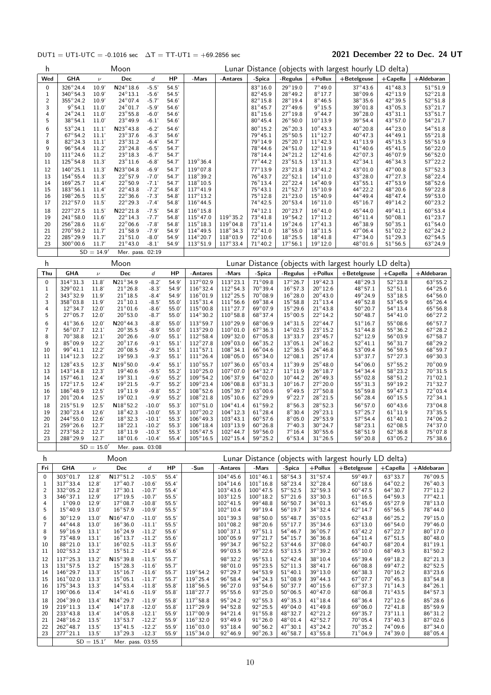### DUT1 = UT1-UTC = -0.1016 sec  $\Delta T = TT-UT1 = +69.2856$  sec 2021 December 22 to Dec. 24 UT

| h                       |                                        | Lunar Distance (objects with largest hourly LD delta)<br>Moon |                                        |                      |                |                                         |                                         |                                       |                                       |                                        |                                                       |                                       |                                      |
|-------------------------|----------------------------------------|---------------------------------------------------------------|----------------------------------------|----------------------|----------------|-----------------------------------------|-----------------------------------------|---------------------------------------|---------------------------------------|----------------------------------------|-------------------------------------------------------|---------------------------------------|--------------------------------------|
| Wed                     | <b>GHA</b>                             | $\boldsymbol{\nu}$                                            | Dec                                    | d                    | HP             | -Mars                                   | -Antares                                | -Spica                                | -Regulus                              | $+$ Pollux                             | $+$ Betelgeuse                                        | $+$ Capella                           | +Aldebaran                           |
| 0                       | $326^{\circ}24.4$                      | 10.9'                                                         | $\textsf{N}24^\circ18.6$               | $-5.5'$              | 54.5'          |                                         |                                         | 83°16.0                               | $29^{\circ}19.0$                      | $7^\circ 49.0$                         | $37^\circ 43.6$                                       | $41^{\circ}48.3$                      | $51^\circ 51.9$                      |
| 1<br>2                  | $340^{\circ}54.3$<br>$355^{\circ}24.2$ | 10.9'<br>10.9'                                                | $24^{\circ}13.1$<br>$24^{\circ}07.4$   | $-5.6'$<br>$-5.7'$   | 54.5'<br>54.6' |                                         |                                         | $82^{\circ}45.9$<br>$82^{\circ}15.8$  | 28°49.2<br>$28^{\circ}19.4$           | $8^{\circ}17.7$<br>$8^\circ 46.5$      | $38^\circ$ 09.6<br>$38^{\circ}35.6$                   | 42°13.9<br>42°39.5                    | $52^{\circ}21.8$<br>$52^{\circ}51.8$ |
| 3                       | $9^{\circ}54.1$                        | 11.0'                                                         | $24^{\circ}01.7$                       | $-5.9'$              | 54.6'          |                                         |                                         | $81^{\circ}45.7$                      | $27^{\circ}$ 49.6                     | $9^{\circ}15.5$                        | $39^{\circ}01.8$                                      | $43^{\circ}05.3$                      | $53^{\circ}21.7$                     |
| 4                       | $24^{\circ}24.1$                       | 11.0'                                                         | $23^{\circ}55.8$                       | $-6.0'$              | 54.6'          |                                         |                                         | $81^\circ 15.6$                       | $27^{\circ}19.8$                      | $9^{\circ}$ 44.7                       | 39°28.0                                               | $43^{\circ}31.1$                      | $53^\circ 51.7$                      |
| 5                       | $38^{\circ}54.1$                       | 11.0'                                                         | $23^{\circ}49.9$                       | $-6.1'$              | 54.6'          |                                         |                                         | $80^{\circ}45.4$                      | $26^{\circ}50.0$                      | $10^{\circ}$ 13.9                      | $39^{\circ}$ 54.4                                     | $43^{\circ}57.0$                      | $54^{\circ}21.7$<br>$54^{\circ}51.8$ |
| 6<br>$\bf 7$            | $53^{\circ}24.1$<br>$67^\circ 54.2$    | 11.1'<br>11.1'                                                | $N23^{\circ}43.8$<br>$23^{\circ}37.6$  | $-6.2'$<br>$-6.3'$   | 54.6'<br>54.6' |                                         |                                         | $80^\circ 15.2$<br>$79^{\circ}45.1$   | $26^{\circ}20.3$<br>$25^{\circ}50.5$  | $10^{\circ}$ 43.3<br>$11^{\circ}$ 12.7 | 40°20.8<br>40°47.3                                    | 44°23.0<br>44°49.1                    | $55^{\circ}21.8$                     |
| 8                       | $82^{\circ}24.3$                       | 11.1'                                                         | $23^{\circ}31.2$                       | $-6.4'$              | 54.7'          |                                         |                                         | 79°14.9                               | $25^{\circ}20.7$                      | $11^{\circ}$ 42.3                      | $41^{\circ}$ 13.9                                     | 45°15.3                               | $55^{\circ}51.9$                     |
| 9                       | $96^{\circ}54.4$                       | 11.2'                                                         | $23^{\circ}24.8$                       | $-6.5'$              | 54.7'          |                                         |                                         | 78°44.6                               | $24^{\circ}51.0$                      | $12^{\circ}11.9$                       | $41^{\circ}40.6$                                      | $45^{\circ}41.5$                      | $56^{\circ}22.0$                     |
| 10<br>11                | $111^{\circ}24.6$<br>$125^{\circ}54.8$ | 11.2'<br>11.3'                                                | $23^{\circ}18.3$<br>$23^{\circ}11.6$   | $-6.7'$<br>$-6.8'$   | 54.7<br>54.7'  | $119^{\circ}36.4$                       |                                         | 78°14.4<br>$77^\circ 44.2$            | $24^{\circ}21.2$<br>$23^{\circ}51.5$  | $12^{\circ}$ 41.6<br>$13^{\circ}11.3$  | $42^{\circ}$ 07.3<br>$42^{\circ}34.1$                 | $46^{\circ}07.9$<br>$46^{\circ}34.3$  | $56^{\circ}52.0$<br>$57^{\circ}22.2$ |
| 12                      | $140^{\circ}25.1$                      | 11.3'                                                         | $N23^{\circ}04.8$                      | $-6.9'$              | 54.7'          | $119^{\circ}07.8$                       |                                         | 77°13.9                               | $23^{\circ}21.8$                      | $13^{\circ}41.2$                       | 43°01.0                                               | $47^\circ$ 00.8                       | $57^{\circ}52.3$                     |
| 13                      | $154^{\circ}55.4$                      | 11.3'                                                         | $22^{\circ}57.9$                       | $-7.0'$              | 54.7'          | 118°39.2                                |                                         | $76^{\circ}43.7$                      | $22^{\circ}52.1$                      | $14^{\circ}11.0$                       | 43°28.0                                               | 47°27.3                               | $58^{\circ}22.4$                     |
| 14<br>15                | $169^{\circ}25.7$<br>$183^{\circ}56.1$ | 11.4'<br>11.4'                                                | $22^{\circ}50.9$<br>$22^{\circ}43.8$   | $-7.1'$<br>$-7.2'$   | 54.7'<br>54.8' | $118^{\circ}10.5$<br>$117^{\circ}41.9$  |                                         | $76^\circ 13.4$<br>$75^\circ 43.1$    | $22^{\circ}22.4$<br>$21^{\circ}52.7$  | $14^{\circ}40.9$<br>$15^{\circ}10.9$   | $43^{\circ}55.1$<br>44° 22.2                          | 47°53.9<br>48°20.6                    | $58^\circ 52.6$<br>$59^{\circ}22.8$  |
| 16                      | $198^{\circ}26.5$                      | 11.5'                                                         | $22^{\circ}36.6$                       | $-7.3'$              | 54.8'          | $117^\circ 13.2$                        |                                         | $75^\circ 12.8$                       | $21^{\circ}23.0$                      | $15^{\circ}$ 40.9                      | $44^{\circ}49.4$                                      | 48°47.4                               | $59^{\circ}53.0$                     |
| 17                      | $212^{\circ}57.0$                      | 11.5'                                                         | $22^{\circ}29.3$                       | $-7.4'$              | 54.8'          | $116^{\circ}$ 44.5                      |                                         | 74°42.5                               | $20^{\circ}53.4$                      | $16^{\circ}11.0$                       | $45^{\circ}16.7$                                      | $49^{\circ}$ 14.2                     | $60^{\circ}23.2$                     |
| 18                      | 227°27.5                               | 11.5'                                                         | $N22^{\circ}21.8$                      | $-7.5'$              | 54.8'          | $116^{\circ}15.8$                       |                                         | 74°12.1                               | $20^{\circ}23.7$                      | $16^{\circ}$ 41.0                      | $45^{\circ}$ 44.0                                     | 49°41.1                               | $60^\circ 53.4$                      |
| 19<br>20                | $241^{\circ}58.0$<br>$256^{\circ}28.6$ | 11.6'<br>11.6'                                                | $22^{\circ}14.3$<br>$22^{\circ}06.6$   | $-7.7'$<br>$-7.8'$   | 54.8<br>54.8'  | $115^{\circ}47.0$<br>$115^{\circ}18.3$  | $119^{\circ}35.2$<br>$119^{\circ}04.8$  | 73°41.8<br>$73^\circ 11.4$            | $19^{\circ}54.2$<br>$19^{\circ}$ 24.6 | $17^{\circ}11.2$<br>$17^{\circ}41.3$   | $46^{\circ}11.4$<br>$46^{\circ}38.9$                  | $50^{\circ}08.1$<br>$50^{\circ}35.1$  | $61^\circ 23.7$<br>$61^{\circ}54.0$  |
| 21                      | $270^{\circ}59.2$                      | 11.7'                                                         | $21^{\circ}58.9$                       | $-7.9'$              | 54.9           | $114^{\circ}49.5$                       | $118^{\circ}34.3$                       | $72^{\circ}41.0$                      | $18^{\circ}55.0$                      | $18^{\circ}11.5$                       | $47^{\circ}06.4$                                      | $51^{\circ}02.2$                      | $62^{\circ}$ 24.2                    |
| 22                      | $285^{\circ}29.9$                      | 11.7'                                                         | $21^{\circ}51.0$                       | $-8.0'$              | 54.9           | $114^{\circ}20.7$                       | $118^{\circ}03.9$                       | 72°10.6                               | $18^{\circ}25.5$                      | $18^{\circ}41.8$                       | $47^{\circ}34.0$                                      | $51^{\circ}29.3$                      | $62^{\circ}54.5$                     |
| 23                      | $300^\circ 00.6$                       | 11.7'<br>$SD = 14.9'$                                         | $21^{\circ}$ 43.0<br>Mer. pass. 02:19  | $-8.1'$              | 54.9'          | $113^{\circ}51.9$                       | $117^{\circ}33.4$                       | $71^\circ 40.2$                       | $17^{\circ}56.1$                      | $19^{\circ}$ 12.0                      | $48^{\circ}01.6$                                      | $51^{\circ}56.5$                      | $63^{\circ}24.9$                     |
|                         |                                        |                                                               |                                        |                      |                |                                         |                                         |                                       |                                       |                                        |                                                       |                                       |                                      |
| h                       |                                        |                                                               | Moon                                   |                      |                |                                         |                                         |                                       |                                       |                                        | Lunar Distance (objects with largest hourly LD delta) |                                       |                                      |
| Thu                     | <b>GHA</b>                             | $\nu$                                                         | Dec                                    | d                    | HP             | -Antares                                | -Mars                                   | -Spica                                | -Regulus                              | $+$ Pollux                             | $+$ Betelgeuse                                        | $+$ Capella                           | +Aldebaran                           |
| 0<br>1                  | $314^{\circ}31.3$<br>329°02.1          | 11.8<br>11.8                                                  | N21°34.9<br>$21^{\circ}26.8$           | $-8.2'$<br>$-8.3'$   | 54.9'<br>54.9  | $117^{\circ}02.9$<br>$116^{\circ}32.4$  | $113^{\circ}23.1$<br>$112^{\circ}54.3$  | $71^{\circ}09.8$<br>70°39.4           | $17^{\circ}26.7$<br>$16^{\circ}57.3$  | $19^{\circ}$ 42.3<br>$20^{\circ}$ 12.6 | 48°29.3<br>48°57.1                                    | $52^{\circ}23.8$<br>$52^{\circ}51.1$  | $63^{\circ}55.2$<br>$64^{\circ}25.6$ |
| $\overline{\mathbf{c}}$ | 343°32.9                               | 11.9'                                                         | $21^{\circ} 18.5$                      | $-8.4'$              | 54.9           | $116^{\circ}01.9$                       | $112^{\circ}25.5$                       | $70^\circ$ 08.9                       | $16^{\circ}28.0$                      | $20^{\circ}$ 43.0                      | $49^{\circ}$ 24.9                                     | $53^{\circ}18.5$                      | $64^{\circ}56.0$                     |
| 3                       | 358°03.8                               | 11.9                                                          | $21^{\circ}10.1$                       | $-8.5'$              | 55.0           | $115^{\circ}31.4$                       | $111^{\circ}56.6$                       | $69^{\circ}38.4$                      | $15^{\circ}58.8$                      | $21^{\circ}$ 13.4                      | $49^\circ 52.8$                                       | $53^{\circ}$ 45.9                     | $65^{\circ}26.4$                     |
| 4<br>5                  | $12^{\circ}34.7$<br>$27^{\circ}05.7$   | 12.0'<br>12.0'                                                | $21^{\circ}01.6$<br>$20^{\circ}53.0$   | $-8.6'$<br>$-8.7'$   | 55.0<br>55.0   | $115^{\circ}00.8$<br>$114^{\circ}30.2$  | $111^{\circ}27.7$<br>$110^{\circ}58.8$  | $69^{\circ}07.9$<br>$68^{\circ}37.4$  | $15^{\circ}29.6$<br>$15^{\circ}00.5$  | $21^{\circ}$ 43.8<br>$22^{\circ}$ 14.2 | $50^{\circ}20.7$<br>$50^{\circ}48.7$                  | $54^{\circ}13.4$<br>$54^{\circ}41.0$  | $65^{\circ}56.8$<br>$66^{\circ}27.2$ |
| 6                       | 41°36.6                                | 12.0'                                                         | $N20^{\circ}$ 44.3                     | $-8.8'$              | 55.0           | 113°59.7                                | $110^{\circ}29.9$                       | 68°06.9                               | $14^{\circ}31.5$                      | $22^{\circ}$ 44.7                      | $51^{\circ}$ 16.7                                     | $55^{\circ}08.6$                      | $66^{\circ}57.7$                     |
| 7                       | $56^{\circ}07.7$                       | 12.1'                                                         | $20^{\circ}35.5$                       | $-8.9'$              | 55.0'          | $113^{\circ}29.0$                       | $110^{\circ}01.0$                       | $67^{\circ}36.3$                      | $14^{\circ}02.5$                      | $23^{\circ}15.2$                       | $51^\circ 44.8$                                       | $55^{\circ}36.2$                      | $67^\circ 28.2$                      |
| 8                       | $70^\circ$ 38.8                        | 12.1'                                                         | $20^\circ 26.6$                        | $-9.0'$              | 55.1'          | $112^{\circ}58.4$                       | $109^{\circ}32.0$                       | $67^{\circ}05.8$                      | $13^{\circ}33.7$                      | $23^{\circ}$ 45.7                      | $52^{\circ}12.9$                                      | $56^{\circ}03.9$                      | $67^\circ 58.7$<br>68°29.2           |
| 9<br>10                 | 85°09.9<br>$99^{\circ}41.1$            | 12.2'<br>12.2'                                                | $20^{\circ}$ 17.6<br>$20^{\circ}08.5$  | $-9.1'$<br>$-9.2'$   | 55.1'<br>55.1' | $112^{\circ}27.8$<br>$111^{\circ}57.1$  | $109^\circ 03.0$<br>$108^{\circ}34.1$   | $66^\circ$ 35.2<br>$66^{\circ}04.6$   | $13^{\circ}05.1$<br>$12^{\circ}36.5$  | $24^{\circ}16.2$<br>$24^{\circ}46.8$   | $52^{\circ}41.1$<br>$53^{\circ}09.4$                  | $56^\circ 31.7$<br>$56^{\circ}59.5$   | $68^{\circ}59.7$                     |
| 11                      | $114^{\circ}12.3$                      | 12.2'                                                         | $19^{\circ}59.3$                       | $-9.3'$              | 55.1'          | $111^{\circ}26.4$                       | $108^{\circ}05.0$                       | $65^{\circ}34.0$                      | $12^{\circ}08.1$                      | $25^{\circ}$ 17.4                      | $53^{\circ}37.7$                                      | $57^{\circ}27.3$                      | 69°30.3                              |
| 12                      | 128°43.5                               | 12.3'                                                         | $N19^{\circ}50.0$                      | $-9.4'$              | 55.1           | $110^{\circ}55.7$                       | 107°36.0                                | $65^{\circ}03.4$                      | $11^{\circ}39.9$                      | $25^{\circ}48.0$                       | $54^{\circ}$ 06.0                                     | $57^{\circ}55.2$                      | $70^{\circ}00.9$                     |
| 13<br>14                | $143^{\circ}14.8$<br>$157^{\circ}46.1$ | 12.3'<br>12.4'                                                | $19^{\circ}$ 40.6<br>$19^{\circ}31.1$  | $-9.5'$<br>$-9.6'$   | 55.2'<br>55.2  | $110^{\circ}25.0$<br>$109^{\circ}54.2$  | 107°07.0<br>$106^{\circ}37.9$           | $64^{\circ}32.7$<br>$64^{\circ}02.0$  | $11^{\circ}11.9$<br>$10^{\circ}$ 44.2 | $26^{\circ}18.7$<br>$26^{\circ}49.3$   | $54^\circ$ 34.4<br>$55^{\circ}02.8$                   | $58^{\circ}23.2$<br>$58^\circ 51.2$   | 70°31.5<br>$71^{\circ}02.1$          |
| 15                      | $172^{\circ}17.5$                      | 12.4'                                                         | $19^{\circ}21.5$                       | $-9.7'$              | 55.2'          | $109^\circ 23.4$                        | $106^{\circ}08.8$                       | $63^{\circ}31.3$                      | $10^{\circ}16.7$                      | $27^{\circ}20.0$                       | $55^{\circ}31.3$                                      | $59^{\circ}19.2$                      | $71^\circ 32.7$                      |
| 16                      | $186^{\circ}48.9$                      | 12.5'                                                         | $19^{\circ}11.9$                       | $-9.8'$              | 55.2'          | $108^{\circ}52.6$                       | $105^\circ 39.7$                        | $63^{\circ}00.6$                      | $9^{\circ}$ 49.5                      | $27^{\circ}50.8$                       | 55°59.8                                               | $59^{\circ}$ 47.3                     | $72^{\circ}03.4$                     |
| 17                      | $201^\circ 20.4$                       | 12.5'                                                         | $19^{\circ}02.1$                       | $-9.9'$              | 55.2'          | $108^\circ 21.8$<br>$107^\circ 51.0$    | $105^\circ 10.6$<br>$104^{\circ}41.4$   | $62^{\circ}29.9$<br>$61^{\circ}59.2$  | $9^{\circ}$ 22.7                      | $28^{\circ}21.5$<br>$28^\circ 52.3$    | $56^{\circ}$ 28.4                                     | $60^\circ 15.5$<br>$60^{\circ}$ 43.6  | $72^{\circ}34.1$<br>73°04.8          |
| 18<br>19                | $215^{\circ}51.9$<br>$230^{\circ}23.4$ | 12.5'<br>12.6'                                                | $N18^{\circ}52.2$<br>$18^{\circ}$ 42.3 | $-10.0'$<br>$-10.0$  | 55.3'<br>55.3' | $107^{\circ}20.2$                       | $104^{\circ}$ 12.3                      | $61^{\circ}28.4$                      | $8^\circ 56.3$<br>$8^{\circ}30.4$     | $29^{\circ}23.1$                       | $56^{\circ}57.0$<br>$57^\circ 25.7$                   | $61^{\circ}11.9$                      | 73°35.5                              |
| 20                      | $244^{\circ}55.0$                      | 12.6'                                                         | $18^{\circ}32.3$                       | $-10.1'$             | 55.3'          | $106^{\circ}49.3$                       | $103^{\circ}43.1$                       | $60^{\circ}57.6$                      | $8^{\circ}05.0$                       | $29^{\circ}53.9$                       | $57^{\circ}$ 54.4                                     | $61^{\circ}40.1$                      | 74°06.2                              |
| 21                      | 259°26.6<br>273°58.2                   | 12.7'                                                         | $18^{\circ} 22.1$                      | $-10.2'$<br>$-10.3'$ | 55.3'<br>55.3' | $106^{\circ}18.4$<br>$105^{\circ}$ 47.5 | $103^\circ 13.9$<br>$102^\circ 44.7$    | $60^{\circ}26.8$                      | $7^{\circ}40.3$<br>$7^{\circ}16.4$    | $30^\circ 24.7$<br>$30^\circ 55.6$     | $58^{\circ}23.1$<br>$58^{\circ}51.9$                  | $62^{\circ}08.5$<br>$62^{\circ}36.8$  | 74°37.0<br>75°07.8                   |
| 22<br>23                | 288°29.9                               | 12.7'<br>12.7'                                                | $18^{\circ}11.9$<br>$18^{\circ}01.6$   | $-10.4'$             | 55.4'          | $105^{\circ}16.5$                       | $102^{\circ}15.4$                       | $59^{\circ}56.0$<br>$59^{\circ}25.2$  | $6^{\circ}53.4$                       | $31^{\circ}26.5$                       | 59°20.8                                               | $63^{\circ}05.2$                      | 75°38.6                              |
|                         |                                        | $SD = 15.0'$                                                  | Mer. pass. 03:08                       |                      |                |                                         |                                         |                                       |                                       |                                        |                                                       |                                       |                                      |
| h                       |                                        |                                                               | Moon                                   |                      |                |                                         |                                         |                                       |                                       |                                        | Lunar Distance (objects with largest hourly LD delta) |                                       |                                      |
| Fri                     | <b>GHA</b>                             | $\nu$                                                         | Dec                                    | $\boldsymbol{d}$     | HP             | -Sun                                    | -Antares                                | -Mars                                 | -Spica                                | $+$ Pollux                             | +Betelgeuse                                           | +Capella                              | +Aldebaran                           |
| $\pmb{0}$               | 303°01.7                               | 12.8'                                                         | $\text{N}17^{\circ}51.2$               | $-10.5'$             | 55.4           |                                         | $104^\circ 45.6$                        | $101^\circ$ 46.1                      | 58°54.3                               | $31^\circ 57.4$                        | 59°49.7                                               | 63°33.7                               | 76°09.5                              |
| 1                       | $317^{\circ}33.4$                      | 12.8'                                                         | $17^{\circ}$ 40.7                      | $-10.6'$             | 55.4'          |                                         | $104^{\circ}$ 14.6                      | $101^{\circ}16.8$                     | 58°23.4                               | $32^{\circ}$ 28.4                      | $60^{\circ}18.6$                                      | $64^{\circ}02.2$                      | $76^{\circ}40.3$                     |
| $\overline{c}$<br>3     | 332°05.2<br>$346^{\circ}37.1$          | 12.8'<br>12.9'                                                | $17^\circ 30.1$<br>$17^{\circ}$ 19.5   | $-10.7'$<br>$-10.7'$ | 55.4<br>55.5'  |                                         | $103^{\circ}$ 43.6<br>$103^{\circ}12.5$ | $100^\circ 47.5$<br>$100^\circ 18.2$  | $57^\circ 52.5$<br>$57^\circ 21.6$    | $32^{\circ}59.3$<br>33°30.3            | $60^{\circ}$ 47.5<br>$61^{\circ}16.5$                 | $64^{\circ}30.7$<br>$64^{\circ}59.3$  | $77^{\circ}11.2$<br>$77^\circ 42.1$  |
| 4                       | $1^{\circ}09.0$                        | 12.9'                                                         | $17^{\circ}$ 08.7                      | $-10.8'$             | 55.5'          |                                         | $102^{\circ}41.5$                       | $99^{\circ}48.8$                      | $56^{\circ}50.7$                      | $34^{\circ}01.3$                       | $61^{\circ}45.6$                                      | $65^{\circ}27.9$                      | 78°13.0                              |
| 5                       | $15^{\circ} 40.9$                      | 13.0'                                                         | $16^{\circ}57.9$                       | $-10.9'$             | 55.5'          |                                         | $102^{\circ}10.4$                       | $99^{\circ}$ 19.4                     | $56^{\circ}$ 19.7                     | $34^{\circ}32.4$                       | $62^{\circ}14.7$                                      | $65^{\circ}56.5$                      | 78°44.0                              |
| 6                       | 30°12.9                                | 13.0'                                                         | $N16^{\circ}$ 47.0                     | $-11.0'$             | 55.5'          |                                         | $101^{\circ}39.3$                       | 98°50.0                               | $55^{\circ}$ 48.7                     | 35°03.5                                | $62^{\circ}43.8$                                      | $66^{\circ}25.2$                      | $79^{\circ}15.0$                     |
| 7<br>8                  | $44^{\circ}44.8$<br>$59^{\circ}16.9$   | 13.0'<br>13.1'                                                | $16^{\circ}36.0$<br>$16^{\circ}$ 24.9  | $-11.1'$<br>$-11.2'$ | 55.5'<br>55.6' |                                         | $101^{\circ}08.2$<br>$100^\circ37.1$    | 98°20.6<br>$97^\circ 51.1$            | $55^{\circ}17.7$<br>$54^{\circ}46.7$  | $35^\circ 34.6$<br>$36^{\circ}$ 05.7   | $63^{\circ}13.0$<br>$63^\circ 42.2$                   | $66^{\circ}54.0$<br>$67^\circ 22.7$   | 79°46.0<br>80°17.0                   |
| 9                       | $73^\circ 48.9$                        | 13.1'                                                         | $16^{\circ} 13.7$                      | $-11.2'$             | 55.6'          |                                         | $100^{\circ}05.9$                       | $97^{\circ}21.7$                      | $54^{\circ}15.7$                      | $36^\circ 36.8$                        | $64^{\circ}11.4$                                      | $67^{\circ}51.5$                      | $80^{\circ}48.0$                     |
| 10                      | 88°21.0                                | 13.1'                                                         | $16^{\circ}02.5$                       | $-11.3'$             | 55.6'          |                                         | 99°34.7                                 | $96^{\circ}52.2$                      | $53^\circ 44.6$                       | $37^{\circ}08.0$                       | $64^{\circ}40.7$                                      | $68^{\circ}$ 20.4                     | $81^{\circ}19.1$                     |
| 11                      | $102^{\circ}53.2$<br>$117^\circ 25.3$  | 13.2'                                                         | $15^{\circ}51.2$<br>$N15^{\circ}39.8$  | $-11.4'$             | 55.6           |                                         | $99^{\circ}03.5$<br>98°32.2             | $96^{\circ}$ 22.6<br>$95^{\circ}53.1$ | $53^{\circ}13.5$<br>$52^{\circ}$ 42.4 | 37°39.2<br>38°10.4                     | $65^{\circ}10.0$                                      | $68^{\circ}49.3$                      | $81^{\circ}50.2$<br>82°21.3          |
| 12<br>13                | $131^{\circ}57.5$                      | 13.2'<br>13.2                                                 | $15^{\circ}$ 28.3                      | $-11.5'$<br>$-11.6'$ | 55.7'<br>55.7' |                                         | $98^{\circ}01.0$                        | 95°23.5                               | $52^{\circ}11.3$                      | $38^{\circ}41.7$                       | $65^\circ$ 39.4<br>$66^{\circ}08.8$                   | $69^{\circ}18.2$<br>$69^{\circ}$ 47.2 | $82^{\circ}52.5$                     |
| 14                      | $146^{\circ}29.7$                      | 13.3'                                                         | $15^{\circ}16.7$                       | $-11.6'$             | 55.7'          | $119^{\circ}54.2$                       | $97^\circ 29.7$                         | 94°53.9                               | $51^{\circ}$ 40.1                     | $39^\circ 13.0$                        | $66^\circ$ 38.3                                       | $70^\circ 16.2$                       | 83°23.6                              |
| 15<br>16                | $161^\circ 02.0$<br>$175^{\circ}34.3$  | 13.3'<br>13.3'                                                | $15^{\circ}05.1$<br>$14^{\circ}53.4$   | $-11.7'$<br>$-11.8'$ | 55.7'<br>55.8  | $119^{\circ}25.4$<br>$118^{\circ}56.5$  | $96^\circ 58.4$<br>$96^{\circ}27.0$     | $94^{\circ}24.3$<br>$93^{\circ}54.6$  | $51^{\circ}08.9$<br>$50^{\circ}37.7$  | $39^\circ$ 44.3<br>$40^{\circ}15.6$    | $67^{\circ}07.7$<br>$67^{\circ}37.3$                  | $70^\circ 45.3$<br>$71^\circ 14.3$    | $83^\circ 54.8$<br>$84^{\circ}26.1$  |
| 17                      | $190^{\circ}06.6$                      | 13.4                                                          | $14^{\circ}41.6$                       | $-11.9'$             | 55.8'          | $118^{\circ}27.7$                       | $95^{\circ}55.6$                        | $93^{\circ}25.0$                      | $50^{\circ}06.5$                      | $40^{\circ}47.0$                       | $68^{\circ}06.8$                                      | $71^{\circ}43.5$                      | $84^{\circ}57.3$                     |
| 18                      | $204^{\circ}39.0$                      | 13.4                                                          | $N14^{\circ}29.7$                      | $-11.9'$             | 55.8'          | $117^{\circ}58.8$                       | 95°24.2                                 | $92^{\circ}55.3$                      | 49°35.3                               | $41^{\circ}$ 18.4                      | 68°36.4                                               | $72^{\circ}12.6$                      | 85°28.6                              |
| 19                      | $219^{\circ}11.3$                      | 13.4                                                          | $14^{\circ}$ 17.8                      | $-12.0'$             | 55.8'          | $117^{\circ}29.9$                       | $94^{\circ}52.8$                        | $92^{\circ}25.5$                      | $49^{\circ}04.0$                      | $41^\circ 49.8$                        | $69^{\circ}06.0$                                      | $72^\circ 41.8$                       | 85°59.9                              |
| 20<br>21                | $233^{\circ}43.8$<br>248°16.2          | 13.4'<br>13.5'                                                | $14^{\circ}05.8$<br>$13^{\circ}53.7$   | $-12.1'$<br>$-12.2'$ | 55.9'<br>55.9  | $117^{\circ}00.9$<br>$116^{\circ}32.0$  | $94^{\circ}21.4$<br>93°49.9             | $91^{\circ}55.8$<br>$91^\circ 26.0$   | $48^{\circ}32.7$<br>$48^{\circ}01.4$  | $42^{\circ}21.2$<br>$42^{\circ}52.7$   | $69^{\circ}35.7$<br>$70^{\circ}$ 05.4                 | $73^\circ 11.1$<br>73°40.3            | $86^\circ31.2$<br>$87^\circ$ 02.6    |
| 22                      | $262^{\circ}48.7$                      | 13.5'                                                         | $13^{\circ}$ 41.5                      | $-12.2'$             | 55.9           | $116^{\circ}03.0$                       | $93^{\circ}18.4$                        | $90^{\circ}56.2$                      | $47^{\circ}30.1$                      | $43^{\circ}24.2$                       | $70^\circ$ 35.2                                       | $74^{\circ}09.6$                      | $87^\circ$ 34.0                      |
| 23                      | $277^{\circ}21.1$                      | 13.5'                                                         | $13^{\circ}29.3$                       | $-12.3'$             | 55.9'          | $115^{\circ}34.0$                       | $92^{\circ}46.9$                        | $90^{\circ}26.3$                      | $46^{\circ}58.7$                      | $43^{\circ}55.8$                       | $71^{\circ}04.9$                                      | $74^{\circ}39.0$                      | $88^\circ$ 05.4                      |
|                         |                                        | $SD = 15.1'$                                                  | Mer. pass. 03:55                       |                      |                |                                         |                                         |                                       |                                       |                                        |                                                       |                                       |                                      |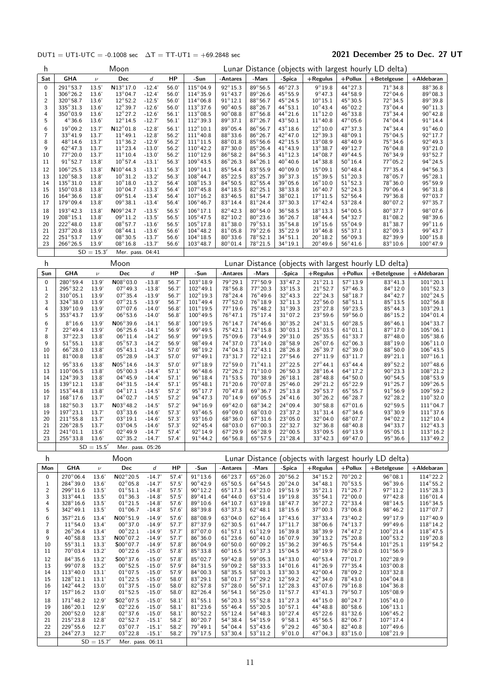### DUT1 = UT1-UTC = -0.1008 sec  $\Delta T = TT-UT1 = +69.2848$  sec 2021 December 25 to Dec. 27 UT

| h                         | Moon                                    |                       |                                        |                      |                |                                          |                                       |                                      | Lunar Distance (objects with largest hourly LD delta) |                                       |                                       |                                                       |                                         |  |  |
|---------------------------|-----------------------------------------|-----------------------|----------------------------------------|----------------------|----------------|------------------------------------------|---------------------------------------|--------------------------------------|-------------------------------------------------------|---------------------------------------|---------------------------------------|-------------------------------------------------------|-----------------------------------------|--|--|
| Sat                       | <b>GHA</b>                              | $\boldsymbol{\nu}$    | Dec                                    | d                    | HP             | -Sun                                     | -Antares                              | -Mars                                | -Spica                                                | $+$ Regulus                           | $+$ Pollux                            | $+$ Betelgeuse                                        | $+A$ Idebaran                           |  |  |
| 0                         | $291^{\circ}53.7$                       | 13.5'                 | $N13^{\circ}17.0$                      | $-12.4'$             | 56.0'          | $115^{\circ}04.9$                        | $92^{\circ}15.3$                      | 89°56.5                              | $46^{\circ}$ 27.3                                     | $9^{\circ}19.8$                       | $44^{\circ}27.3$                      | $71^\circ$ 34.8                                       | $88^\circ$ 36.8                         |  |  |
| 1                         | $306^\circ 26.2$                        | 13.6                  | $13^{\circ}04.7$                       | $-12.4'$             | 56.0'          | $114^{\circ}35.9$                        | $91^{\circ}43.7$                      | $89^\circ$ 26.6                      | 45°55.9                                               | $9^{\circ}$ 47.3                      | 44°58.9                               | $72^{\circ}04.6$                                      | $89^\circ$ 08.3                         |  |  |
| 2<br>3                    | $320^{\circ}58.7$<br>335°31.3           | 13.6'<br>13.6         | $12^{\circ}52.2$<br>$12^{\circ}39.7$   | $-12.5'$<br>$-12.6'$ | 56.0'<br>56.0' | $114^{\circ}06.8$<br>$113^{\circ}37.6$   | $91^\circ 12.1$<br>$90^{\circ}40.5$   | $88^\circ 56.7$<br>$88^\circ$ 26.7   | 45°24.5<br>$44^{\circ}53.1$                           | $10^{\circ}15.1$<br>$10^{\circ}$ 43.4 | $45^{\circ}30.5$<br>$46^{\circ}02.2$  | $72^{\circ}34.5$<br>$73^\circ$ 04.4                   | 89°39.8<br>$90^{\circ}11.3$             |  |  |
| 4                         | $350^\circ$ 03.9                        | 13.6'                 | $12^{\circ}27.2$                       | $-12.6'$             | 56.1'          | $113^{\circ}08.5$                        | $90^{\circ}08.8$                      | $87^\circ 56.8$                      | $44^{\circ}21.6$                                      | $11^{\circ}12.0$                      | $46^{\circ}33.8$                      | $73^\circ$ 34.4                                       | $90^\circ 42.8$                         |  |  |
| 5                         | $4^{\circ}36.6$                         | 13.6'                 | $12^{\circ}14.5$                       | $-12.7'$             | 56.1'          | $112^{\circ}39.3$                        | $89^{\circ}37.1$                      | $87^\circ$ 26.7                      | 43°50.1                                               | $11^{\circ}40.8$                      | $47^{\circ}05.6$                      | $74^{\circ}04.4$                                      | $91^{\circ}$ 14.4                       |  |  |
| 6                         | $19^{\circ}09.2$                        | 13.7'                 | $N12^{\circ}01.8$                      | $-12.8'$             | 56.1'          | $112^{\circ}10.1$                        | $89^\circ$ 05.4                       | $86^\circ 56.7$                      | $43^{\circ}18.6$                                      | $12^{\circ}10.0$                      | 47°37.3                               | 74°34.4                                               | $91^\circ 46.0$                         |  |  |
| 7<br>8                    | 33°41.9<br>$48^{\circ}14.6$             | 13.7'<br>13.7'        | $11^{\circ}49.1$<br>$11^{\circ}36.2$   | $-12.8'$<br>$-12.9'$ | 56.2'<br>56.2' | $111^{\circ}40.8$<br>$111^{\circ}11.5$   | 88°33.6<br>$88^\circ$ 01.8            | $86^{\circ}26.7$<br>$85^\circ 56.6$  | 42°47.0<br>$42^{\circ}15.5$                           | $12^{\circ}39.3$<br>$13^{\circ}08.9$  | 48°09.1<br>48°40.9                    | $75^{\circ}04.5$<br>$75^\circ$ 34.6                   | 92°17.7<br>$92^{\circ}49.3$             |  |  |
| 9                         | $62^{\circ}47.3$                        | 13.7'                 | $11^{\circ}23.4$                       | $-13.0'$             | 56.2'          | $110^{\circ}$ 42.2                       | $87^{\circ}30.0$                      | $85^\circ 26.4$                      | $41^{\circ}43.9$                                      | $13^{\circ}38.7$                      | $49^{\circ}12.7$                      | $76^\circ$ 04.8                                       | $93^{\circ}21.0$                        |  |  |
| 10                        | $77^\circ 20.0$                         | 13.7'                 | $11^{\circ}10.4$                       | $-13.0'$             | 56.2'          | $110^{\circ}$ 12.9                       | $86^\circ 58.2$                       | $84^{\circ}56.3$                     | $41^{\circ}$ 12.3                                     | $14^{\circ}08.7$                      | 49°44.5                               | $76^{\circ}34.9$                                      | 93°52.7                                 |  |  |
| 11                        | $91^{\circ}52.7$                        | 13.8                  | $10^{\circ}57.4$                       | $-13.1'$             | 56.3'          | $109^{\circ}$ 43.5                       | $86^{\circ}26.3$                      | $84^{\circ}26.1$                     | $40^{\circ}40.6$                                      | $14^{\circ}38.8$                      | $50^\circ 16.4$                       | $77^\circ$ 05.2                                       | $94^{\circ}24.5$                        |  |  |
| 12                        | $106^{\circ}25.5$<br>$120^{\circ}58.3$  | 13.8                  | $N10^{\circ}$ 44.3<br>$10^{\circ}31.2$ | $-13.1'$             | 56.3'          | $109^{\circ}$ 14.1<br>$108^{\circ}$ 44.7 | $85^\circ 54.4$<br>$85^\circ 22.5$    | 83°55.9<br>$83^\circ 25.7$           | $40^{\circ}09.0$<br>$39^\circ 37.3$                   | $15^{\circ}09.1$<br>$15^{\circ}39.5$  | $50^{\circ}$ 48.4<br>$51^{\circ}20.3$ | $77^\circ$ 35.4<br>78°05.7                            | 94°56.3<br>95°28.1                      |  |  |
| 13<br>14                  | $135^{\circ}31.0$                       | 13.8<br>13.8          | $10^{\circ}18.0$                       | $-13.2'$<br>$-13.2'$ | 56.3'<br>56.4' | $108^{\circ} 15.3$                       | $84^\circ 50.5$                       | 82°55.4                              | $39^{\circ}05.6$                                      | $16^{\circ}10.0$                      | $51^\circ 52.3$                       | 78°36.0                                               | 95°59.9                                 |  |  |
| 15                        | $150^{\circ}03.8$                       | 13.8                  | $10^{\circ}$ 04.7                      | $-13.3'$             | 56.4'          | $107^\circ 45.8$                         | $84^{\circ}18.5$                      | $82^{\circ}25.1$                     | $38^{\circ}33.8$                                      | $16^{\circ}40.7$                      | $52^{\circ}$ 24.3                     | $79^\circ$ 06.4                                       | $96^{\circ}31.8$                        |  |  |
| 16                        | $164^{\circ}36.6$                       | 13.8                  | $09^{\circ}51.4$                       | $-13.4'$             | 56.4           | $107^{\circ}16.2$                        | $83^{\circ}46.5$                      | $81^\circ$ 54.7                      | $38^{\circ}02.1$                                      | $17^{\circ}11.5$                      | $52^{\circ}56.4$                      | 79°36.8                                               | 97°03.7                                 |  |  |
| 17                        | $179^{\circ}09.4$                       | 13.8                  | $09^{\circ}38.1$                       | $-13.4'$             | 56.4           | $106^{\circ}46.7$                        | $83^{\circ}14.4$                      | $81^\circ$ 24.4                      | $37^\circ 30.3$                                       | $17^{\circ}$ 42.4                     | $53^{\circ}28.4$                      | $80^\circ$ 07.2                                       | 97°35.7                                 |  |  |
| 18<br>19                  | 193°42.3<br>$208^{\circ}15.1$           | 13.8<br>13.8          | N09°24.7<br>$09^{\circ}11.2$           | $-13.5'$<br>$-13.5'$ | 56.5'<br>56.5' | $106^{\circ}$ 17.1<br>$105^\circ 47.5$   | $82^{\circ}42.3$<br>82°10.2           | 80°54.0<br>$80^\circ$ 23.6           | $36^\circ 58.5$<br>$36^\circ 26.7$                    | $18^{\circ}13.3$<br>$18^{\circ}$ 44.4 | $54^{\circ}00.5$<br>$54^\circ 32.7$   | $80^\circ$ 37.7<br>$81^\circ$ 08.2                    | 98°07.6<br>98°39.6                      |  |  |
| 20                        | $222^{\circ}48.0$                       | 13.8                  | $08^{\circ}57.7$                       | $-13.6'$             | 56.5'          | $105^\circ 17.8$                         | $81^\circ 38.0$                       | $79^{\circ}53.1$                     | $35^{\circ}54.8$                                      | $19^{\circ}$ 15.6                     | $55^{\circ}$ 04.9                     | $81^\circ 38.7$                                       | $99^{\circ}11.6$                        |  |  |
| 21                        | 237°20.8                                | 13.9                  | $08^{\circ}44.1$                       | $-13.6'$             | 56.6'          | $104^{\circ}48.2$                        | $81^\circ$ 05.8                       | $79^\circ 22.6$                      | $35^\circ 22.9$                                       | $19^{\circ}46.8$                      | $55^{\circ}37.1$                      | $82^{\circ}09.3$                                      | $99^{\circ}43.7$                        |  |  |
| 22<br>23                  | $251^{\circ}53.7$<br>$266^\circ 26.5$   | 13.9'<br>13.9'        | $08^{\circ}30.5$<br>$08^{\circ}16.8$   | $-13.7'$             | 56.6'<br>56.6  | $104^{\circ} 18.5$<br>$103^{\circ}48.7$  | $80^{\circ}33.6$<br>$80^\circ$ 01.4   | $78^{\circ}52.1$<br>78°21.5          | $34^{\circ}51.1$<br>$34^{\circ}$ 19.1                 | $20^{\circ}18.2$<br>$20^{\circ}$ 49.6 | $56^{\circ}$ 09.3<br>$56^{\circ}41.6$ | $82^{\circ}39.9$                                      | $100^{\circ}15.8$<br>$100^{\circ}$ 47.9 |  |  |
|                           |                                         | $SD = 15.3'$          | Mer. pass. 04:41                       | $-13.7'$             |                |                                          |                                       |                                      |                                                       |                                       |                                       | $83^\circ 10.6$                                       |                                         |  |  |
|                           |                                         |                       |                                        |                      |                |                                          |                                       |                                      |                                                       |                                       |                                       |                                                       |                                         |  |  |
| h                         |                                         |                       | Moon                                   |                      |                |                                          |                                       |                                      |                                                       |                                       |                                       | Lunar Distance (objects with largest hourly LD delta) |                                         |  |  |
| Sun<br>0                  | <b>GHA</b><br>$280^{\circ}59.4$         | $\nu$<br>13.9         | Dec<br>N08°03.0                        | d<br>$-13.8$         | HP<br>56.7'    | -Sun<br>$103^{\circ}18.9$                | -Antares<br>$79^\circ 29.1$           | -Mars<br>77°50.9                     | -Spica<br>$33^\circ 47.2$                             | $+$ Regulus<br>$21^{\circ}21.1$       | $+$ Pollux<br>57°13.9                 | $+$ Betelgeuse<br>83°41.3                             | +Aldebaran<br>$101^{\circ}20.1$         |  |  |
| 1                         | 295°32.2                                | 13.9'                 | $07^{\circ}49.3$                       | $-13.8$              | 56.7           | $102^{\circ}49.1$                        | $78^\circ 56.8$                       | $77^\circ 20.3$                      | $33^{\circ}15.3$                                      | $21^{\circ}$ 52.7                     | $57^\circ 46.3$                       | $84^{\circ}12.0$                                      | $101^{\circ}52.3$                       |  |  |
| $\overline{c}$            | $310^{\circ}05.1$                       | 13.9'                 | $07^{\circ}35.4$                       | $-13.9'$             | 56.7           | $102^{\circ}19.3$                        | $78^\circ$ 24.4                       | $76^{\circ}49.6$                     | $32^\circ 43.3$                                       | $22^{\circ}24.3$                      | $58^\circ 18.7$                       | $84^\circ 42.7$                                       | $102^{\circ}$ 24.5                      |  |  |
| 3<br>4                    | $324^{\circ}38.0$<br>$339^{\circ}10.9$  | 13.9'<br>13.9'        | $07^{\circ}21.5$<br>$07^{\circ}07.6$   | $-13.9$<br>$-14.0'$  | 56.7<br>56.8   | $101^{\circ}$ 49.4<br>$101^{\circ}19.5$  | $77^\circ 52.0$<br>$77^\circ 19.6$    | $76^\circ 18.9$<br>75°48.2           | $32^{\circ}11.3$<br>$31^{\circ}39.3$                  | $22^{\circ}56.0$<br>$23^{\circ}27.8$  | $58^\circ 51.1$<br>$59^\circ$ 23.5    | $85^\circ 13.5$<br>$85^{\circ}$ 44.3                  | $102^{\circ}56.8$<br>$103^{\circ}29.1$  |  |  |
| 5                         | $353^{\circ}43.7$                       | 13.9'                 | $06^{\circ}53.6$                       | $-14.0'$             | 56.8           | $100^{\circ}$ 49.5                       | $76^{\circ}47.1$                      | $75^\circ 17.4$                      | $31^{\circ}07.2$                                      | $23^{\circ}59.6$                      | $59^{\circ}56.0$                      | $86^\circ 15.2$                                       | $104^{\circ}01.4$                       |  |  |
| 6                         | $8^{\circ}16.6$                         | 13.9'                 | N06°39.6                               | $-14.1'$             | 56.8           | $100^\circ19.5$                          | 76°14.7                               | $74^{\circ}46.6$                     | $30^\circ 35.2$                                       | $24^{\circ}31.5$                      | $60^{\circ}28.5$                      | $86^\circ 46.1$                                       | 104°33.7                                |  |  |
| 7                         | $22^{\circ}$ 49.4                       | 13.9'                 | $06^{\circ}25.6$                       | $-14.1'$             | 56.9           | 99°49.5                                  | $75^\circ 42.1$                       | $74^\circ 15.8$                      | $30^{\circ}03.1$                                      | $25^{\circ}$ 03.5                     | $61^{\circ}01.1$                      | $87^\circ 17.0$                                       | $105^{\circ}06.1$                       |  |  |
| 8                         | $37^\circ 22.3$                         | 13.8'                 | $06^{\circ}11.4$                       | $-14.2'$             | 56.9           | 99°19.5<br>98°49.4                       | $75^{\circ}09.6$                      | $73^{\circ}44.9$                     | $29^{\circ}31.0$                                      | $25^\circ 35.5$                       | $61^{\circ}33.7$                      | $87^\circ 48.0$                                       | $105^{\circ}38.6$                       |  |  |
| 9<br>10                   | $51^{\circ}55.1$<br>$66^{\circ}28.0$    | 13.8'<br>13.8'        | $05^{\circ}57.3$<br>$05^{\circ}43.1$   | $-14.2'$<br>$-14.2$  | 56.9<br>57.0'  | $98^{\circ}19.2$                         | 74°37.0<br>$74^{\circ}04.3$           | $73^{\circ}14.0$<br>$72^{\circ}43.1$ | $28^{\circ}58.9$<br>$28^{\circ}26.8$                  | $26^{\circ}$ 07.6<br>$26^{\circ}39.7$ | $62^{\circ}06.3$<br>$62^{\circ}39.0$  | $88^\circ19.0$<br>$88^{\circ}50.0$                    | $106^{\circ}11.0$<br>$106^\circ 43.5$   |  |  |
| 11                        | $81^\circ$ 00.8                         | 13.8'                 | $05^{\circ}28.9$                       | $-14.3$              | 57.0           | $97^{\circ}49.1$                         | $73^{\circ}31.7$                      | $72^{\circ}12.1$                     | $27^{\circ}54.6$                                      | $27^{\circ}11.9$                      | $63^{\circ}11.7$                      | $89^\circ 21.1$                                       | $107^{\circ}16.1$                       |  |  |
| 12                        | 95°33.6                                 | 13.8'                 | N05°14.6                               | $-14.3'$             | 57.0'          | $97^{\circ}18.9$                         | 72°59.0                               | $71^\circ 41.1$                      | $27^{\circ}22.5$                                      | $27^\circ 44.1$                       | $63^{\circ}44.4$                      | $89^\circ 52.2$                                       | $107^\circ 48.6$                        |  |  |
| 13                        | $110^{\circ}06.5$                       | 13.8'                 | $05^{\circ}00.3$                       | $-14.4$              | 57.1'          | $96^{\circ}48.6$                         | $72^{\circ}26.2$                      | $71^\circ 10.0$                      | $26^{\circ}50.3$                                      | $28^{\circ}16.4$                      | $64^{\circ}17.2$                      | $90^{\circ}23.3$                                      | 108°21.2                                |  |  |
| 14<br>15                  | $124^{\circ}39.3$<br>$139^{\circ}12.1$  | 13.8'<br>13.8'        | $04^{\circ}45.9$<br>$04^{\circ}31.5$   | $-14.4$<br>$-14.4$   | 57.1'<br>57.1' | $96^{\circ}18.4$<br>$95^{\circ}48.1$     | $71^{\circ}53.5$<br>$71^\circ 20.6$   | $70^{\circ}38.9$<br>$70^\circ$ 07.8  | $26^{\circ}18.1$<br>$25^{\circ}46.0$                  | 28°48.8<br>$29^{\circ}21.2$           | $64^{\circ}50.0$<br>$65^{\circ}22.9$  | $90^{\circ}54.5$<br>$91^{\circ}25.7$                  | $108^{\circ}53.9$<br>$109^\circ 26.5$   |  |  |
| 16                        | $153^{\circ}44.8$                       | 13.8'                 | $04^{\circ}17.1$                       | $-14.5$              | 57.2'          | $95^{\circ}17.7$                         | $70^\circ 47.8$                       | $69^{\circ}36.7$                     | $25^{\circ}13.8$                                      | $29^{\circ}53.7$                      | $65^\circ 55.7$                       | $91^{\circ}56.9$                                      | $109^{\circ}59.2$                       |  |  |
| 17                        | $168^{\circ}17.6$                       | 13.7'                 | $04^{\circ}02.7$                       | $-14.5'$             | 57.2'          | 94°47.3                                  | $70^{\circ}$ 14.9                     | $69^{\circ}05.5$                     | $24^{\circ}41.6$                                      | $30^{\circ}26.2$                      | $66^{\circ}28.7$                      | $92^{\circ}28.2$                                      | $110^{\circ}32.0$                       |  |  |
| 18                        | $182^{\circ}50.3$                       | 13.7'                 | N03°48.2                               | $-14.5$              | 57.2'          | $94^{\circ}16.9$                         | $69^{\circ}42.0$                      | 68°34.2                              | $24^{\circ}09.4$                                      | $30^\circ 58.8$                       | $67^\circ 01.6$                       | $92^{\circ}59.5$                                      | $111^{\circ}04.7$                       |  |  |
| 19<br>20                  | $197^{\circ}23.1$<br>$211^{\circ}55.8$  | 13.7'<br>13.7'        | $03^{\circ}33.6$<br>$03^{\circ}19.1$   | $-14.6$<br>$-14.6$   | 57.3'<br>57.3' | $93^{\circ}46.5$<br>$93^{\circ}16.0$     | $69^\circ 09.0$<br>68°36.0            | $68^{\circ}03.0$<br>$67^{\circ}31.6$ | $23^{\circ}37.2$<br>$23^{\circ}05.0$                  | $31^{\circ}31.4$<br>$32^{\circ}04.0$  | $67^{\circ}34.6$<br>$68^{\circ}07.7$  | 93°30.9<br>$94^{\circ}02.2$                           | $111^{\circ}37.6$<br>$112^{\circ}$ 10.4 |  |  |
| 21                        | $226^{\circ}28.5$                       | 13.7'                 | $03^{\circ}04.5$                       | $-14.6$              | 57.3'          | $92^{\circ}45.4$                         | $68^{\circ}03.0$                      | $67^{\circ}00.3$                     | $22^{\circ}32.7$                                      | $32^{\circ}36.8$                      | $68^{\circ}40.8$                      | $94^{\circ}33.7$                                      | $112^{\circ}43.3$                       |  |  |
| 22                        | $241^{\circ}01.1$                       | 13.6'                 | $02^{\circ}49.9$                       | $-14.7'$             | 57.4'          | $92^{\circ}14.9$                         | $67^{\circ}$ 29.9                     | $66^{\circ}28.9$                     | $22^{\circ}$ 00.5                                     | $33^{\circ}$ 09.5                     | 69°13.9                               | $95^{\circ}05.1$                                      | $113^\circ 16.2$                        |  |  |
| 23                        | $255^\circ 33.8$                        | 13.6<br>$SD = 15.5'$  | $02^{\circ}35.2$ -14.7'                |                      | 57.4'          | $91^{\circ}$ 44.2                        | $66^{\circ}56.8$                      | $65^\circ 57.5$                      | $21^{\circ}28.4$                                      | $33^\circ 42.3$                       | 69°47.0                               | $95^{\circ}36.6$                                      | $113^{\circ}$ 49.2                      |  |  |
|                           |                                         |                       | Mer. pass. 05:26                       |                      |                |                                          |                                       |                                      |                                                       |                                       |                                       |                                                       |                                         |  |  |
| h                         |                                         |                       | Moon                                   |                      |                |                                          |                                       |                                      |                                                       |                                       |                                       | Lunar Distance (objects with largest hourly LD delta) |                                         |  |  |
| Mon                       | <b>GHA</b>                              | $\nu$                 | Dec                                    | d                    | HP             | -Sun<br>$91^\circ 13.6$                  | -Antares<br>$66^{\circ}$ 23.7         | -Mars<br>$65^{\circ}26.0$            | -Spica<br>$20^{\circ}56.2$                            | $+$ Regulus<br>$34^{\circ}15.2$       | $+$ Pollux<br>70°20.2                 | +Betelgeuse                                           | $+A$ Idebaran<br>$114^{\circ}22.2$      |  |  |
| $\pmb{0}$<br>$\mathbf{1}$ | $270^{\circ}06.4$<br>284°39.0           | 13.6'<br>13.6'        | N02°20.5<br>$02^{\circ}05.8$           | $-14.7'$<br>$-14.7'$ | 57.4'<br>57.5' | $90^{\circ}$ 42.9                        | $65^{\circ}50.5$                      | $64^{\circ}54.5$                     | $20^{\circ}$ 24.0                                     | $34^\circ 48.1$                       | $70^\circ 53.5$                       | $96^{\circ}08.1$<br>$96^\circ 39.6$                   | $114^{\circ}55.2$                       |  |  |
| $\sqrt{2}$                | 299°11.6                                | 13.5'                 | $01^{\circ}51.1$                       | $-14.8'$             | 57.5'          | $90^\circ 12.2$                          | $65^\circ 17.3$                       | $64^{\circ}23.0$                     | $19^{\circ}51.9$                                      | $35^{\circ}21.1$                      | $71^\circ 26.7$                       | $97^\circ 11.2$                                       | $115^{\circ}28.3$                       |  |  |
| 3                         | $313^{\circ}44.1$                       | 13.5'                 | $01^{\circ}36.3$                       | $-14.8'$             | 57.5'          | $89^{\circ}41.4$                         | $64^{\circ}44.0$                      | $63^{\circ}51.4$                     | $19^{\circ}$ 19.8                                     | $35^{\circ}54.1$                      | $72^{\circ}00.0$                      | $97^\circ 42.8$                                       | $116^{\circ}01.4$                       |  |  |
| 4<br>5                    | $328^\circ 16.6$<br>$342^{\circ}49.1$   | 13.5'<br>13.5'        | $01^{\circ}21.5$<br>$01^{\circ}06.7$   | $-14.8'$<br>$-14.8'$ | 57.6'<br>57.6' | $89^\circ 10.6$<br>$88^{\circ}39.8$      | $64^{\circ}10.7$<br>63°37.3           | $63^{\circ}19.8$<br>$62^{\circ}48.1$ | $18^{\circ}$ 47.7<br>$18^{\circ}15.6$                 | 36°27.2<br>$37^\circ$ 00.3            | 72°33.4<br>$73^{\circ}06.8$           | $98^\circ 14.5$<br>$98^\circ 46.2$                    | $116^{\circ}34.5$<br>$117^{\circ}07.7$  |  |  |
| $\,6\,$                   | 357°21.6                                | 13.4'                 | N00°51.9                               | $-14.9'$             | 57.6'          | $88^\circ$ 08.9                          | $63^{\circ}04.0$                      | $62^{\circ}$ 16.4                    | $17^{\circ}$ 43.6                                     | 37°33.4                               | 73°40.2                               | 99°17.9                                               | 117°40.9                                |  |  |
| $\overline{7}$            | $11^{\circ}54.0$                        | 13.4'                 | $00^{\circ}37.0$                       | $-14.9'$             | 57.7'          | 87°37.9                                  | $62^{\circ}30.5$                      | $61^{\circ}$ 44.7                    | $17^{\circ}11.7$                                      | $38^\circ$ 06.6                       | 74°13.7                               | 99°49.6                                               | $118^{\circ}14.2$                       |  |  |
| 8                         | $26^{\circ}26.4$                        | 13.4'                 | $00^{\circ}22.1$                       | $-14.9'$             | 57.7'          | $87^{\circ}$ 07.0                        | $61^{\circ}57.1$                      | $61^{\circ}$ 12.9                    | $16^{\circ}39.8$                                      | 38°39.9                               | 74°47.2                               | $100^{\circ}21.4$                                     | $118^{\circ}$ 47.5                      |  |  |
| 9<br>10                   | $40^\circ 58.8$<br>$55^{\circ}31.1$     | 13.3'<br>13.3'        | $N00^{\circ}07.2$<br>$$00^{\circ}07.7$ | $-14.9'$<br>$-14.9'$ | 57.7'<br>57.8' | $86^\circ 36.0$<br>$86^{\circ}04.9$      | $61^\circ 23.6$<br>$60^{\circ}50.0$   | $60^{\circ}41.0$<br>$60^{\circ}09.2$ | $16^{\circ}$ 07.9<br>$15^{\circ}36.2$                 | 39°13.2<br>$39^{\circ}46.5$           | 75°20.8<br>$75^\circ 54.4$            | $100^{\circ}53.2$<br>$101^{\circ}25.1$                | $119^{\circ}20.8$<br>$119^{\circ}54.2$  |  |  |
| 11                        | $70^{\circ}03.4$                        | 13.2'                 | $00^{\circ}22.6$                       | $-15.0'$             | 57.8'          | 85°33.8                                  | $60^{\circ}16.5$                      | $59^{\circ}37.3$                     | $15^{\circ}$ 04.5                                     | 40°19.9                               | $76^{\circ}28.0$                      | $101^{\circ}56.9$                                     |                                         |  |  |
| 12                        | $84^\circ$ 35.6                         | 13.2'                 | $$00^{\circ}37.6$                      | $-15.0'$             | 57.8'          | $85^\circ$ 02.7                          | $59^{\circ}$ 42.8                     | $59^\circ$ 05.3                      | $14^{\circ}33.0$                                      | $40^{\circ}53.4$                      | $77^{\circ}01.7$                      | $102^{\circ}28.9$                                     |                                         |  |  |
| 13                        | $99^{\circ}07.8$                        | 13.2'                 | $00^{\circ}52.5$                       | $-15.0'$             | 57.9'          | 84°31.5                                  | 59°09.2                               | 58°33.3                              | $14^{\circ}01.6$                                      | $41^{\circ}26.9$                      | $77^\circ$ 35.4                       | $103^{\circ}00.8$                                     |                                         |  |  |
| 14                        | $113^{\circ}40.0$<br>$128^{\circ}12.1$  | 13.1'                 | $01^{\circ}07.5$<br>$01^{\circ}$ 22.5  | $-15.0'$             | 57.9'          | $84^\circ 00.3$<br>83°29.1               | 58°35.5<br>$58^{\circ}01.7$           | $58^\circ 01.3$<br>$57^\circ 29.2$   | $13^{\circ}30.3$<br>$12^{\circ}59.2$                  | $42^{\circ}00.4$<br>42°34.0           | 78°09.2<br>78°43.0                    | $103^{\circ}32.8$<br>$104^{\circ}$ 04.8               |                                         |  |  |
| 15<br>16                  | 142°44.2                                | 13.1'<br>13.0'        | $01^{\circ}37.5$                       | $-15.0'$<br>$-15.0'$ | 58.0'<br>58.0' | $82^\circ 57.8$                          | $57^{\circ}28.0$                      | $56^{\circ}57.1$                     | $12^{\circ}28.3$                                      | $43^{\circ}07.6$                      | $79^{\circ}16.8$                      | $104^\circ$ 36.8                                      |                                         |  |  |
| 17                        | $157^{\circ}16.2$                       | 13.0'                 | $01^{\circ}52.5$                       | $-15.0'$             | 58.0'          | $82^{\circ}26.4$                         | $56^{\circ}54.1$                      | $56^{\circ} 25.0$                    | $11^{\circ}57.7$                                      | $43^{\circ}41.3$                      | $79^{\circ}50.7$                      | $105^{\circ}08.9$                                     |                                         |  |  |
| 18                        | $171^\circ 48.2$                        | 12.9'                 | $$02^{\circ}07.5$                      | $-15.0'$             | 58.1'          | $81^\circ 55.1$                          | $56^{\circ}20.3$                      | $55^{\circ}52.8$                     | $11^{\circ}27.3$                                      | 44°15.0                               | 80°24.7                               | $105^\circ 41.0$                                      |                                         |  |  |
| 19<br>20                  | $186^{\circ}$ 20.1<br>$200^{\circ}52.0$ | 12.9'<br>12.8'        | $02^{\circ}22.6$<br>$02^{\circ}37.6$   | $-15.0'$<br>$-15.0'$ | 58.1'<br>58.1' | $81^\circ 23.6$<br>$80^{\circ}52.2$      | $55^{\circ}$ 46.4<br>$55^{\circ}12.4$ | $55^{\circ}20.5$<br>$54^{\circ}48.3$ | $10^{\circ}57.1$<br>$10^{\circ}$ 27.4                 | 44°48.8<br>$45^{\circ}$ 22.6          | $80^\circ 58.6$<br>$81^\circ32.6$     | $106^{\circ}13.1$<br>$106^{\circ}45.2$                |                                         |  |  |
| 21                        | $215^{\circ}23.8$                       | 12.8'                 | $02^{\circ}52.7$                       | $-15.1'$             | 58.2           | $80^\circ 20.7$                          | $54^{\circ}38.4$                      | $54^{\circ}15.9$                     | $9^{\circ}58.1$                                       | $45^{\circ}56.5$                      | $82^{\circ}06.7$                      | $107^{\circ}17.4$                                     |                                         |  |  |
| 22                        | $229^{\circ}55.6$                       | 12.7'                 | $03^{\circ}07.7$                       | $-15.1'$             | 58.2           | $79^{\circ}49.1$                         | $54^{\circ}04.4$                      | $53^{\circ}43.6$                     | $9^{\circ}$ 29.2                                      | $46^\circ$ 30.4                       | $82^{\circ}40.8$                      | $107^\circ 49.6$                                      |                                         |  |  |
| 23                        | $244^{\circ}27.3$                       | 12.7'<br>$SD = 15.7'$ | $03^{\circ}22.8$<br>Mer. pass. 06:11   | $-15.1'$             | 58.2           | $79^{\circ}17.5$                         | $53^{\circ}30.4$                      | $53^{\circ}11.2$                     | $9^{\circ}01.0$                                       | $47^{\circ}04.3$                      | $83^\circ 15.0$                       | $108^{\circ}21.9$                                     |                                         |  |  |
|                           |                                         |                       |                                        |                      |                |                                          |                                       |                                      |                                                       |                                       |                                       |                                                       |                                         |  |  |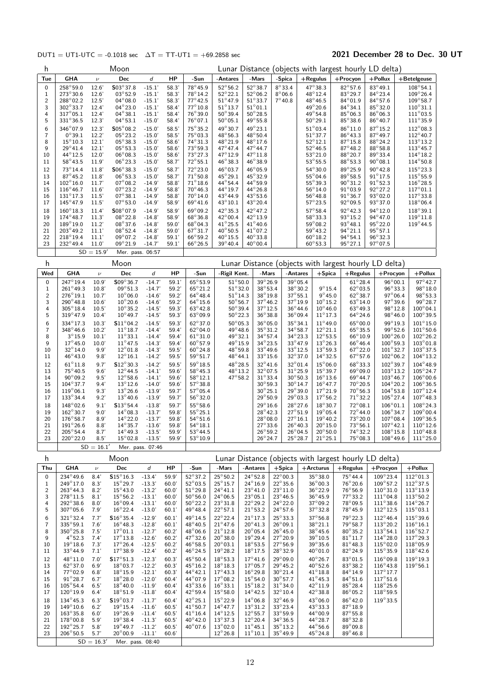### DUT1 = UT1-UTC = -0.1018 sec  $\Delta T = TT-UT1 = +69.2858$  sec 2021 December 28 to Dec. 30 UT

| h                            |                                        |                    | Moon                                    |                      |                |                                       |                                       |                                        |                                      |                                      |                                       |                                       | Lunar Distance (objects with largest hourly LD delta) |                                         |
|------------------------------|----------------------------------------|--------------------|-----------------------------------------|----------------------|----------------|---------------------------------------|---------------------------------------|----------------------------------------|--------------------------------------|--------------------------------------|---------------------------------------|---------------------------------------|-------------------------------------------------------|-----------------------------------------|
| Tue                          | <b>GHA</b>                             | $\nu$              | Dec                                     | d                    | HP             | -Sun                                  | -Antares                              | -Mars                                  | -Spica                               |                                      | $+$ Regulus                           | +Procyon                              | $+$ Pollux                                            | +Betelgeuse                             |
| 0                            | 258°59.0                               | 12.6'              | $$03^{\circ}37.8$                       | $-15.1'$             | 58.3'          | 78°45.9                               | $52^{\circ}56.2$                      | 52°38.7                                | $8^\circ$ 33.4                       |                                      | 47°38.3                               | $82^{\circ}57.6$                      | 83°49.1                                               | 108°54.1                                |
| 1                            | 273°30.6                               | 12.6'              | 03°52.9                                 | $-15.1'$             | 58.3'          | 78°14.2                               | $52^{\circ}22.1$                      | $52^{\circ}06.2$                       | $8^{\circ}06.6$                      |                                      | 48°12.4                               | 83°29.7                               | $84^\circ$ 23.4                                       | 109°26.4                                |
| $\overline{c}$<br>3          | $288^{\circ}02.2$<br>302°33.7          | 12.5'<br>12.4'     | $04^{\circ}08.0$<br>$04^{\circ} 23.0$   | $-15.1'$<br>$-15.1'$ | 58.3'<br>58.4  | $77^\circ 42.5$<br>$77^{\circ}10.8$   | $51^\circ 47.9$<br>$51^{\circ}$ 13.7  | $51^{\circ}33.7$<br>$51^{\circ}01.1$   | $7^\circ 40.8$                       |                                      | $48^{\circ}46.5$<br>49°20.6           | $84^{\circ}01.9$<br>$84^\circ$ 34.1   | $84^{\circ}57.6$<br>85°32.0                           | $109^{\circ}58.7$<br>$110^{\circ}31.1$  |
| 4                            | $317^\circ$ 05.1                       | 12.4'              | $04^{\circ}38.1$                        | $-15.1'$             | 58.4           | 76°39.0                               | $50^{\circ}39.4$                      | $50^{\circ}$ 28.5                      |                                      |                                      | $49^{\circ}54.8$                      | 85°06.3                               | $86^{\circ}$ 06.3                                     | $111^{\circ}$ 03.5                      |
| 5                            | $331^{\circ}36.5$                      | 12.3'              | $04^{\circ}53.1$                        | $-15.0'$             | 58.4           | $76^{\circ}07.1$                      | $50^{\circ}05.1$                      | $49^{\circ}55.8$                       |                                      |                                      | $50^{\circ}29.1$                      | $85^\circ38.6$                        | $86^{\circ}40.7$                                      | $111^{\circ}35.9$                       |
| 6                            | 346°07.9                               | 12.3'              | $$05^{\circ}08.2$                       | $-15.0'$             | 58.5'          | $75^{\circ}35.2$                      | 49°30.7                               | 49°23.1                                |                                      |                                      | $51^{\circ}$ 03.4                     | $86^{\circ}11.0$                      | $87^{\circ}15.2$                                      | $112^{\circ}08.3$                       |
| 7                            | $0^{\circ}39.1$                        | 12.2'              | $05^{\circ}23.2$                        | $-15.0'$             | 58.5'          | $75^{\circ}03.3$                      | $48^{\circ}56.3$                      | $48^{\circ} 50.4$                      |                                      |                                      | $51^\circ 37.7$                       | $86^\circ 43.3$                       | $87^\circ 49.7$                                       | $112^{\circ}$ 40.7                      |
| 8<br>9                       | $15^{\circ}10.3$<br>$29^{\circ}$ 41.4  | 12.1'<br>12.1'     | $05^{\circ}38.3$<br>$05^{\circ}53.3$    | $-15.0'$<br>$-15.0'$ | 58.6'<br>58.6' | $74^\circ 31.3$<br>73°59.3            | 48°21.9<br>47°47.4                    | 48°17.6<br>47°44.7                     |                                      |                                      | $52^{\circ}12.1$<br>$52^{\circ}46.5$  | $87^\circ 15.8$<br>$87^\circ 48.2$    | 88°24.2<br>$88^\circ 58.8$                            | $113^{\circ}13.2$<br>$113^{\circ}$ 45.7 |
| 10                           | $44^{\circ}12.5$                       | 12.0'              | $06^{\circ}08.3$                        | $-15.0'$             | 58.6           | $73^\circ 27.3$                       | $47^{\circ}12.9$                      | $47^{\circ}11.8$                       |                                      |                                      | $53^{\circ}21.0$                      | $88^\circ$ 20.7                       | $89^\circ$ 33.4                                       | $114^{\circ}18.2$                       |
| 11                           | $58^{\circ}$ 43.5                      | 11.9'              | $06^{\circ}23.3$                        | $-15.0'$             | 58.7           | $72^{\circ}55.1$                      | $46^{\circ}38.3$                      | $46^{\circ}38.9$                       |                                      |                                      | $53^{\circ}55.5$                      | $88^{\circ}53.3$                      | $90^{\circ}08.1$                                      | $114^{\circ}50.8$                       |
| 12                           | 73°14.4                                | 11.8'              | $$06^{\circ}38.3$                       | $-15.0'$             | 58.7'          | 72°23.0                               | 46°03.7                               | 46°05.9                                |                                      |                                      | 54°30.0                               | 89°25.9                               | $90^\circ 42.8$                                       | $115^{\circ}23.3$                       |
| 13                           | $87^\circ 45.2$                        | 11.8               | $06^{\circ}53.3$                        | $-15.0'$             | 58.7'          | $71^\circ 50.8$                       | 45°29.1                               | 45°32.9                                |                                      |                                      | $55^{\circ}04.6$<br>55°39.3           | 89°58.5                               | $91^{\circ}17.5$                                      | 115°55.9                                |
| 14<br>15                     | $102^{\circ}16.0$<br>$116^{\circ}46.7$ | 11.7'<br>11.6'     | $07^{\circ}08.2$<br>$07^{\circ}23.2$    | $-14.9'$<br>$-14.9'$ | 58.8'<br>58.8  | $71^\circ 18.6$<br>$70^{\circ}46.3$   | 44°54.4<br>44°19.7                    | 44°59.9<br>$44^{\circ}26.8$            |                                      |                                      | $56^{\circ}14.0$                      | $90^\circ 31.2$<br>$91^{\circ}03.9$   | $91^{\circ}52.3$<br>$92^{\circ}27.2$                  | $116^{\circ}$ 28.5<br>$117^{\circ}01.1$ |
| 16                           | $131^\circ17.3$                        | 11.5'              | $07^\circ 38.1$                         | $-14.9'$             | 58.8           | $70^{\circ}14.0$                      | 43°44.9                               | $43^{\circ}53.6$                       |                                      |                                      | $56^{\circ}48.8$                      | $91^{\circ}36.7$                      | $93^{\circ}02.0$                                      | $117^{\circ}33.8$                       |
| 17                           | 145°47.9                               | 11.5'              | $07^{\circ}53.0$                        | $-14.9'$             | 58.9'          | $69^\circ 41.6$                       | 43°10.1                               | 43° 20.4                               |                                      |                                      | $57^\circ 23.5$                       | 92°09.5                               | 93°37.0                                               | $118^{\circ}06.4$                       |
| 18                           | $160^{\circ}18.3$                      | 11.4'              | $$08^{\circ}07.9$                       | $-14.9'$             | 58.9'          | 69°09.2                               | 42°35.3                               | 42°47.2                                |                                      |                                      | $57^\circ 58.4$                       | 92°42.3                               | 94°12.0                                               | $118^{\circ}39.1$                       |
| 19                           | $174^{\circ}48.7$                      | 11.3'              | $08^{\circ}22.8$                        | $-14.8'$             | 58.9'          | 68°36.8                               | 42°00.4                               | 42°13.9                                |                                      |                                      | 58°33.3                               | 93°15.2                               | $94^{\circ}47.0$                                      | $119^{\circ}11.8$                       |
| 20<br>21                     | 189°19.0<br>203°49.2                   | 11.2'<br>11.1'     | $08^{\circ}37.6$<br>$08^{\circ}52.4$    | $-14.8'$<br>$-14.8'$ | 59.0'<br>59.0' | $68^{\circ}04.3$<br>$67^\circ 31.7$   | $41^{\circ}25.5$<br>$40^{\circ}50.5$  | $41^{\circ}40.6$<br>$41^{\circ}07.2$   |                                      |                                      | 59°08.2<br>$59^{\circ}$ 43.2          | 93°48.1<br>$94^{\circ}21.1$           | $95^{\circ}22.0$<br>$95^{\circ}57.1$                  | $119^{\circ}$ 44.5                      |
| 22                           | $218^{\circ}19.4$                      | 11.1'              | $09^{\circ}07.2$                        | $-14.8'$             | 59.1'          | $66^{\circ}59.2$                      | $40^{\circ} \, 15.5$                  | $40^{\circ}33.8$                       |                                      |                                      | $60^{\circ}18.2$                      | $94^{\circ}54.1$                      | $96^{\circ}32.3$                                      |                                         |
| 23                           | 232°49.4                               | 11.0               | $09^{\circ}21.9$                        | $-14.7'$             | 59.1'          | $66^{\circ}26.5$                      | $39^{\circ}40.4$                      | $40^{\circ}00.4$                       |                                      |                                      | $60^{\circ}53.3$                      | $95^{\circ}27.1$                      | $97^{\circ}07.5$                                      |                                         |
|                              |                                        | $SD = 15.9'$       | Mer. pass. 06:57                        |                      |                |                                       |                                       |                                        |                                      |                                      |                                       |                                       |                                                       |                                         |
| h                            |                                        |                    | Moon                                    |                      |                |                                       |                                       |                                        |                                      |                                      |                                       |                                       | Lunar Distance (objects with largest hourly LD delta) |                                         |
| Wed                          | <b>GHA</b>                             | $\boldsymbol{\nu}$ | Dec                                     | d                    | HP             | -Sun                                  | -Rigil Kent.                          | -Mars                                  |                                      | -Antares                             | $+$ Spica                             | $+$ Regulus                           | $+$ Procyon                                           | +Pollux                                 |
| $\mathbf 0$                  | 247°19.4                               | 10.9'              | S09°36.7                                | $-14.7'$             | 59.1'          | 65°53.9                               | $51^{\circ}50.0$                      | 39°26.9                                |                                      | 39°05.4                              |                                       | $61^\circ 28.4$                       | 96°00.1                                               | $97^{\circ}42.7$                        |
| $1\,$                        | $261^{\circ}49.3$                      | 10.8'              | $09^{\circ}51.3$                        | $-14.7'$             | 59.2'          | $65^{\circ}21.2$                      | $51^\circ 32.0$                       | 38°53.4                                |                                      | 38°30.2                              | $9^{\circ}15.4$                       | $62^{\circ}$ 03.5                     | $96^{\circ}33.3$                                      | $98^{\circ}18.0$                        |
| $\overline{c}$<br>3          | $276^{\circ}19.1$<br>$290^{\circ}48.8$ | 10.7'<br>10.6'     | $10^{\circ}06.0$                        | $-14.6'$<br>$-14.6'$ | 59.2'          | $64^\circ 48.4$<br>$64^{\circ}$ 15.6  | $51^{\circ}14.3$<br>$50^{\circ}56.7$  | 38°19.8<br>$37^\circ 46.2$             |                                      | $37^\circ 55.1$<br>37°19.9           | $9^{\circ}$ 45.0<br>$10^{\circ}15.2$  | $62^{\circ}38.7$<br>$63^\circ 14.0$   | $97^{\circ}06.4$<br>$97^{\circ}39.6$                  | 98°53.3<br>99°28.7                      |
| 4                            | $305^{\circ}18.4$                      | 10.5'              | $10^{\circ}20.6$<br>$10^{\circ}35.2$    | $-14.5'$             | 59.2'<br>59.3' | $63^{\circ}42.8$                      | $50^{\circ}39.4$                      | $37^\circ 12.5$                        |                                      | $36^{\circ}44.6$                     | $10^{\circ}46.0$                      | $63^{\circ}49.3$                      | $98^{\circ}12.8$                                      | $100^{\circ}04.1$                       |
| 5                            | $319^{\circ}$ 47.9                     | 10.4'              | $10^{\circ}$ 49.7                       | $-14.5'$             | 59.3'          | $63^{\circ}09.9$                      | $50^{\circ}22.3$                      | $36^\circ 38.8$                        |                                      | $36^{\circ}09.4$                     | $11^{\circ}17.3$                      | $64^\circ$ 24.6                       | $98^{\circ}46.0$                                      | $100^\circ39.5$                         |
| 6                            | 334°17.3                               | 10.3'              | $$11^{\circ}04.2$                       | $-14.5'$             | 59.3'          | $62^{\circ}37.0$                      | $50^{\circ}05.3$                      | $36^{\circ}$ 05.0                      |                                      | $35^{\circ}34.1$                     | $11^{\circ}$ 49.0                     | 65°00.0                               | 99°19.3                                               | $101^{\circ}15.0$                       |
| $\overline{7}$               | $348^{\circ}46.6$                      | 10.2'              | $11^{\circ}18.7$                        | $-14.4'$             | 59.4'          | $62^{\circ}04.0$                      | 49°48.6                               | $35^{\circ}31.2$                       |                                      | $34^{\circ}58.7$                     | $12^{\circ}21.1$                      | $65^\circ 35.5$                       | $99^\circ 52.6$                                       | $101^{\circ}50.6$                       |
| 8<br>9                       | $3^{\circ}15.9$<br>$17^\circ 45.0$     | 10.1'              | $11^\circ 33.1$                         | $-14.4'$             | 59.4'<br>59.4' | $61^{\circ}31.0$                      | 49°32.1<br>49°15.9                    | $34^\circ 57.4$<br>$34^\circ 23.5$     |                                      | 34°23.3                              | $12^{\circ}53.5$                      | $66^{\circ}10.9$                      | $100^{\circ}26.0$                                     | $102^{\circ}26.2$                       |
| 10                           | $32^{\circ}14.0$                       | 10.0'<br>9.9'      | $11^{\circ}$ 47.5<br>$12^{\circ}01.8$   | $-14.3'$<br>$-14.3'$ | 59.5'          | $60^{\circ}57.9$<br>$60^{\circ}$ 24.8 | 48°59.8                               | $33^{\circ}49.6$                       |                                      | $33^{\circ}47.9$<br>33°12.5          | $13^{\circ}26.3$<br>$13^{\circ}59.3$  | $66^{\circ}46.4$<br>$67^\circ 22.0$   | $100^{\circ}59.3$<br>$101^{\circ}32.7$                | $103^{\circ}01.8$<br>$103^{\circ}37.5$  |
| 11                           | 46°43.0                                | 9.8'               | $12^{\circ}16.1$                        | $-14.2'$             | 59.5'          | $59^{\circ}51.7$                      | 48°44.1                               | $33^\circ 15.6$                        |                                      | 32°37.0                              | $14^{\circ}32.5$                      | $67^{\circ}57.6$                      | $102^{\circ}06.2$                                     | $104^{\circ}13.2$                       |
| 12                           | $61^{\circ}11.8$                       | 9.7'               | $$12^{\circ}30.3$                       | $-14.2'$             | 59.5'          | $59^\circ 18.5$                       | 48°28.5                               | $32^{\circ}41.6$                       |                                      | 32°01.4                              | $15^{\circ}06.0$                      | 68°33.3                               | 102°39.7                                              | $104^\circ 48.9$                        |
| 13                           | 75°40.5                                | 9.6'               | $12^{\circ}$ 44.5                       | $-14.1'$             | 59.6'          | 58°45.3                               | 48°13.2                               | $32^{\circ}07.5$                       |                                      | $31^\circ 25.9$                      | $15^{\circ}39.7$                      | $69^\circ 09.0$                       | $103^\circ 13.2$                                      | $105^{\circ}24.7$                       |
| 14<br>15                     | $90^{\circ}09.2$<br>$104^{\circ}37.7$  | 9.5'<br>9.4'       | $12^{\circ}58.6$<br>$13^{\circ}12.6$    | $-14.1'$<br>$-14.0'$ | 59.6'<br>59.6' | $58^{\circ}12.1$<br>$57^{\circ}38.8$  | $47^{\circ}58.2$                      | $31^{\circ}33.4$<br>$30^{\circ}59.3$   |                                      | $30^\circ 50.3$<br>$30^\circ$ 14.7   | $16^{\circ}13.6$<br>$16^{\circ}47.7$  | $69^{\circ}$ 44.7<br>$70^{\circ}20.5$ | $103^{\circ}46.7$<br>$104^{\circ}20.2$                | $106^{\circ}00.6$<br>$106^{\circ}36.5$  |
| 16                           | $119^{\circ}06.1$                      | 9.3'               | $13^{\circ}26.6$                        | $-13.9'$             | 59.7'          | $57^\circ$ 05.4                       |                                       | $30^\circ 25.1$                        |                                      | 29°39.0                              | $17^{\circ}21.9$                      | $70^\circ 56.3$                       | $104^{\circ}53.8$                                     | $107^{\circ}12.4$                       |
| 17                           | $133^{\circ}34.4$                      | 9.2'               | $13^{\circ}40.6$                        | $-13.9'$             | 59.7           | $56^{\circ}32.0$                      |                                       | $29^{\circ}50.9$                       |                                      | $29^{\circ}03.3$                     | $17^{\circ}56.2$                      | $71^{\circ}32.2$                      | $105^{\circ}$ 27.4                                    | $107^\circ$ 48.3                        |
| 18                           | 148°02.6                               | 9.1'               | $$13^{\circ}54.4$                       | $-13.8'$             | 59.7'          | $55^{\circ}58.6$                      |                                       | $29^{\circ}16.6$                       |                                      | 28°27.6                              | 18°30.7                               | 72°08.1                               | $106^{\circ}01.1$                                     | $108^{\circ}$ 24.3                      |
| 19                           | $162^{\circ}30.7$                      | 9.0'               | $14^{\circ}08.3$                        | $-13.7'$             | 59.8'          | $55^{\circ}25.1$                      |                                       | $28^{\circ}42.3$                       |                                      | $27^{\circ}51.9$                     | $19^{\circ}05.4$                      | $72^{\circ}44.0$                      | $106^{\circ}34.7$                                     | $109^\circ 00.4$                        |
| 20<br>21                     | $176^{\circ}58.7$<br>$191^{\circ}26.6$ | 8.9'<br>8.8'       | $14^{\circ}22.0$<br>$14^{\circ}35.7$    | $-13.7'$<br>$-13.6'$ | 59.8'<br>59.8' | $54^{\circ}51.6$<br>$54^{\circ}18.1$  |                                       | $28^{\circ}08.0$<br>$27^\circ 33.6$    |                                      | $27^{\circ}16.1$<br>$26^{\circ}40.3$ | $19^{\circ}$ 40.2<br>$20^{\circ}15.0$ | 73°20.0<br>$73^{\circ}56.1$           | $107^{\circ}08.4$<br>$107^{\circ}$ 42.1               | $109^\circ36.5$<br>$110^{\circ}12.6$    |
| 22                           | $205^{\circ}54.4$                      | 8.7'               | $14^{\circ}$ 49.3                       | $-13.5'$             | 59.9'          | $53^{\circ}$ 44.5                     |                                       | $26^{\circ}59.2$                       |                                      | $26^{\circ}$ 04.5                    | $20^{\circ}50.0$                      | 74°32.2                               | $108^\circ 15.8$                                      | $110^{\circ}$ 48.8                      |
| 23                           | 220°22.0                               | 8.5                | $15^{\circ}$ 02.8                       | $-13.5'$             | 59.9'          | 53°10.9                               |                                       | $26^{\circ}$ 24.7                      |                                      | $25^{\circ}28.7$                     | $21^{\circ}25.1$                      | $75^{\circ}08.3$                      | $108^{\circ}$ 49.6                                    | $111^{\circ}25.0$                       |
|                              |                                        | $SD = 16.1'$       |                                         | Mer. pass. 07:46     |                |                                       |                                       |                                        |                                      |                                      |                                       |                                       |                                                       |                                         |
| h                            |                                        |                    | Moon                                    |                      |                |                                       |                                       |                                        |                                      |                                      |                                       |                                       | Lunar Distance (objects with largest hourly LD delta) |                                         |
| Thu                          | <b>GHA</b>                             | $\boldsymbol{\nu}$ | Dec                                     | d                    | HP             | -Sun                                  | -Mars                                 | -Antares                               | $+$ Spica                            |                                      | $+$ Arcturus                          | $+$ Regulus                           | +Procyon                                              | $+$ Pollux                              |
| 0                            | 234°49.6                               | 8.4'               | $\mathsf{S}15^\circ16.3$                | $-13.4'$             | 59.9           | $52^{\circ}37.2$                      | $25^{\circ}50.2$                      | $24^{\circ}52.8$                       | $22^{\circ}00.3$                     |                                      | $35^\circ 38.0$                       | $75^\circ 44.4$                       | $109^\circ 23.4$                                      | $112^{\circ}01.3$                       |
| 1<br>$\overline{\mathbf{c}}$ | $249^{\circ}17.0$<br>$263^\circ 44.3$  | 8.3'<br>8.2'       | $15^{\circ}$ 29.7<br>$15^{\circ}$ 43.0  | $-13.3'$<br>$-13.2'$ | 60.0<br>60.0'  | $52^{\circ}$ 03.5<br>$51^{\circ}29.8$ | $25^{\circ}15.7$<br>$24^{\circ}41.1$  | $24^{\circ}16.9$<br>$23^{\circ}41.0$   | $22^{\circ}35.6$<br>$23^{\circ}11.0$ |                                      | $36^{\circ}$ 00.3<br>$36^\circ 22.9$  | $76^\circ 20.6$<br>76°56.9            | $109^{\circ}57.2$<br>$110^{\circ}31.0$                | $112^{\circ}37.5$<br>$113^{\circ}$ 13.9 |
| 3                            | $278^{\circ}11.5$                      | 8.1'               | $15^{\circ}56.2$                        | $-13.1'$             | 60.0'          | $50^{\circ} 56.0$                     | $24^{\circ}06.5$                      | $23^{\circ}$ 05.1                      | $23^{\circ}46.5$                     |                                      | $36^{\circ} 45.9$                     | $77^\circ$ 33.2                       | $111^{\circ}04.8$                                     | $113^{\circ}50.2$                       |
| 4                            | $292^{\circ}38.6$                      | 8.0'               | $16^{\circ}09.4$                        | $-13.1'$             | 60.0'          | $50^{\circ}$ 22.2                     | $23^{\circ}31.8$                      | $22^{\circ}29.2$                       | 24° 22.0                             |                                      | $37^\circ$ 09.2                       | $78^\circ$ 09.5                       | $111^\circ38.6$                                       | $114^{\circ}26.7$                       |
| 5                            | $307^{\circ}05.6$                      | 7.9'               | $16^{\circ}$ 22.4                       | $-13.0'$             | 60.1'          | 49°48.4                               | $22^{\circ}57.1$                      | $21^{\circ}53.2$                       | $24^{\circ}57.6$                     |                                      | $37^\circ 32.8$                       | 78°45.9                               | $112^{\circ}12.5$                                     | $115^{\circ}03.1$                       |
| 6<br>7                       | $321^\circ 32.4$<br>335°59.1           | 7.7'               | $$16^{\circ}35.4$<br>$16^{\circ}$ 48.3  | $-12.9'$<br>$-12.8'$ | 60.1           | 49°14.5<br>48°40.5                    | $22^{\circ}22.4$<br>$21^{\circ}$ 47.6 | $21^{\circ}$ 17.3<br>$20^{\circ}41.3$  | $25^\circ 33.3$<br>$26^{\circ}$ 09.1 |                                      | $37^\circ 56.8$<br>$38^{\circ}21.1$   | 79°22.3<br>79°58.7                    | $112^{\circ}46.4$<br>$113^{\circ}20.2$                | $115^{\circ}39.6$<br>$116^{\circ}16.1$  |
| 8                            | $350^{\circ}25.8$                      | 7.6'<br>7.5'       | $17^{\circ}01.1$                        | $-12.7'$             | 60.1'<br>60.2  | 48°06.6                               | $21^{\circ}$ 12.8                     | $20^{\circ}05.4$                       | $26^{\circ}$ 45.0                    |                                      | $38^{\circ} 45.6$                     | $80^\circ$ 35.2                       | $113^{\circ}54.1$                                     | $116^{\circ}52.7$                       |
| 9                            | $4^{\circ}52.3$                        | 7.4'               | $17^{\circ} 13.8$                       | $-12.6'$             | 60.2           | 47° 32.6                              | $20^{\circ}38.0$                      | $19^{\circ}$ 29.4                      | $27^{\circ}20.9$                     |                                      | $39^{\circ}$ 10.5                     | $81^{\circ}11.7$                      | $114^{\circ}28.0$                                     | $117^{\circ}29.3$                       |
| 10                           | $19^{\circ}18.6$                       | 7.3'               | $17^\circ 26.4$                         | $-12.5'$             | 60.2'          | $46^{\circ}58.5$                      | $20^{\circ}03.1$                      | $18^\circ 53.5$                        | $27^{\circ}56.9$                     |                                      | 39°35.6                               | $81^{\circ}48.3$                      | $115^{\circ}02.0$                                     | 118°05.9                                |
| 11                           | $33^{\circ}44.9$                       | 7.1'               | $17^{\circ}38.9$                        | $-12.4'$             | 60.2           | $46^{\circ}$ 24.5                     | $19^{\circ}28.2$                      | $18^{\circ}$ 17.5                      | $28^{\circ}32.9$                     |                                      | $40^{\circ}01.0$                      | $82^{\circ}24.9$                      | $115^{\circ}35.9$                                     | $118^{\circ}$ 42.6                      |
| 12                           | 48°11.0<br>$62^{\circ}37.0$            | 7.0'<br>6.9'       | $$17^{\circ}51.3$<br>$18^{\circ}03.7$   | $-12.3'$             | 60.3           | 45°50.4<br>$45^{\circ}16.2$           | $18^\circ 53.3$                       | $17^{\circ}$ 41.6<br>$17^{\circ}$ 05.7 | 29°09.0<br>$29^{\circ}$ 45.2         |                                      | 40°26.7<br>$40^{\circ}$ 52.6          | 83°01.5                               | $116^{\circ}09.8$                                     | 119°19.3<br>$119^{\circ}56.1$           |
| 13<br>14                     | 77°02.9                                | 6.8'               | $18^{\circ}15.9$                        | $-12.2'$<br>$-12.1'$ | 60.3'<br>60.3' | 44°42.1                               | $18^{\circ}18.3$<br>$17^{\circ}43.3$  | $16^{\circ}$ 29.8                      | $30^{\circ}21.4$                     |                                      | $41^{\circ}$ 18.8                     | $83^\circ38.2$<br>84°14.9             | $116^{\circ}43.8$<br>$117^{\circ}17.7$                |                                         |
| 15                           | $91^{\circ}28.7$                       | 6.7'               | $18^{\circ}28.0$                        | $-12.0'$             | 60.4           | 44°07.9                               | $17^{\circ}08.2$                      | $15^{\circ}54.0$                       | $30^\circ 57.7$                      |                                      | $41^{\circ}$ 45.3                     | $84^{\circ}51.6$                      | $117^{\circ}51.6$                                     |                                         |
| 16                           | $105^{\circ}54.4$                      | 6.5'               | $18^{\circ}$ 40.0                       | $-11.9'$             | 60.4           | $43^{\circ}33.6$                      | $16^{\circ}33.1$                      | $15^{\circ} 18.2$                      | $31^{\circ}34.0$                     |                                      | 42° 11.9                              | $85^{\circ}28.4$                      | $118^{\circ}25.6$                                     |                                         |
| 17                           | $120^{\circ}19.9$                      | 6.4'               | $18^{\circ}51.9$                        | $-11.8'$             | 60.4           | $42^{\circ}59.4$                      | $15^{\circ}58.0$                      | $14^{\circ}42.5$                       | $32^{\circ}10.4$                     |                                      | 42°38.8                               | $86^{\circ}05.2$                      | $118^{\circ}59.5$                                     |                                         |
| 18<br>19                     | 134°45.3<br>$149^{\circ}10.6$          | 6.3'<br>6.2'       | $$19^{\circ}$ 03.7<br>$19^{\circ} 15.4$ | $-11.7'$             | 60.4           | $42^{\circ}25.1$<br>$41^{\circ}50.7$  | $15^{\circ}22.9$<br>$14^{\circ}47.7$  | $14^{\circ}06.8$<br>$13^{\circ}31.2$   | 32°46.9<br>$33^\circ 23.4$           |                                      | 43°06.0<br>$43^{\circ}33.3$           | $86^{\circ}42.0$<br>$87^\circ 18.9$   | $119^{\circ}33.5$                                     |                                         |
| 20                           | $163^{\circ}35.8$                      | 6.0'               | $19^{\circ}26.9$                        | $-11.6'$<br>$-11.4'$ | 60.5<br>60.5'  | $41^{\circ}16.4$                      | $14^{\circ}12.5$                      | $12^{\circ}55.7$                       | 33°59.9                              |                                      | 44°00.9                               | $87^\circ 55.8$                       |                                                       |                                         |
| 21                           | 178°00.8                               | 5.9'               | $19^{\circ}38.4$                        | $-11.3'$             | 60.5           | $40^{\circ}$ 42.0                     | $13^{\circ}37.3$                      | $12^{\circ}20.4$                       | $34^{\circ}36.5$                     |                                      | $44^{\circ}28.7$                      | $88^\circ32.8$                        |                                                       |                                         |
| 22                           | $192^{\circ}25.7$                      | 5.8'               | $19^{\circ}$ 49.7                       | $-11.2'$             | 60.5           | 40°07.6                               | $13^{\circ}02.0$                      | $11^{\circ}45.1$                       | $35^\circ 13.2$                      |                                      | $44^{\circ}56.6$                      | $89^\circ$ 09.8                       |                                                       |                                         |
| 23                           | $206^{\circ}50.5$                      | 5.7'               | $20^{\circ}00.9$                        | $-11.1'$             | 60.6'          |                                       | $12^{\circ}26.8$                      | $11^{\circ}$ 10.1                      | $35^{\circ}$ 49.9                    |                                      | $45^{\circ}$ 24.8                     | $89^\circ 46.8$                       |                                                       |                                         |
|                              |                                        | $SD = 16.3'$       | Mer. pass. 08:40                        |                      |                |                                       |                                       |                                        |                                      |                                      |                                       |                                       |                                                       |                                         |